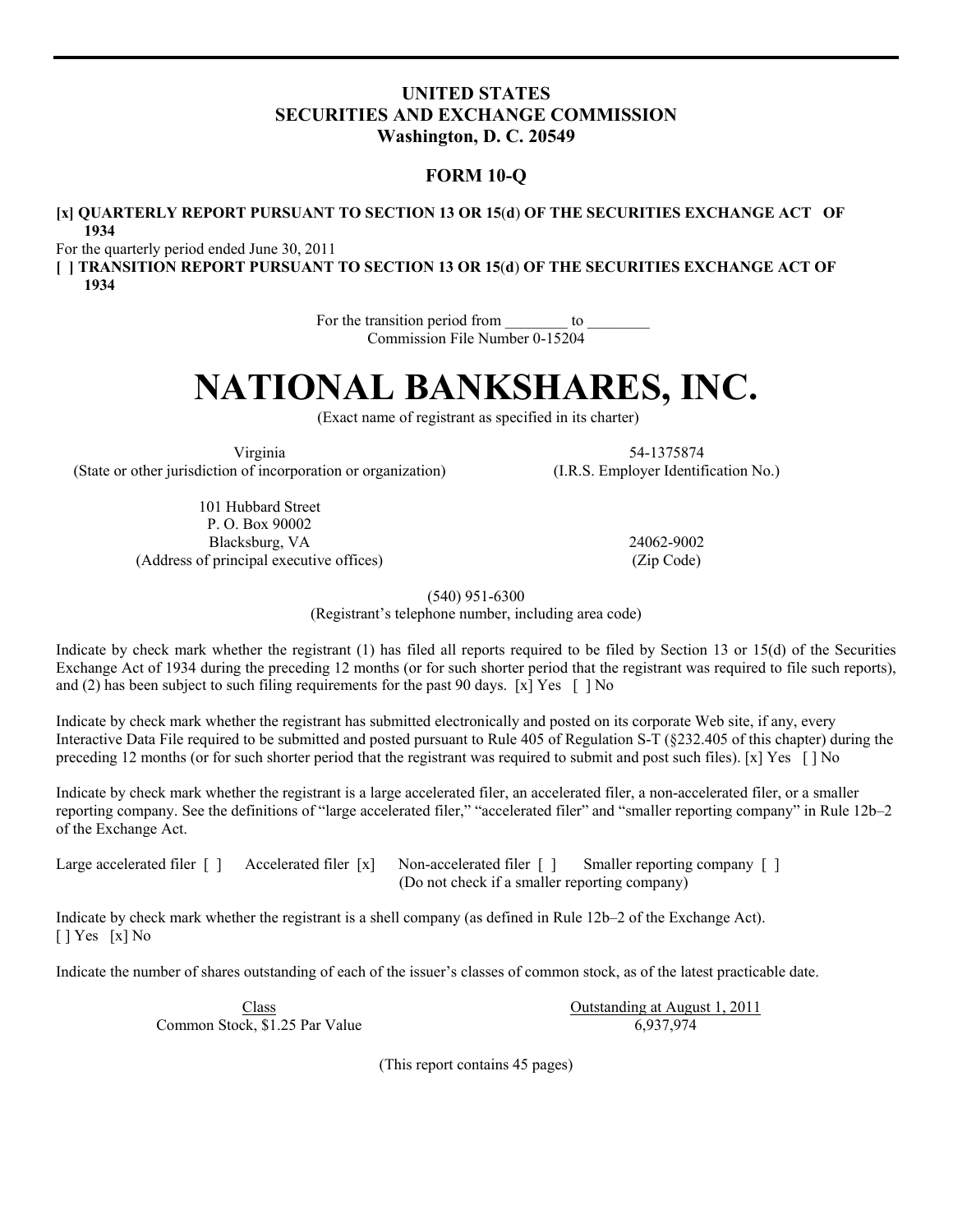# **UNITED STATES SECURITIES AND EXCHANGE COMMISSION Washington, D. C. 20549**

# **FORM 10-Q**

# **[x] QUARTERLY REPORT PURSUANT TO SECTION 13 OR 15**(**d**) **OF THE SECURITIES EXCHANGE ACT OF 1934**

For the quarterly period ended June 30, 2011

**[ ] TRANSITION REPORT PURSUANT TO SECTION 13 OR 15**(**d**) **OF THE SECURITIES EXCHANGE ACT OF 1934**

> For the transition period from to Commission File Number 0-15204

# **NATIONAL BANKSHARES, INC.**

(Exact name of registrant as specified in its charter)

Virginia (State or other jurisdiction of incorporation or organization)

> 101 Hubbard Street P. O. Box 90002 Blacksburg, VA (Address of principal executive offices) (Zip Code)

54-1375874 (I.R.S. Employer Identification No.)

24062-9002

(540) 951-6300

(Registrant's telephone number, including area code)

Indicate by check mark whether the registrant (1) has filed all reports required to be filed by Section 13 or 15(d) of the Securities Exchange Act of 1934 during the preceding 12 months (or for such shorter period that the registrant was required to file such reports), and (2) has been subject to such filing requirements for the past 90 days. [x] Yes  $\lceil$  ] No

Indicate by check mark whether the registrant has submitted electronically and posted on its corporate Web site, if any, every Interactive Data File required to be submitted and posted pursuant to Rule 405 of Regulation S-T (§232.405 of this chapter) during the preceding 12 months (or for such shorter period that the registrant was required to submit and post such files). [x] Yes [ ] No

Indicate by check mark whether the registrant is a large accelerated filer, an accelerated filer, a non-accelerated filer, or a smaller reporting company. See the definitions of "large accelerated filer," "accelerated filer" and "smaller reporting company" in Rule 12b–2 of the Exchange Act.

Large accelerated filer  $\lceil \cdot \rceil$  Accelerated filer  $\lceil x \rceil$  Non-accelerated filer  $\lceil \cdot \rceil$  Smaller reporting company  $\lceil \cdot \rceil$ (Do not check if a smaller reporting company)

Indicate by check mark whether the registrant is a shell company (as defined in Rule 12b–2 of the Exchange Act). [ ] Yes [x] No

Indicate the number of shares outstanding of each of the issuer's classes of common stock, as of the latest practicable date.

Class Common Stock, \$1.25 Par Value Outstanding at August 1, 2011 6,937,974

(This report contains 45 pages)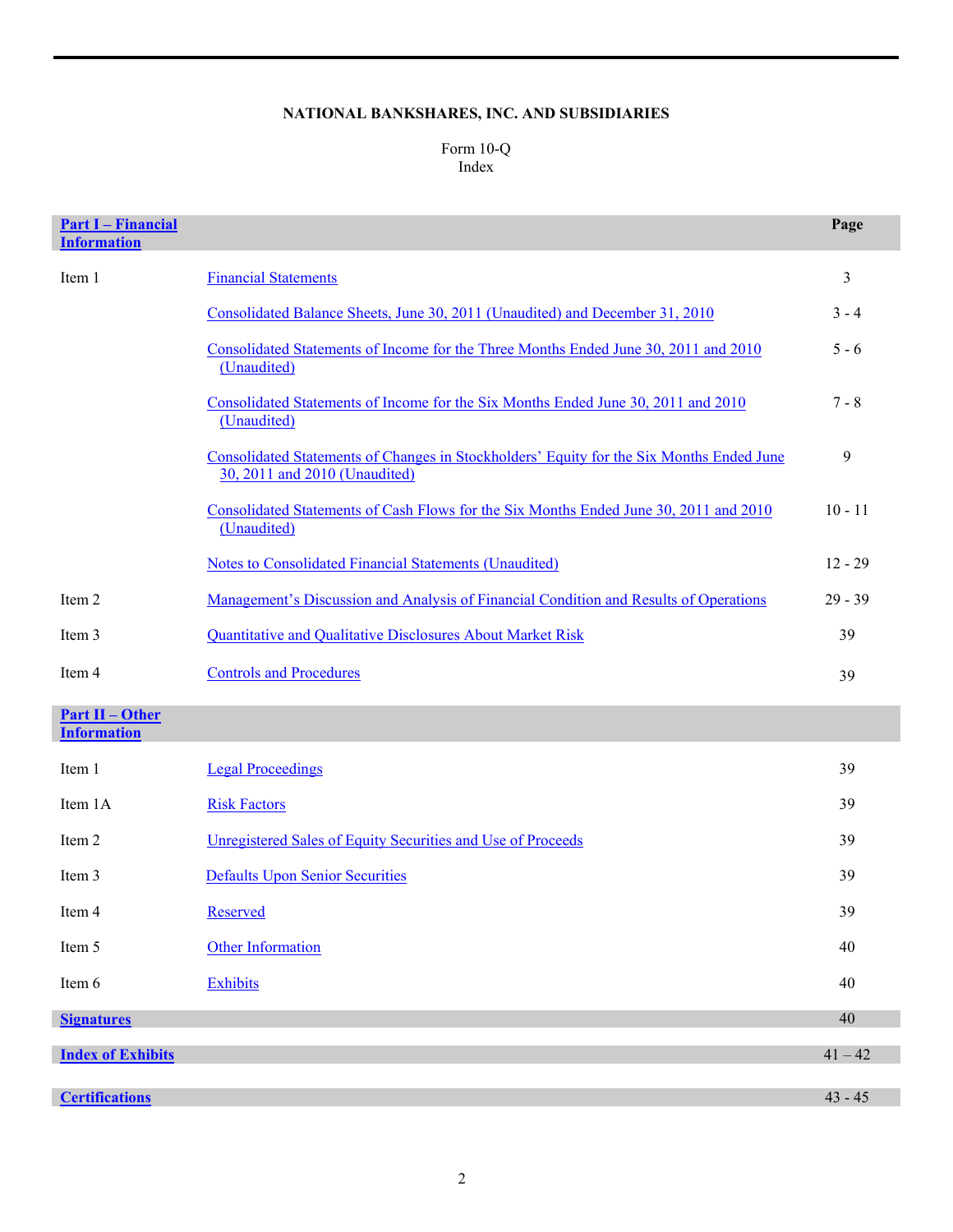# **NATIONAL BANKSHARES, INC. AND SUBSIDIARIES**

# Form 10-Q Index

| <b>Part I - Financial</b><br><b>Information</b> |                                                                                                                           | Page      |
|-------------------------------------------------|---------------------------------------------------------------------------------------------------------------------------|-----------|
| Item 1                                          | <b>Financial Statements</b>                                                                                               | 3         |
|                                                 | Consolidated Balance Sheets, June 30, 2011 (Unaudited) and December 31, 2010                                              | $3 - 4$   |
|                                                 | Consolidated Statements of Income for the Three Months Ended June 30, 2011 and 2010<br>(Unaudited)                        | $5 - 6$   |
|                                                 | Consolidated Statements of Income for the Six Months Ended June 30, 2011 and 2010<br>(Unaudited)                          | $7 - 8$   |
|                                                 | Consolidated Statements of Changes in Stockholders' Equity for the Six Months Ended June<br>30, 2011 and 2010 (Unaudited) | 9         |
|                                                 | Consolidated Statements of Cash Flows for the Six Months Ended June 30, 2011 and 2010<br>(Unaudited)                      | $10 - 11$ |
|                                                 | <b>Notes to Consolidated Financial Statements (Unaudited)</b>                                                             | $12 - 29$ |
| Item 2                                          | <u>Management's Discussion and Analysis of Financial Condition and Results of Operations</u>                              | $29 - 39$ |
| Item 3                                          | Quantitative and Qualitative Disclosures About Market Risk                                                                | 39        |
| Item 4                                          | <b>Controls and Procedures</b>                                                                                            | 39        |
| <b>Part II - Other</b><br><b>Information</b>    |                                                                                                                           |           |
| Item 1                                          | <b>Legal Proceedings</b>                                                                                                  | 39        |
| Item 1A                                         | <b>Risk Factors</b>                                                                                                       | 39        |
| Item 2                                          | Unregistered Sales of Equity Securities and Use of Proceeds                                                               | 39        |
| Item 3                                          | <b>Defaults Upon Senior Securities</b>                                                                                    | 39        |
| Item 4                                          | Reserved                                                                                                                  | 39        |
| Item 5                                          | <b>Other Information</b>                                                                                                  | 40        |
| Item 6                                          | <b>Exhibits</b>                                                                                                           | 40        |
| <b>Signatures</b>                               |                                                                                                                           | 40        |
| <b>Index of Exhibits</b>                        |                                                                                                                           | $41 - 42$ |
|                                                 |                                                                                                                           |           |
| <b>Certifications</b>                           |                                                                                                                           | $43 - 45$ |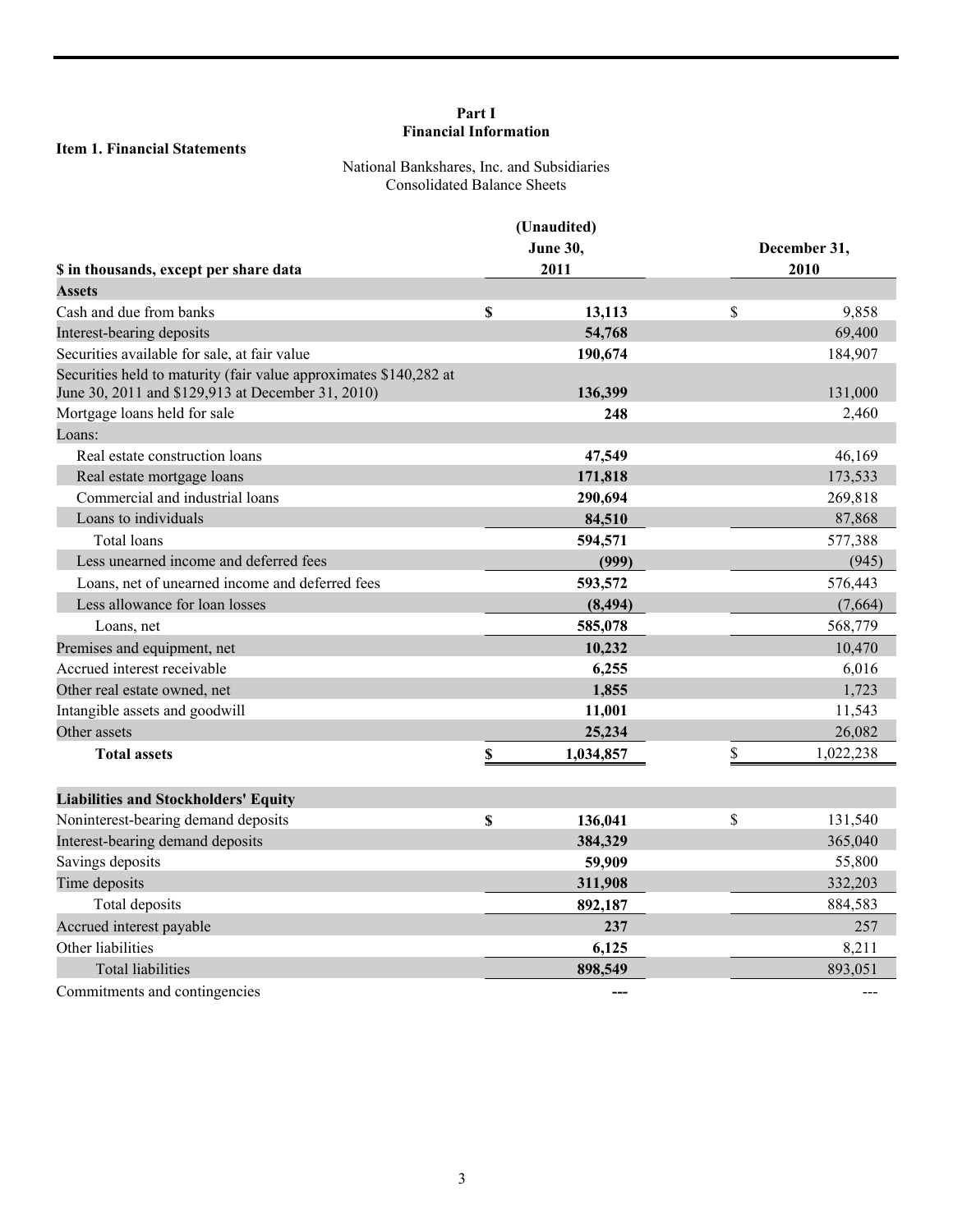# **Part I Financial Information**

# **Item 1. Financial Statements**

# National Bankshares, Inc. and Subsidiaries Consolidated Balance Sheets

|                                                                                                                        |                         | (Unaudited)<br><b>June 30,</b> | December 31,<br>2010 |           |  |
|------------------------------------------------------------------------------------------------------------------------|-------------------------|--------------------------------|----------------------|-----------|--|
| \$ in thousands, except per share data                                                                                 |                         | 2011                           |                      |           |  |
| <b>Assets</b>                                                                                                          |                         |                                |                      |           |  |
| Cash and due from banks                                                                                                | \$                      | 13,113                         | \$                   | 9,858     |  |
| Interest-bearing deposits                                                                                              |                         | 54,768                         |                      | 69,400    |  |
| Securities available for sale, at fair value                                                                           |                         | 190,674                        |                      | 184,907   |  |
| Securities held to maturity (fair value approximates \$140,282 at<br>June 30, 2011 and \$129,913 at December 31, 2010) |                         | 136,399                        |                      | 131,000   |  |
| Mortgage loans held for sale                                                                                           |                         | 248                            |                      | 2,460     |  |
| Loans:                                                                                                                 |                         |                                |                      |           |  |
| Real estate construction loans                                                                                         |                         | 47,549                         |                      | 46,169    |  |
| Real estate mortgage loans                                                                                             |                         | 171,818                        |                      | 173,533   |  |
| Commercial and industrial loans                                                                                        |                         | 290,694                        |                      | 269,818   |  |
| Loans to individuals                                                                                                   |                         | 84,510                         |                      | 87,868    |  |
| Total loans                                                                                                            |                         | 594,571                        |                      | 577,388   |  |
| Less unearned income and deferred fees                                                                                 |                         | (999)                          |                      | (945)     |  |
| Loans, net of unearned income and deferred fees                                                                        |                         | 593,572                        |                      | 576,443   |  |
| Less allowance for loan losses                                                                                         |                         | (8, 494)                       |                      | (7,664)   |  |
| Loans, net                                                                                                             |                         | 585,078                        |                      | 568,779   |  |
| Premises and equipment, net                                                                                            |                         | 10,232                         |                      | 10,470    |  |
| Accrued interest receivable                                                                                            |                         | 6,255                          |                      | 6,016     |  |
| Other real estate owned, net                                                                                           |                         | 1,855                          |                      | 1,723     |  |
| Intangible assets and goodwill                                                                                         |                         | 11,001                         |                      | 11,543    |  |
| Other assets                                                                                                           |                         | 25,234                         |                      | 26,082    |  |
| <b>Total assets</b>                                                                                                    | $\overline{\mathbb{S}}$ | 1,034,857                      | \$                   | 1,022,238 |  |
| <b>Liabilities and Stockholders' Equity</b>                                                                            |                         |                                |                      |           |  |
| Noninterest-bearing demand deposits                                                                                    | \$                      | 136,041                        | \$                   | 131,540   |  |
| Interest-bearing demand deposits                                                                                       |                         | 384,329                        |                      | 365,040   |  |
| Savings deposits                                                                                                       |                         | 59,909                         |                      | 55,800    |  |
| Time deposits                                                                                                          |                         | 311,908                        |                      | 332,203   |  |
| Total deposits                                                                                                         |                         | 892,187                        |                      | 884,583   |  |
| Accrued interest payable                                                                                               |                         | 237                            |                      | 257       |  |
| Other liabilities                                                                                                      |                         | 6,125                          |                      | 8,211     |  |
| <b>Total liabilities</b>                                                                                               |                         | 898,549                        |                      | 893,051   |  |
| Commitments and contingencies                                                                                          |                         |                                |                      |           |  |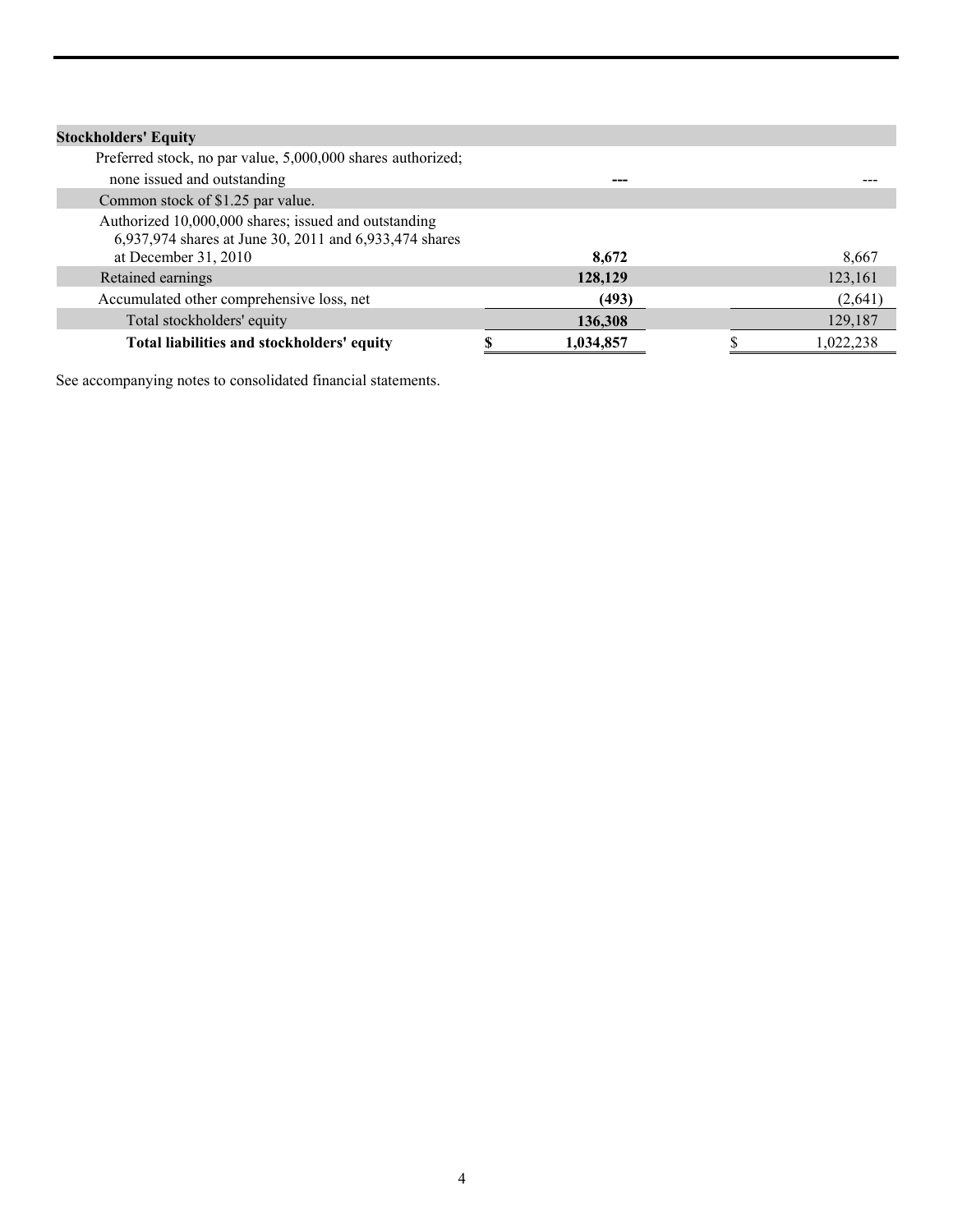| <b>Stockholders' Equity</b>                                                                                    |           |           |
|----------------------------------------------------------------------------------------------------------------|-----------|-----------|
| Preferred stock, no par value, 5,000,000 shares authorized;                                                    |           |           |
| none issued and outstanding                                                                                    |           |           |
| Common stock of \$1.25 par value.                                                                              |           |           |
| Authorized 10,000,000 shares; issued and outstanding<br>6,937,974 shares at June 30, 2011 and 6,933,474 shares |           |           |
| at December 31, 2010                                                                                           | 8,672     | 8,667     |
| Retained earnings                                                                                              | 128,129   | 123,161   |
| Accumulated other comprehensive loss, net                                                                      | (493)     | (2,641)   |
| Total stockholders' equity                                                                                     | 136,308   | 129,187   |
| Total liabilities and stockholders' equity                                                                     | 1,034,857 | 1,022,238 |

See accompanying notes to consolidated financial statements.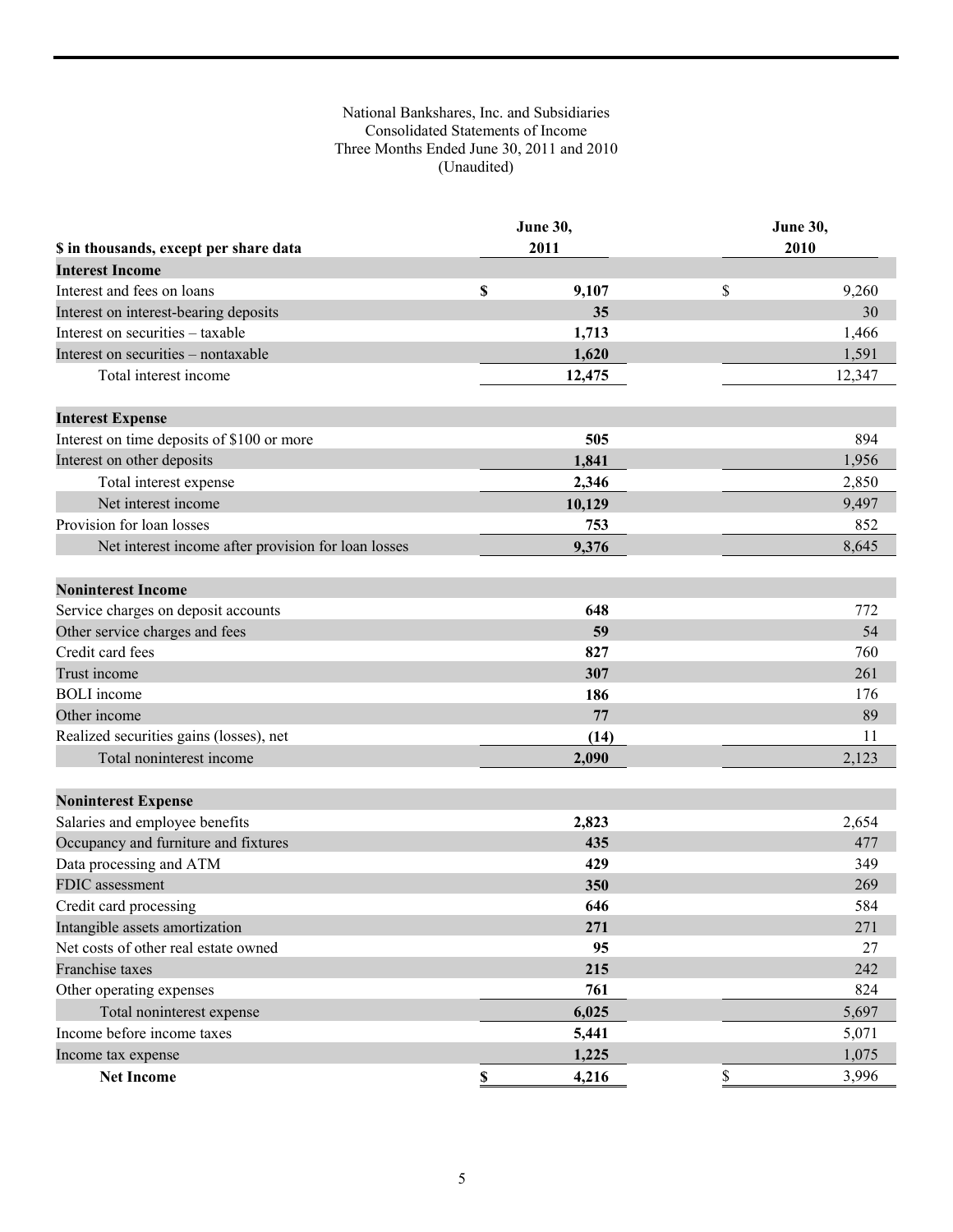# National Bankshares, Inc. and Subsidiaries Consolidated Statements of Income Three Months Ended June 30, 2011 and 2010 (Unaudited)

|                                                     | <b>June 30,</b> |        | June 30, |        |  |
|-----------------------------------------------------|-----------------|--------|----------|--------|--|
| \$ in thousands, except per share data              | 2011            |        |          | 2010   |  |
| <b>Interest Income</b>                              |                 |        |          |        |  |
| Interest and fees on loans                          | $\mathbb S$     | 9,107  | \$       | 9,260  |  |
| Interest on interest-bearing deposits               |                 | 35     |          | 30     |  |
| Interest on securities - taxable                    |                 | 1,713  |          | 1,466  |  |
| Interest on securities - nontaxable                 |                 | 1,620  |          | 1,591  |  |
| Total interest income                               |                 | 12,475 |          | 12,347 |  |
| <b>Interest Expense</b>                             |                 |        |          |        |  |
| Interest on time deposits of \$100 or more          |                 | 505    |          | 894    |  |
| Interest on other deposits                          |                 | 1,841  |          | 1,956  |  |
| Total interest expense                              |                 | 2,346  |          | 2,850  |  |
| Net interest income                                 |                 | 10,129 |          | 9,497  |  |
| Provision for loan losses                           |                 | 753    |          | 852    |  |
| Net interest income after provision for loan losses |                 | 9,376  |          | 8,645  |  |
| <b>Noninterest Income</b>                           |                 |        |          |        |  |
| Service charges on deposit accounts                 |                 | 648    |          | 772    |  |
| Other service charges and fees                      |                 | 59     |          | 54     |  |
| Credit card fees                                    |                 | 827    |          | 760    |  |
| Trust income                                        |                 | 307    |          | 261    |  |
| <b>BOLI</b> income                                  |                 | 186    |          | 176    |  |
| Other income                                        |                 | 77     |          | 89     |  |
| Realized securities gains (losses), net             |                 | (14)   |          | 11     |  |
| Total noninterest income                            |                 | 2,090  |          | 2,123  |  |
|                                                     |                 |        |          |        |  |
| <b>Noninterest Expense</b>                          |                 |        |          |        |  |
| Salaries and employee benefits                      |                 | 2,823  |          | 2,654  |  |
| Occupancy and furniture and fixtures                |                 | 435    |          | 477    |  |
| Data processing and ATM                             |                 | 429    |          | 349    |  |
| <b>FDIC</b> assessment                              |                 | 350    |          | 269    |  |
| Credit card processing                              |                 | 646    |          | 584    |  |
| Intangible assets amortization                      |                 | 271    |          | 271    |  |
| Net costs of other real estate owned                |                 | 95     |          | 27     |  |
| Franchise taxes                                     |                 | 215    |          | 242    |  |
| Other operating expenses                            |                 | 761    |          | 824    |  |
| Total noninterest expense                           |                 | 6,025  |          | 5,697  |  |
| Income before income taxes                          |                 | 5,441  |          | 5,071  |  |
| Income tax expense                                  |                 | 1,225  |          | 1,075  |  |
| <b>Net Income</b>                                   | \$              | 4,216  | \$       | 3,996  |  |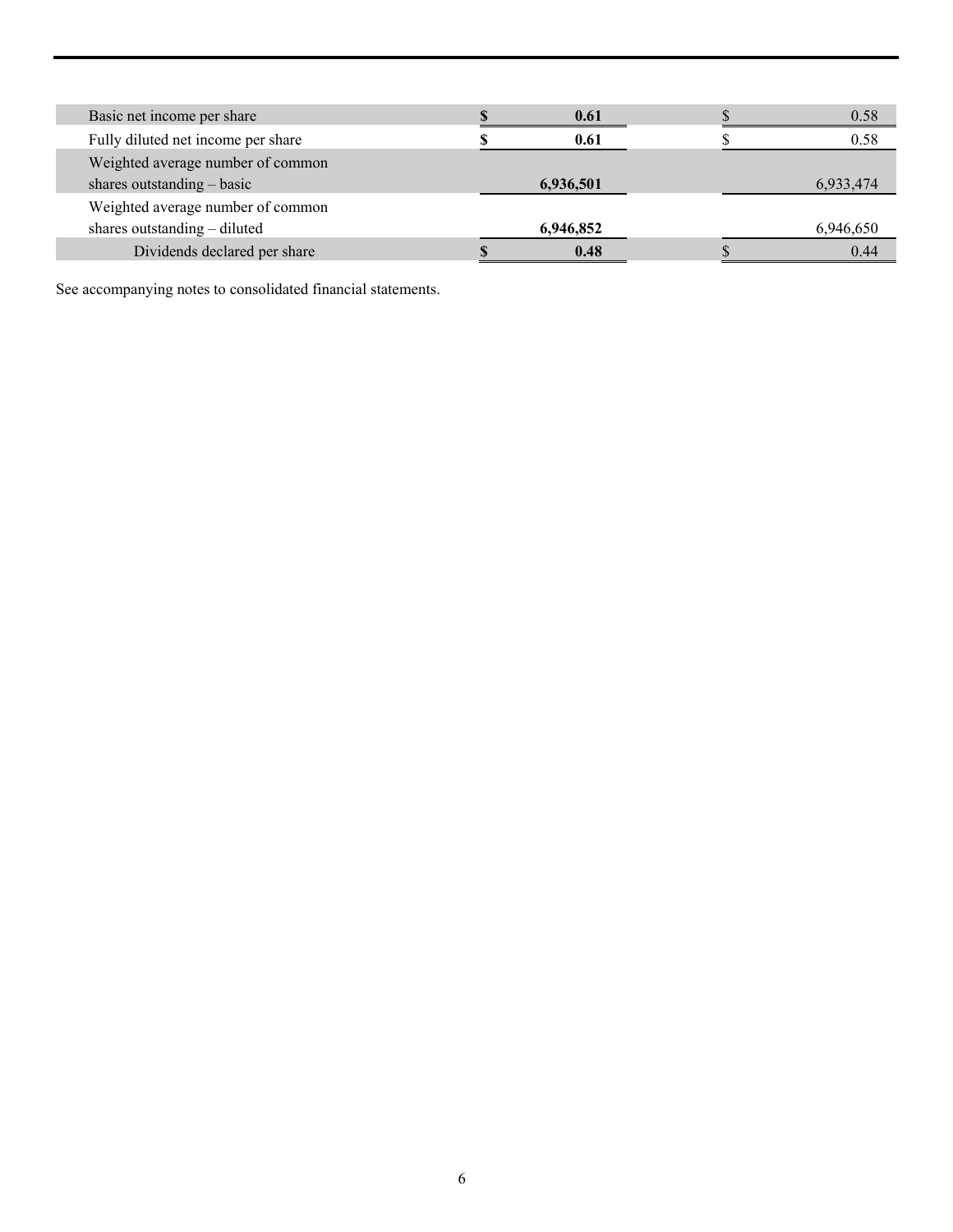| Basic net income per share         | 0.61      | 0.58      |
|------------------------------------|-----------|-----------|
| Fully diluted net income per share | 0.61      | 0.58      |
| Weighted average number of common  |           |           |
| shares outstanding $-$ basic       | 6,936,501 | 6,933,474 |
| Weighted average number of common  |           |           |
| shares outstanding – diluted       | 6,946,852 | 6,946,650 |
| Dividends declared per share       | 0.48      | 0.44      |

See accompanying notes to consolidated financial statements.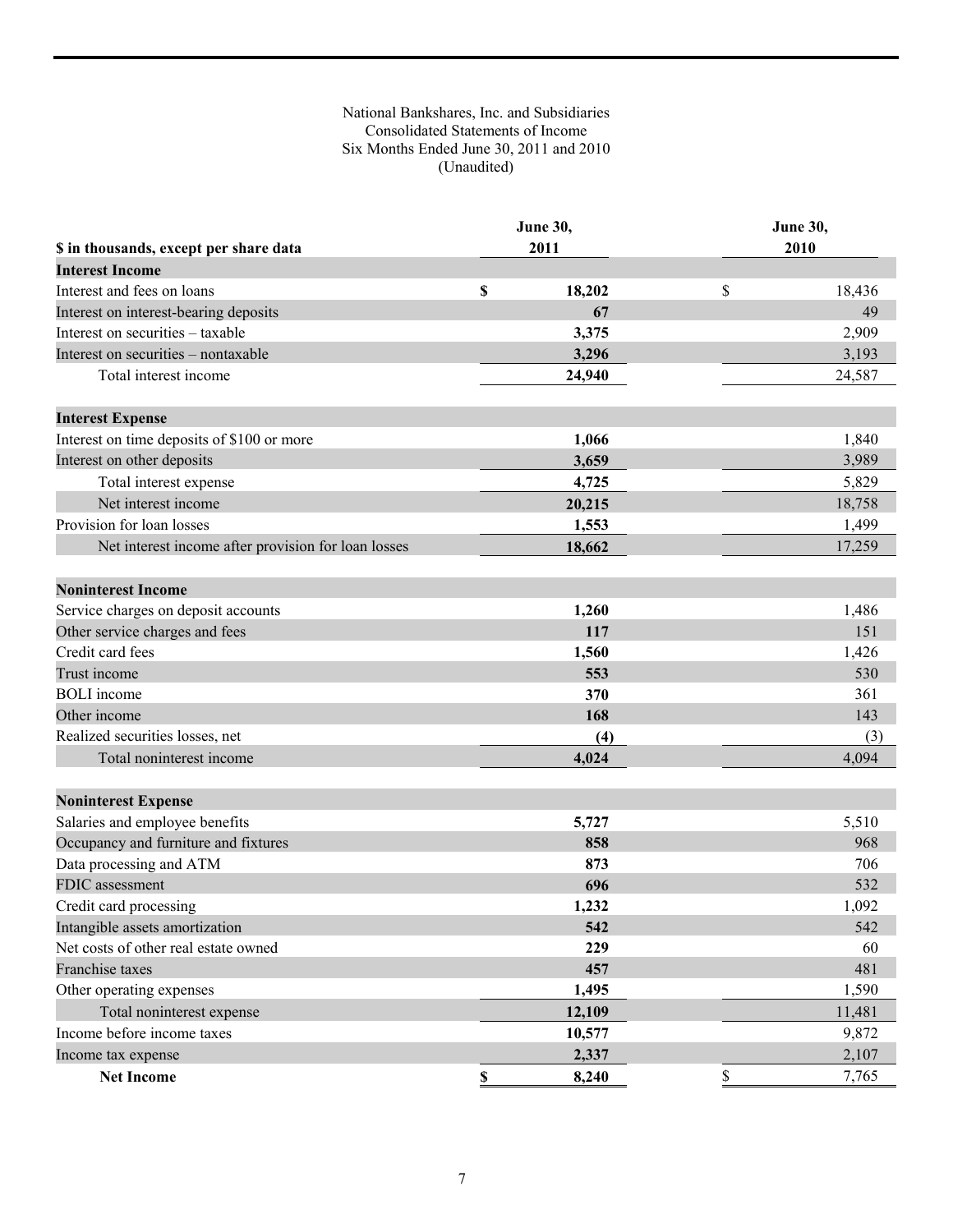# National Bankshares, Inc. and Subsidiaries Consolidated Statements of Income Six Months Ended June 30, 2011 and 2010 (Unaudited)

|                                                     | June 30,    |        | <b>June 30,</b> |        |  |
|-----------------------------------------------------|-------------|--------|-----------------|--------|--|
| \$ in thousands, except per share data              |             | 2011   |                 | 2010   |  |
| <b>Interest Income</b>                              |             |        |                 |        |  |
| Interest and fees on loans                          | \$          | 18,202 | \$              | 18,436 |  |
| Interest on interest-bearing deposits               |             | 67     |                 | 49     |  |
| Interest on securities - taxable                    |             | 3,375  |                 | 2,909  |  |
| Interest on securities - nontaxable                 |             | 3,296  |                 | 3,193  |  |
| Total interest income                               |             | 24,940 |                 | 24,587 |  |
| <b>Interest Expense</b>                             |             |        |                 |        |  |
| Interest on time deposits of \$100 or more          |             | 1,066  |                 | 1,840  |  |
| Interest on other deposits                          |             | 3,659  |                 | 3,989  |  |
| Total interest expense                              |             | 4,725  |                 | 5,829  |  |
| Net interest income                                 |             | 20,215 |                 | 18,758 |  |
| Provision for loan losses                           |             | 1,553  |                 | 1,499  |  |
| Net interest income after provision for loan losses |             | 18,662 |                 | 17,259 |  |
| <b>Noninterest Income</b>                           |             |        |                 |        |  |
| Service charges on deposit accounts                 |             | 1,260  |                 | 1,486  |  |
| Other service charges and fees                      |             | 117    |                 | 151    |  |
| Credit card fees                                    |             | 1,560  |                 | 1,426  |  |
| Trust income                                        |             | 553    |                 | 530    |  |
| <b>BOLI</b> income                                  |             | 370    |                 | 361    |  |
| Other income                                        |             | 168    |                 | 143    |  |
| Realized securities losses, net                     |             | (4)    |                 | (3)    |  |
| Total noninterest income                            |             | 4,024  |                 | 4,094  |  |
| <b>Noninterest Expense</b>                          |             |        |                 |        |  |
| Salaries and employee benefits                      |             | 5,727  |                 | 5,510  |  |
| Occupancy and furniture and fixtures                |             | 858    |                 | 968    |  |
| Data processing and ATM                             |             | 873    |                 | 706    |  |
| <b>FDIC</b> assessment                              |             | 696    |                 | 532    |  |
| Credit card processing                              |             | 1,232  |                 | 1,092  |  |
| Intangible assets amortization                      |             | 542    |                 | 542    |  |
| Net costs of other real estate owned                |             | 229    |                 | 60     |  |
| Franchise taxes                                     |             | 457    |                 | 481    |  |
| Other operating expenses                            |             | 1,495  |                 | 1,590  |  |
| Total noninterest expense                           |             | 12,109 |                 | 11,481 |  |
| Income before income taxes                          |             | 10,577 |                 | 9,872  |  |
| Income tax expense                                  |             | 2,337  |                 | 2,107  |  |
| <b>Net Income</b>                                   | $\mathbb S$ | 8,240  | \$              | 7,765  |  |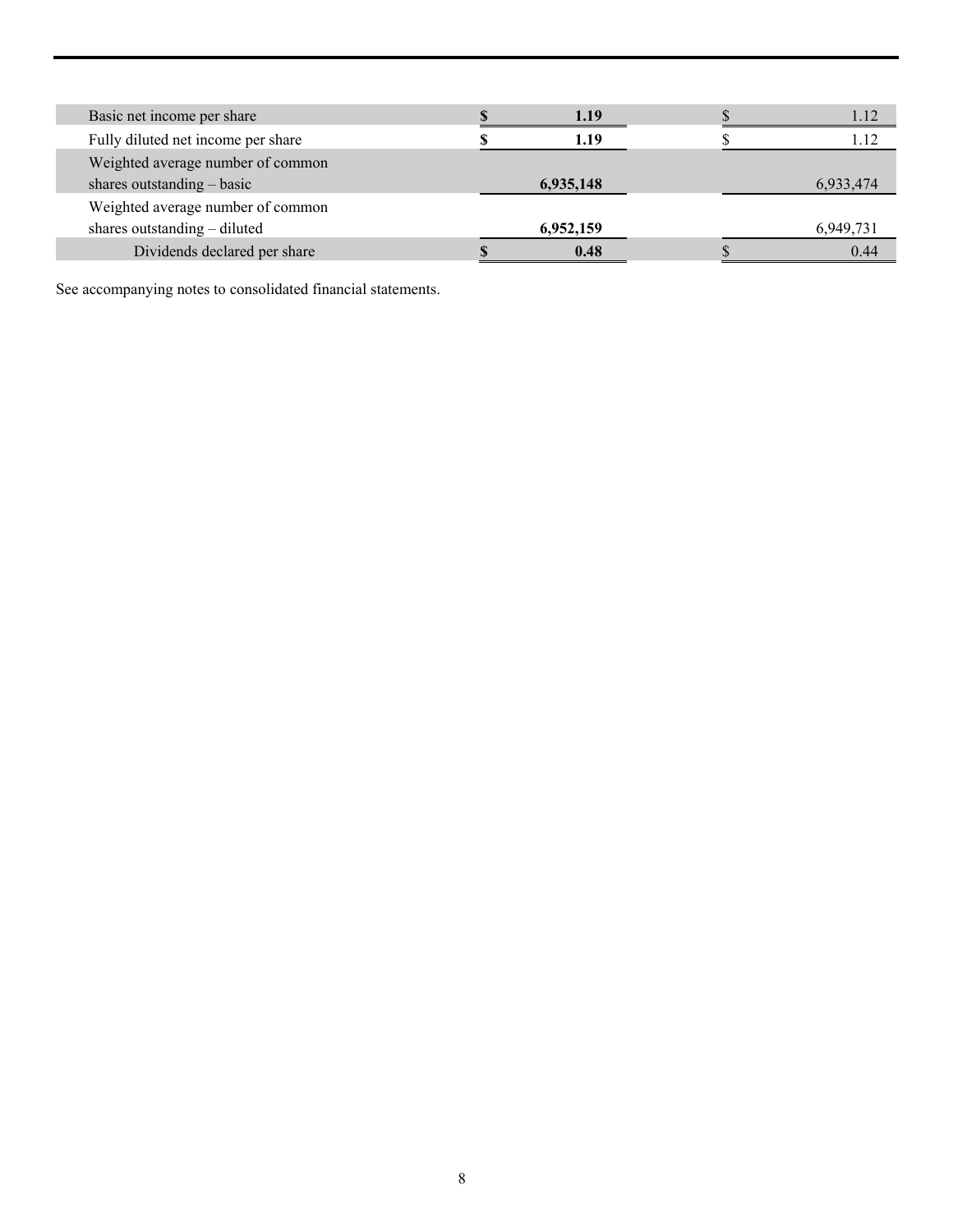| Basic net income per share         | 1.19      | 1.12      |
|------------------------------------|-----------|-----------|
| Fully diluted net income per share | 1.19      | 1.12      |
| Weighted average number of common  |           |           |
| shares outstanding $-$ basic       | 6,935,148 | 6,933,474 |
| Weighted average number of common  |           |           |
| shares outstanding – diluted       | 6,952,159 | 6,949,731 |
| Dividends declared per share       | 0.48      | 0.44      |

See accompanying notes to consolidated financial statements.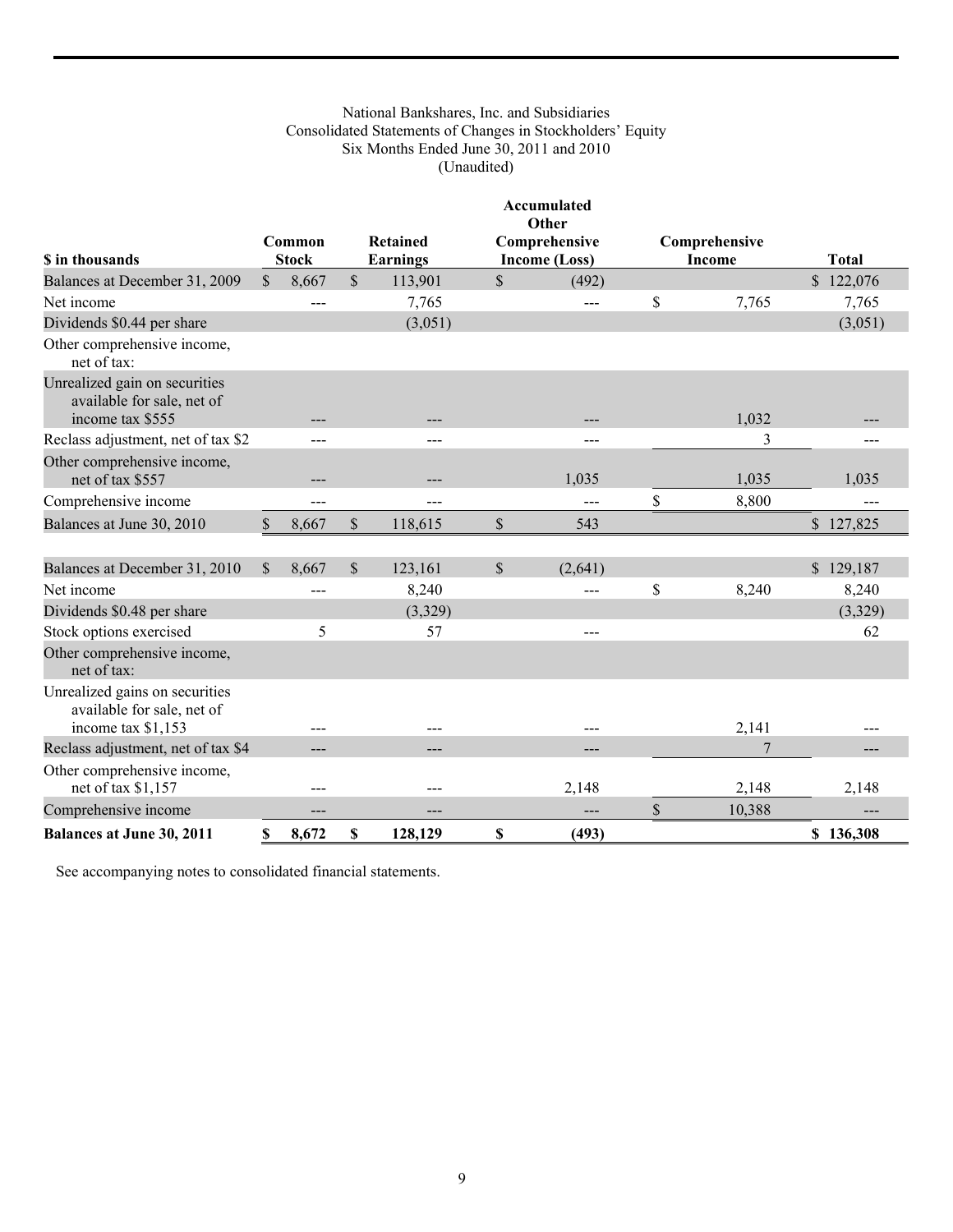# National Bankshares, Inc. and Subsidiaries Consolidated Statements of Changes in Stockholders' Equity Six Months Ended June 30, 2011 and 2010 (Unaudited)

|                                                                                    |               |                        |               |                 |               | Accumulated<br>Other |                |              |
|------------------------------------------------------------------------------------|---------------|------------------------|---------------|-----------------|---------------|----------------------|----------------|--------------|
| <b>S</b> in thousands                                                              |               | Common<br><b>Stock</b> |               | <b>Retained</b> |               | Comprehensive        | Comprehensive  | <b>Total</b> |
|                                                                                    |               |                        | $\mathbf S$   | <b>Earnings</b> |               | Income (Loss)        | Income         |              |
| Balances at December 31, 2009<br>Net income                                        | $\mathcal{S}$ | 8,667                  |               | 113,901         | $\mathcal{S}$ | (492)                |                | \$122,076    |
|                                                                                    |               |                        |               | 7,765           |               | $---$                | \$<br>7,765    | 7,765        |
| Dividends \$0.44 per share<br>Other comprehensive income,<br>net of tax:           |               |                        |               | (3,051)         |               |                      |                | (3,051)      |
| Unrealized gain on securities<br>available for sale, net of<br>income tax \$555    |               |                        |               |                 |               |                      | 1,032          |              |
| Reclass adjustment, net of tax \$2                                                 |               | $---$                  |               | $---$           |               | $---$                | 3              | ---          |
| Other comprehensive income,<br>net of tax \$557                                    |               |                        |               |                 |               | 1,035                | 1,035          | 1,035        |
| Comprehensive income                                                               |               | ---                    |               |                 |               | $---$                | \$<br>8,800    | $---$        |
| Balances at June 30, 2010                                                          | \$            | 8,667                  | \$            | 118,615         | \$            | 543                  |                | \$127,825    |
|                                                                                    |               |                        |               |                 |               |                      |                |              |
| Balances at December 31, 2010                                                      | <sup>\$</sup> | 8,667                  | $\mathcal{S}$ | 123,161         | $\mathcal{S}$ | (2,641)              |                | \$129,187    |
| Net income                                                                         |               |                        |               | 8,240           |               | $---$                | \$<br>8,240    | 8,240        |
| Dividends \$0.48 per share                                                         |               |                        |               | (3,329)         |               |                      |                | (3,329)      |
| Stock options exercised                                                            |               | 5                      |               | 57              |               | $---$                |                | 62           |
| Other comprehensive income,<br>net of tax:                                         |               |                        |               |                 |               |                      |                |              |
| Unrealized gains on securities<br>available for sale, net of<br>income tax \$1,153 |               | ---                    |               | ---             |               | $---$                | 2,141          |              |
| Reclass adjustment, net of tax \$4                                                 |               |                        |               |                 |               | $---$                | $\overline{7}$ |              |
| Other comprehensive income,<br>net of tax \$1,157                                  |               | ---                    |               | $---$           |               | 2,148                | 2,148          | 2,148        |
| Comprehensive income                                                               |               | ---                    |               | ---             |               | $---$                | \$<br>10,388   |              |
| <b>Balances at June 30, 2011</b>                                                   | S             | 8,672                  | \$            | 128,129         | \$            | (493)                |                | \$136,308    |

See accompanying notes to consolidated financial statements.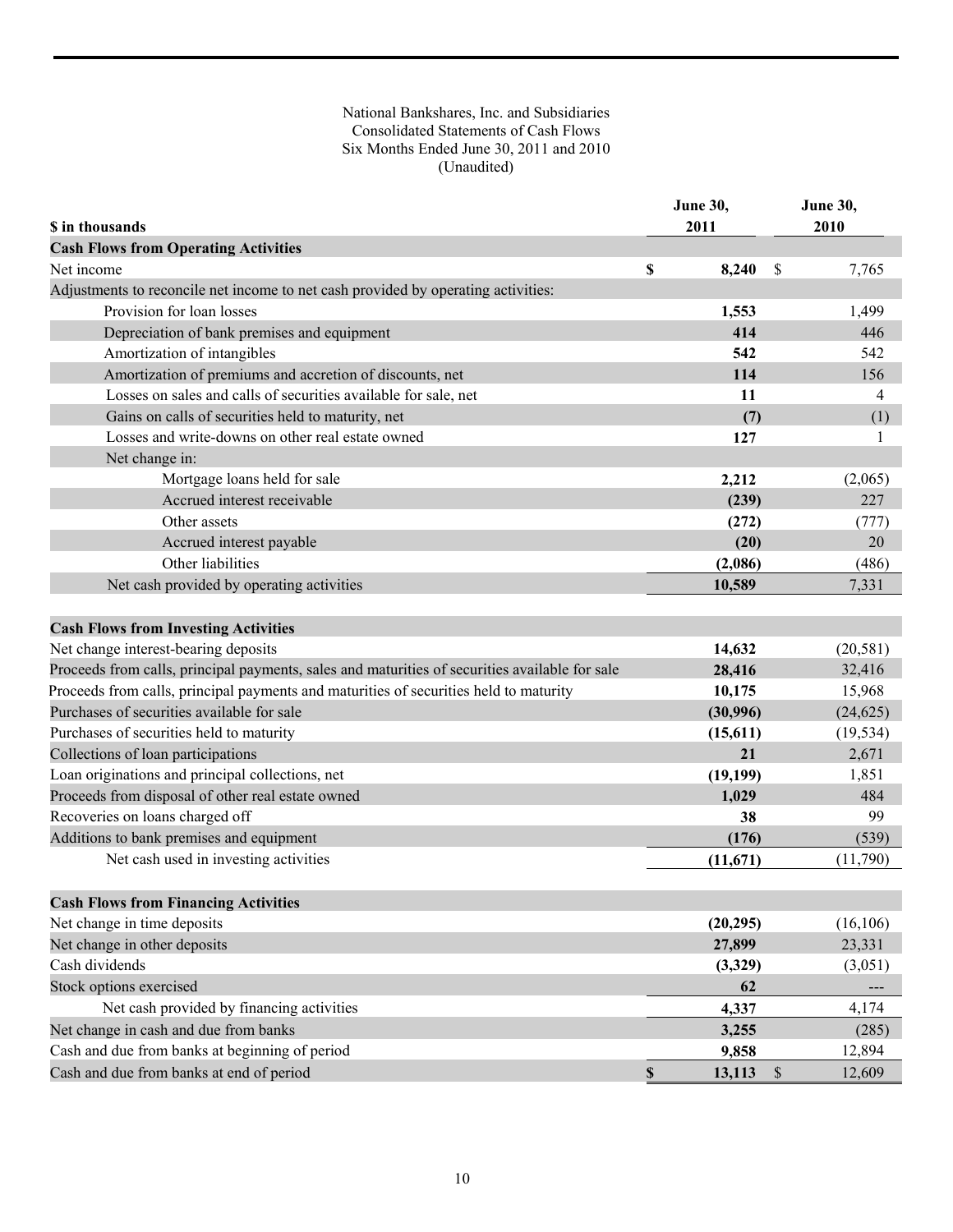# National Bankshares, Inc. and Subsidiaries Consolidated Statements of Cash Flows Six Months Ended June 30, 2011 and 2010 (Unaudited)

| \$ in thousands                                                                                                                     |             | <b>June 30,</b><br>2011 |               | June 30,<br>2010 |
|-------------------------------------------------------------------------------------------------------------------------------------|-------------|-------------------------|---------------|------------------|
| <b>Cash Flows from Operating Activities</b>                                                                                         |             |                         |               |                  |
| Net income                                                                                                                          | \$          | 8,240                   | <sup>\$</sup> | 7,765            |
| Adjustments to reconcile net income to net cash provided by operating activities:                                                   |             |                         |               |                  |
| Provision for loan losses                                                                                                           |             | 1,553                   |               | 1,499            |
| Depreciation of bank premises and equipment                                                                                         |             | 414                     |               | 446              |
| Amortization of intangibles                                                                                                         |             | 542                     |               | 542              |
| Amortization of premiums and accretion of discounts, net                                                                            |             | 114                     |               | 156              |
| Losses on sales and calls of securities available for sale, net                                                                     |             | 11                      |               | 4                |
| Gains on calls of securities held to maturity, net                                                                                  |             | (7)                     |               | (1)              |
| Losses and write-downs on other real estate owned                                                                                   |             | 127                     |               | 1                |
| Net change in:                                                                                                                      |             |                         |               |                  |
| Mortgage loans held for sale                                                                                                        |             | 2,212                   |               | (2,065)          |
| Accrued interest receivable                                                                                                         |             | (239)                   |               | 227              |
| Other assets                                                                                                                        |             | (272)                   |               | (777)            |
| Accrued interest payable                                                                                                            |             | (20)                    |               | 20               |
| Other liabilities                                                                                                                   |             | (2,086)                 |               | (486)            |
| Net cash provided by operating activities                                                                                           |             | 10,589                  |               | 7.331            |
|                                                                                                                                     |             |                         |               |                  |
| <b>Cash Flows from Investing Activities</b>                                                                                         |             |                         |               |                  |
| Net change interest-bearing deposits                                                                                                |             | 14,632                  |               | (20, 581)        |
| Proceeds from calls, principal payments, sales and maturities of securities available for sale                                      |             | 28,416                  |               | 32,416           |
| Proceeds from calls, principal payments and maturities of securities held to maturity<br>Purchases of securities available for sale |             | 10,175                  |               | 15,968           |
|                                                                                                                                     |             | (30,996)                |               | (24, 625)        |
| Purchases of securities held to maturity                                                                                            |             | (15, 611)               |               | (19, 534)        |
| Collections of loan participations                                                                                                  |             | 21                      |               | 2,671            |
| Loan originations and principal collections, net                                                                                    |             | (19, 199)               |               | 1,851            |
| Proceeds from disposal of other real estate owned                                                                                   |             | 1,029                   |               | 484              |
| Recoveries on loans charged off                                                                                                     |             | 38                      |               | 99               |
| Additions to bank premises and equipment                                                                                            |             | (176)                   |               | (539)            |
| Net cash used in investing activities                                                                                               |             | (11,671)                |               | (11,790)         |
| <b>Cash Flows from Financing Activities</b>                                                                                         |             |                         |               |                  |
| Net change in time deposits                                                                                                         |             | (20, 295)               |               | (16, 106)        |
| Net change in other deposits                                                                                                        |             | 27,899                  |               | 23,331           |
| Cash dividends                                                                                                                      |             | (3,329)                 |               | (3,051)          |
| Stock options exercised                                                                                                             |             | 62                      |               |                  |
| Net cash provided by financing activities                                                                                           |             | 4,337                   |               | 4,174            |
| Net change in cash and due from banks                                                                                               |             | 3,255                   |               | (285)            |
| Cash and due from banks at beginning of period                                                                                      |             | 9,858                   |               | 12,894           |
| Cash and due from banks at end of period                                                                                            | $\mathbb S$ | 13,113                  | $\mathbb{S}$  | 12,609           |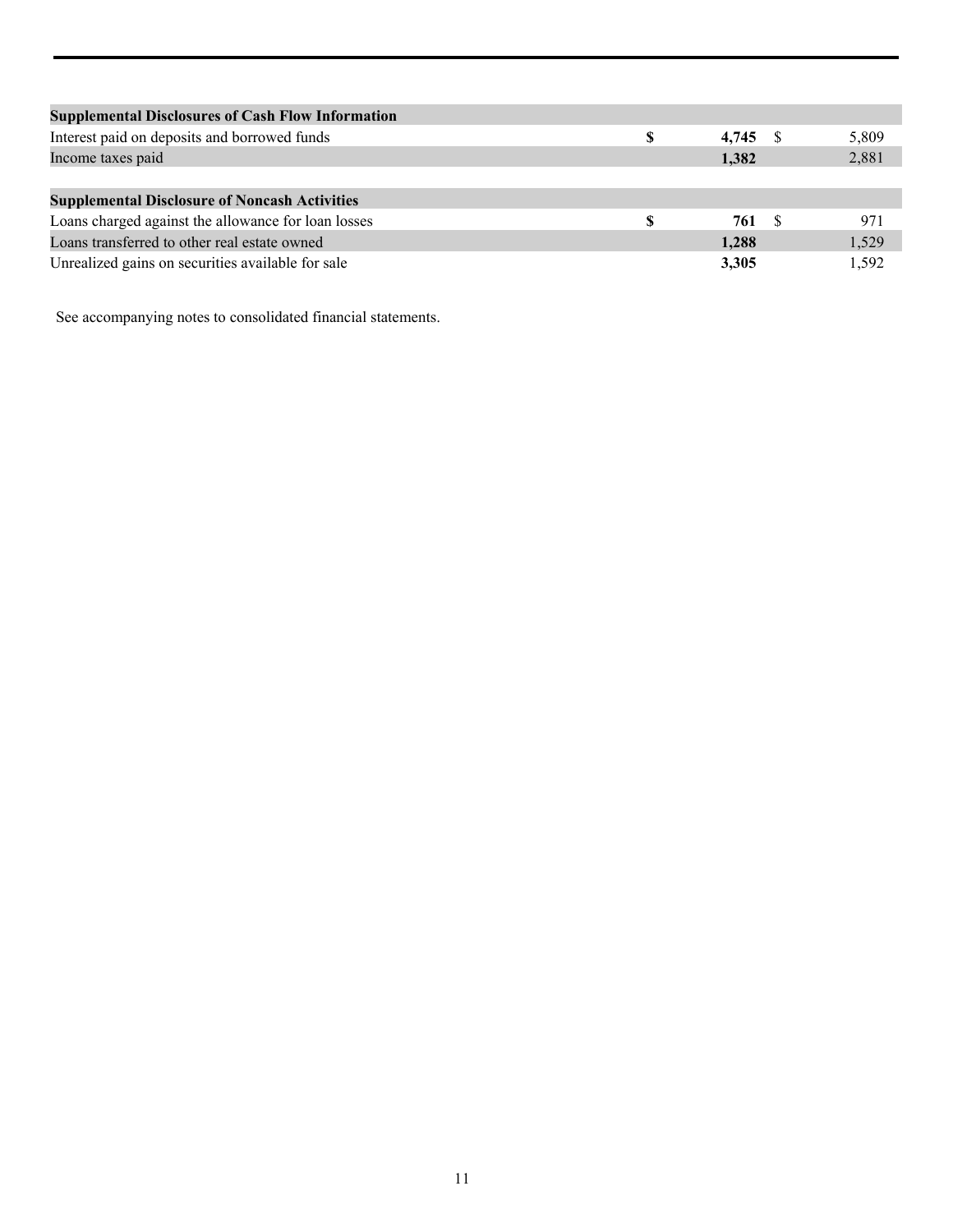| <b>Supplemental Disclosures of Cash Flow Information</b> |   |            |       |
|----------------------------------------------------------|---|------------|-------|
| Interest paid on deposits and borrowed funds             | S | $4,745$ \$ | 5,809 |
| Income taxes paid                                        |   | 1,382      | 2,881 |
|                                                          |   |            |       |
| <b>Supplemental Disclosure of Noncash Activities</b>     |   |            |       |
| Loans charged against the allowance for loan losses      |   | 761        | 971   |
| Loans transferred to other real estate owned             |   | 1.288      | 1,529 |
| Unrealized gains on securities available for sale        |   | 3,305      | 1.592 |
|                                                          |   |            |       |

See accompanying notes to consolidated financial statements.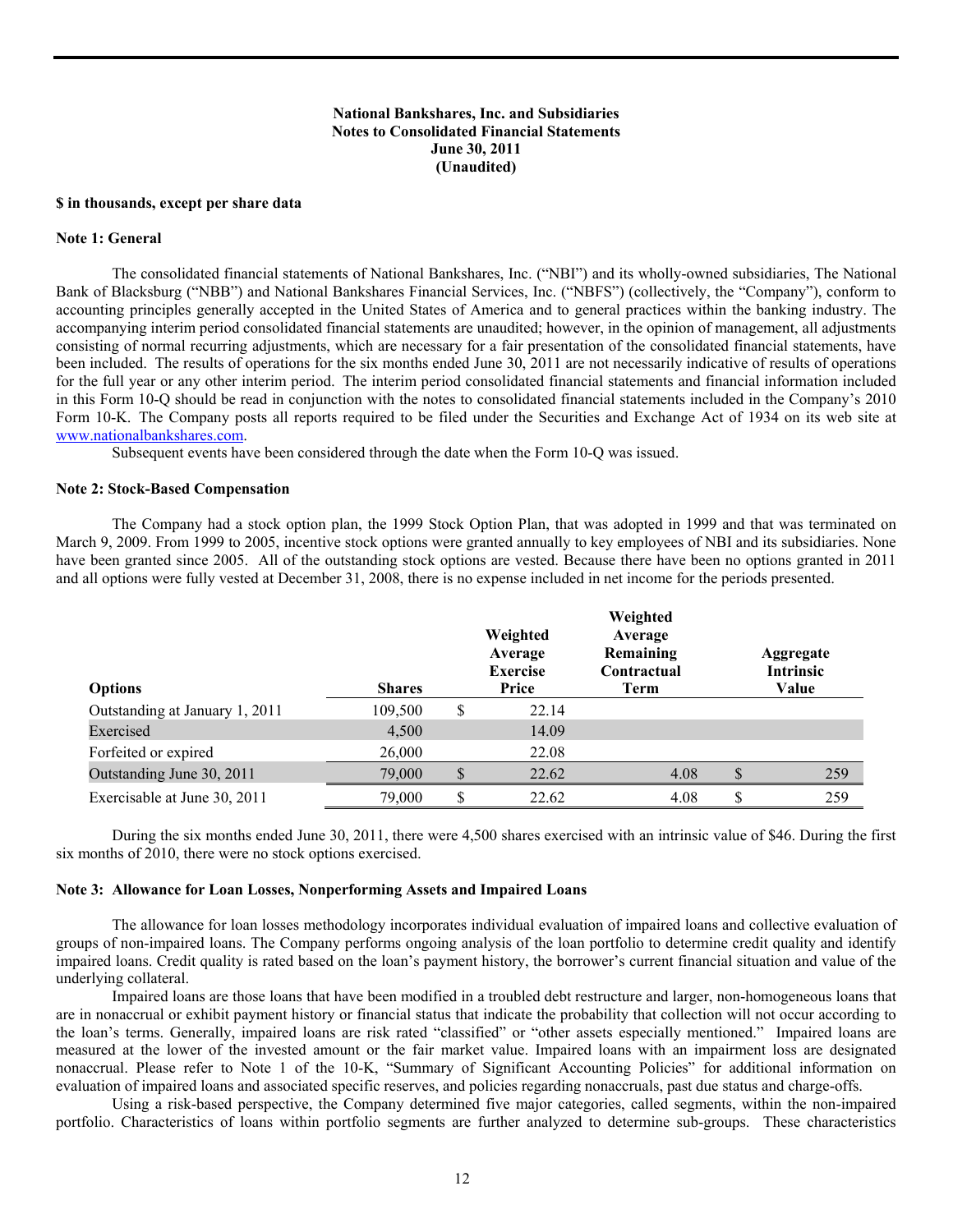## **National Bankshares, Inc. and Subsidiaries Notes to Consolidated Financial Statements June 30, 2011 (Unaudited)**

#### **\$ in thousands, except per share data**

#### **Note 1: General**

The consolidated financial statements of National Bankshares, Inc. ("NBI") and its wholly-owned subsidiaries, The National Bank of Blacksburg ("NBB") and National Bankshares Financial Services, Inc. ("NBFS") (collectively, the "Company"), conform to accounting principles generally accepted in the United States of America and to general practices within the banking industry. The accompanying interim period consolidated financial statements are unaudited; however, in the opinion of management, all adjustments consisting of normal recurring adjustments, which are necessary for a fair presentation of the consolidated financial statements, have been included. The results of operations for the six months ended June 30, 2011 are not necessarily indicative of results of operations for the full year or any other interim period. The interim period consolidated financial statements and financial information included in this Form 10-Q should be read in conjunction with the notes to consolidated financial statements included in the Company's 2010 Form 10-K. The Company posts all reports required to be filed under the Securities and Exchange Act of 1934 on its web site at www.nationalbankshares.com.

Subsequent events have been considered through the date when the Form 10-Q was issued.

#### **Note 2: Stock-Based Compensation**

The Company had a stock option plan, the 1999 Stock Option Plan, that was adopted in 1999 and that was terminated on March 9, 2009. From 1999 to 2005, incentive stock options were granted annually to key employees of NBI and its subsidiaries. None have been granted since 2005. All of the outstanding stock options are vested. Because there have been no options granted in 2011 and all options were fully vested at December 31, 2008, there is no expense included in net income for the periods presented.

| <b>Options</b>                 | <b>Shares</b> | Weighted<br>Average<br><b>Exercise</b><br>Price | Weighted<br>Average<br>Remaining<br>Contractual<br>Term |   | Aggregate<br>Intrinsic<br>Value |
|--------------------------------|---------------|-------------------------------------------------|---------------------------------------------------------|---|---------------------------------|
| Outstanding at January 1, 2011 | 109,500       | \$<br>22.14                                     |                                                         |   |                                 |
| Exercised                      | 4,500         | 14.09                                           |                                                         |   |                                 |
| Forfeited or expired           | 26,000        | 22.08                                           |                                                         |   |                                 |
| Outstanding June 30, 2011      | 79,000        | \$<br>22.62                                     | 4.08                                                    |   | 259                             |
| Exercisable at June 30, 2011   | 79,000        | \$<br>22.62                                     | 4.08                                                    | S | 259                             |

During the six months ended June 30, 2011, there were 4,500 shares exercised with an intrinsic value of \$46. During the first six months of 2010, there were no stock options exercised.

#### **Note 3: Allowance for Loan Losses, Nonperforming Assets and Impaired Loans**

The allowance for loan losses methodology incorporates individual evaluation of impaired loans and collective evaluation of groups of non-impaired loans. The Company performs ongoing analysis of the loan portfolio to determine credit quality and identify impaired loans. Credit quality is rated based on the loan's payment history, the borrower's current financial situation and value of the underlying collateral.

 Impaired loans are those loans that have been modified in a troubled debt restructure and larger, non-homogeneous loans that are in nonaccrual or exhibit payment history or financial status that indicate the probability that collection will not occur according to the loan's terms. Generally, impaired loans are risk rated "classified" or "other assets especially mentioned." Impaired loans are measured at the lower of the invested amount or the fair market value. Impaired loans with an impairment loss are designated nonaccrual. Please refer to Note 1 of the 10-K, "Summary of Significant Accounting Policies" for additional information on evaluation of impaired loans and associated specific reserves, and policies regarding nonaccruals, past due status and charge-offs.

 Using a risk-based perspective, the Company determined five major categories, called segments, within the non-impaired portfolio. Characteristics of loans within portfolio segments are further analyzed to determine sub-groups. These characteristics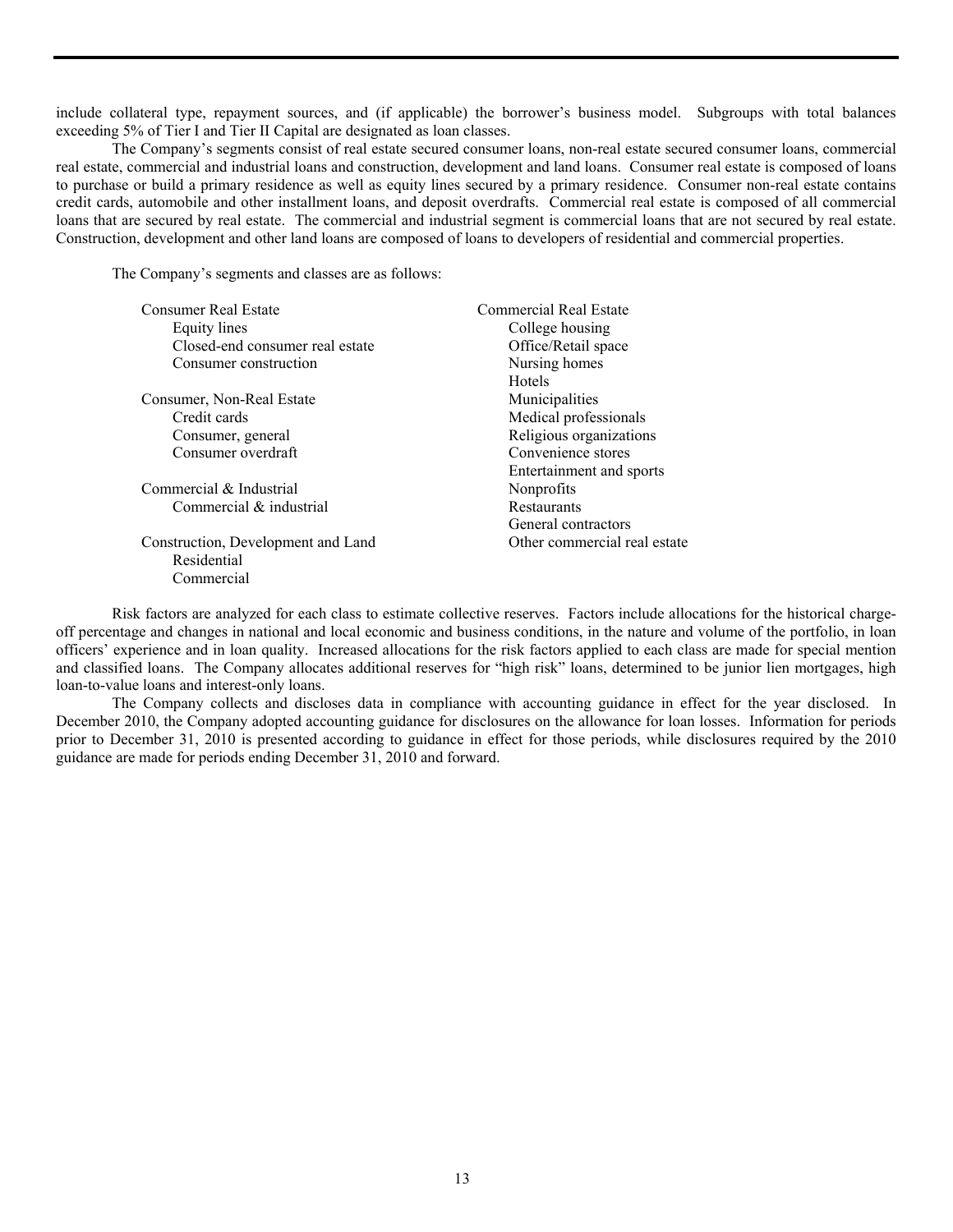include collateral type, repayment sources, and (if applicable) the borrower's business model. Subgroups with total balances exceeding 5% of Tier I and Tier II Capital are designated as loan classes.

 The Company's segments consist of real estate secured consumer loans, non-real estate secured consumer loans, commercial real estate, commercial and industrial loans and construction, development and land loans. Consumer real estate is composed of loans to purchase or build a primary residence as well as equity lines secured by a primary residence. Consumer non-real estate contains credit cards, automobile and other installment loans, and deposit overdrafts. Commercial real estate is composed of all commercial loans that are secured by real estate. The commercial and industrial segment is commercial loans that are not secured by real estate. Construction, development and other land loans are composed of loans to developers of residential and commercial properties.

The Company's segments and classes are as follows:

| <b>Consumer Real Estate</b>        | <b>Commercial Real Estate</b> |
|------------------------------------|-------------------------------|
| Equity lines                       | College housing               |
| Closed-end consumer real estate    | Office/Retail space           |
| Consumer construction              | Nursing homes                 |
|                                    | <b>Hotels</b>                 |
| Consumer, Non-Real Estate          | Municipalities                |
| Credit cards                       | Medical professionals         |
| Consumer, general                  | Religious organizations       |
| Consumer overdraft                 | Convenience stores            |
|                                    | Entertainment and sports      |
| Commercial & Industrial            | Nonprofits                    |
| Commercial & industrial            | Restaurants                   |
|                                    | General contractors           |
| Construction, Development and Land | Other commercial real estate  |
| Residential                        |                               |
| Commercial                         |                               |

 Risk factors are analyzed for each class to estimate collective reserves. Factors include allocations for the historical chargeoff percentage and changes in national and local economic and business conditions, in the nature and volume of the portfolio, in loan officers' experience and in loan quality. Increased allocations for the risk factors applied to each class are made for special mention and classified loans. The Company allocates additional reserves for "high risk" loans, determined to be junior lien mortgages, high loan-to-value loans and interest-only loans.

 The Company collects and discloses data in compliance with accounting guidance in effect for the year disclosed. In December 2010, the Company adopted accounting guidance for disclosures on the allowance for loan losses. Information for periods prior to December 31, 2010 is presented according to guidance in effect for those periods, while disclosures required by the 2010 guidance are made for periods ending December 31, 2010 and forward.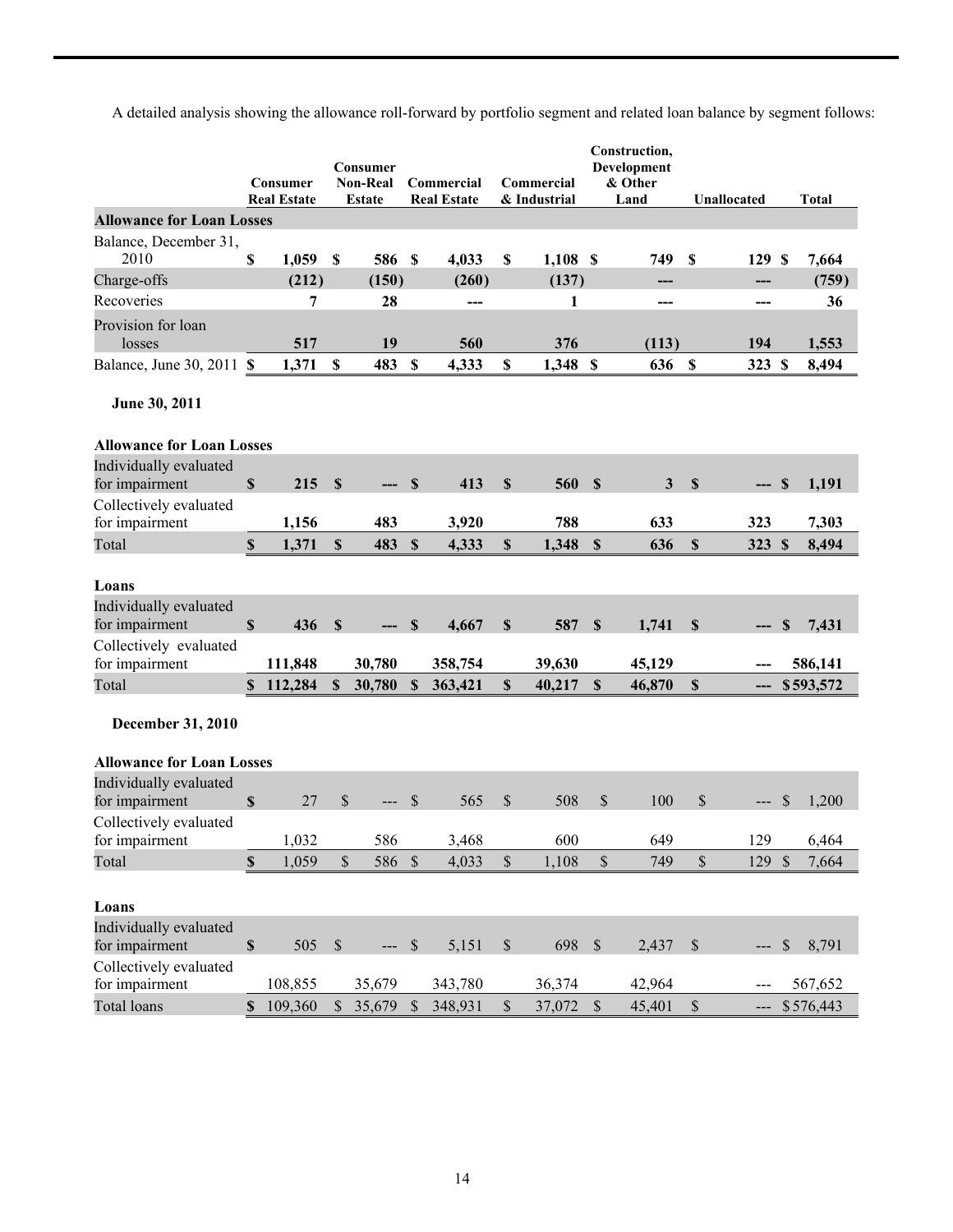A detailed analysis showing the allowance roll-forward by portfolio segment and related loan balance by segment follows:

|                                          |                           | Consumer<br><b>Real Estate</b> |              | Consumer<br><b>Non-Real</b><br>Estate |                           | Commercial<br><b>Real Estate</b> |                           | Commercial<br>& Industrial |               | Construction,<br>Development<br>& Other<br>Land |                           | Unallocated |               | <b>Total</b> |
|------------------------------------------|---------------------------|--------------------------------|--------------|---------------------------------------|---------------------------|----------------------------------|---------------------------|----------------------------|---------------|-------------------------------------------------|---------------------------|-------------|---------------|--------------|
| <b>Allowance for Loan Losses</b>         |                           |                                |              |                                       |                           |                                  |                           |                            |               |                                                 |                           |             |               |              |
| Balance, December 31,                    |                           |                                |              |                                       |                           |                                  |                           |                            |               |                                                 |                           |             |               |              |
| 2010                                     | \$                        | 1,059                          | $\mathbb{S}$ | 586                                   | $\boldsymbol{\mathsf{S}}$ | 4,033                            | $\boldsymbol{\mathsf{S}}$ | $1,108$ \$                 |               | 749                                             | S                         | 129         | -S            | 7,664        |
| Charge-offs                              |                           | (212)                          |              | (150)                                 |                           | (260)                            |                           | (137)                      |               |                                                 |                           |             |               | (759)        |
| Recoveries                               |                           | 7                              |              | 28                                    |                           | ---                              |                           | 1                          |               | ---                                             |                           | ---         |               | 36           |
| Provision for loan<br>losses             |                           | 517                            |              | 19                                    |                           | 560                              |                           | 376                        |               | (113)                                           |                           | 194         |               | 1,553        |
| Balance, June 30, 2011 \$                |                           | 1,371                          | $\mathbf S$  | 483                                   | $\boldsymbol{\mathsf{S}}$ | 4,333                            | \$                        | 1,348 \$                   |               | 636                                             | $\boldsymbol{\mathsf{S}}$ | 323 \$      |               | 8,494        |
| June 30, 2011                            |                           |                                |              |                                       |                           |                                  |                           |                            |               |                                                 |                           |             |               |              |
| <b>Allowance for Loan Losses</b>         |                           |                                |              |                                       |                           |                                  |                           |                            |               |                                                 |                           |             |               |              |
| Individually evaluated                   |                           |                                |              |                                       |                           |                                  |                           |                            |               |                                                 |                           |             |               |              |
| for impairment                           | $\mathbf S$               | 215                            | $\mathbf{s}$ |                                       | <b>S</b>                  | 413                              | $\mathbf S$               | 560                        | $\mathbf S$   | $\mathbf{3}$                                    | $\mathbf S$               |             | S             | 1,191        |
| Collectively evaluated                   |                           |                                |              |                                       |                           |                                  |                           |                            |               |                                                 |                           |             |               |              |
| for impairment                           |                           | 1,156                          |              | 483                                   |                           | 3,920                            |                           | 788                        |               | 633                                             |                           | 323         |               | 7,303        |
| Total                                    | $\boldsymbol{\mathsf{S}}$ | 1,371                          | $\mathbb{S}$ | 483                                   | $\mathbf S$               | 4,333                            | $\mathbb{S}$              | 1,348                      | $\mathbf S$   | 636                                             | $\mathbb{S}$              | 323 \$      |               | 8,494        |
| Loans                                    |                           |                                |              |                                       |                           |                                  |                           |                            |               |                                                 |                           |             |               |              |
| Individually evaluated                   |                           |                                |              |                                       |                           |                                  |                           |                            |               |                                                 |                           |             |               |              |
| for impairment                           | $\mathbb{S}$              | 436                            | $\mathbf S$  |                                       | S                         | 4,667                            | $\mathbf S$               | 587                        | $\mathbf S$   | 1,741                                           | \$                        |             | S             | 7,431        |
| Collectively evaluated                   |                           |                                |              |                                       |                           |                                  |                           |                            |               |                                                 |                           |             |               |              |
| for impairment                           |                           | 111,848                        |              | 30,780                                |                           | 358,754                          |                           | 39,630                     |               | 45,129                                          |                           |             |               | 586,141      |
| Total                                    | S.                        | 112,284                        | <b>S</b>     | 30,780                                | $\mathbf S$               | 363,421                          | \$                        | 40,217                     | S             | 46,870                                          | $\mathbf S$               |             |               | \$593,572    |
| December 31, 2010                        |                           |                                |              |                                       |                           |                                  |                           |                            |               |                                                 |                           |             |               |              |
| <b>Allowance for Loan Losses</b>         |                           |                                |              |                                       |                           |                                  |                           |                            |               |                                                 |                           |             |               |              |
| Individually evaluated<br>for impairment | $\mathbf S$               | 27                             | \$           |                                       | \$                        | 565                              | $\mathbb{S}$              | 508                        | $\mathbb{S}$  | 100                                             | \$                        |             | <b>S</b>      | 1,200        |
| Collectively evaluated                   |                           |                                |              |                                       |                           |                                  |                           |                            |               |                                                 |                           |             |               |              |
| for impairment                           |                           | 1,032                          |              | 586                                   |                           | 3,468                            |                           | 600                        |               | 649                                             |                           | 129         |               | 6,464        |
| Total                                    | \$                        | 1,059                          | \$           | 586                                   | $\sqrt{S}$                | 4,033                            | \$                        | 1,108                      | $\mathbb{S}$  | 749                                             | $\mathbb S$               | 129         | $\mathcal{S}$ | 7,664        |
| Loans                                    |                           |                                |              |                                       |                           |                                  |                           |                            |               |                                                 |                           |             |               |              |
| Individually evaluated<br>for impairment | $\mathbb{S}$              | 505                            | \$           | ---                                   | $\mathcal{S}$             | 5,151                            | $\mathbb{S}$              | 698                        | $\mathcal{S}$ | 2,437                                           | $\boldsymbol{\mathsf{S}}$ | ---         | \$            | 8,791        |
| Collectively evaluated<br>for impairment |                           | 108,855                        |              | 35,679                                |                           | 343,780                          |                           | 36,374                     |               | 42,964                                          |                           |             |               | 567,652      |
| <b>Total loans</b>                       |                           | \$109,360                      |              | $$35,679$ \$                          |                           | 348,931                          | $\$$                      | 37,072 \$                  |               | 45,401                                          | $\mathcal{S}$             |             |               | $-5576,443$  |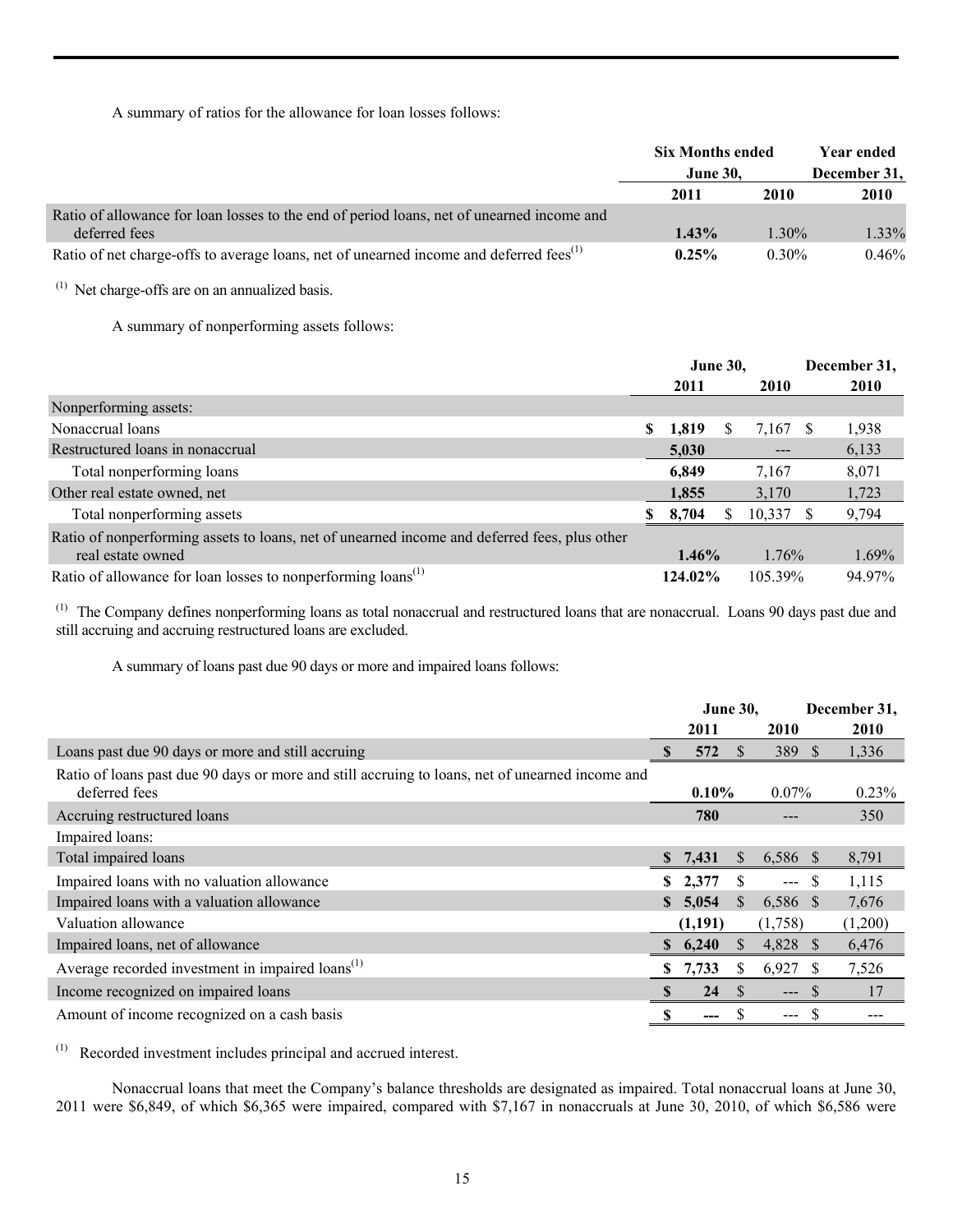A summary of ratios for the allowance for loan losses follows:

|                                                                                                            | <b>Six Months ended</b><br><b>June 30,</b> |          | Year ended<br>December 31, |
|------------------------------------------------------------------------------------------------------------|--------------------------------------------|----------|----------------------------|
|                                                                                                            | 2011                                       | 2010     | 2010                       |
| Ratio of allowance for loan losses to the end of period loans, net of unearned income and<br>deferred fees | $1.43\%$                                   | $1.30\%$ | 1.33%                      |
| Ratio of net charge-offs to average loans, net of unearned income and deferred fees <sup>(1)</sup>         | $0.25\%$                                   | $0.30\%$ | 0.46%                      |

 $(1)$  Net charge-offs are on an annualized basis.

A summary of nonperforming assets follows:

|                                                                                              |   | <b>June 30,</b> |   |          | December 31, |
|----------------------------------------------------------------------------------------------|---|-----------------|---|----------|--------------|
|                                                                                              |   | 2011            |   | 2010     | 2010         |
| Nonperforming assets:                                                                        |   |                 |   |          |              |
| Nonaccrual loans                                                                             | S | 1,819           | S | 7,167 \$ | 1,938        |
| Restructured loans in nonaccrual                                                             |   | 5,030           |   |          | 6,133        |
| Total nonperforming loans                                                                    |   | 6,849           |   | 7,167    | 8,071        |
| Other real estate owned, net                                                                 |   | 1,855           |   | 3,170    | 1,723        |
| Total nonperforming assets                                                                   | S | 8,704           |   | 10,337   | 9,794        |
| Ratio of nonperforming assets to loans, net of unearned income and deferred fees, plus other |   |                 |   |          |              |
| real estate owned                                                                            |   | $1.46\%$        |   | 1.76%    | $1.69\%$     |
| Ratio of allowance for loan losses to nonperforming loans <sup>(1)</sup>                     |   | 124.02%         |   | 105.39%  | 94.97%       |

(1) The Company defines nonperforming loans as total nonaccrual and restructured loans that are nonaccrual. Loans 90 days past due and still accruing and accruing restructured loans are excluded.

A summary of loans past due 90 days or more and impaired loans follows:

|                                                                                                                  |              | <b>June 30,</b> |          |                     | December 31, |
|------------------------------------------------------------------------------------------------------------------|--------------|-----------------|----------|---------------------|--------------|
|                                                                                                                  |              | 2011            |          | 2010                | 2010         |
| Loans past due 90 days or more and still accruing                                                                |              | 572             |          | 389 \$              | 1,336        |
| Ratio of loans past due 90 days or more and still accruing to loans, net of unearned income and<br>deferred fees |              | $0.10\%$        |          | $0.07\%$            | 0.23%        |
| Accruing restructured loans                                                                                      |              | 780             |          |                     | 350          |
| Impaired loans:                                                                                                  |              |                 |          |                     |              |
| Total impaired loans                                                                                             |              | 7,431           | S.       | 6,586 \$            | 8,791        |
| Impaired loans with no valuation allowance                                                                       | S.           | 2,377           | S.       | -S<br>$\frac{1}{2}$ | 1,115        |
| Impaired loans with a valuation allowance                                                                        | $\mathbf{s}$ | 5,054           | S.       | 6,586 \$            | 7,676        |
| Valuation allowance                                                                                              |              | (1,191)         |          | (1,758)             | (1,200)      |
| Impaired loans, net of allowance                                                                                 | S.           | 6,240           | <b>S</b> | 4,828 \$            | 6,476        |
| Average recorded investment in impaired loans <sup>(1)</sup>                                                     | S.           | 7,733           | S        | 6,927               | 7,526        |
| Income recognized on impaired loans                                                                              |              | 24              | <b>S</b> | $---$               | 17           |
| Amount of income recognized on a cash basis                                                                      |              | ---             |          | ---                 |              |

(1) Recorded investment includes principal and accrued interest.

 Nonaccrual loans that meet the Company's balance thresholds are designated as impaired. Total nonaccrual loans at June 30, 2011 were \$6,849, of which \$6,365 were impaired, compared with \$7,167 in nonaccruals at June 30, 2010, of which \$6,586 were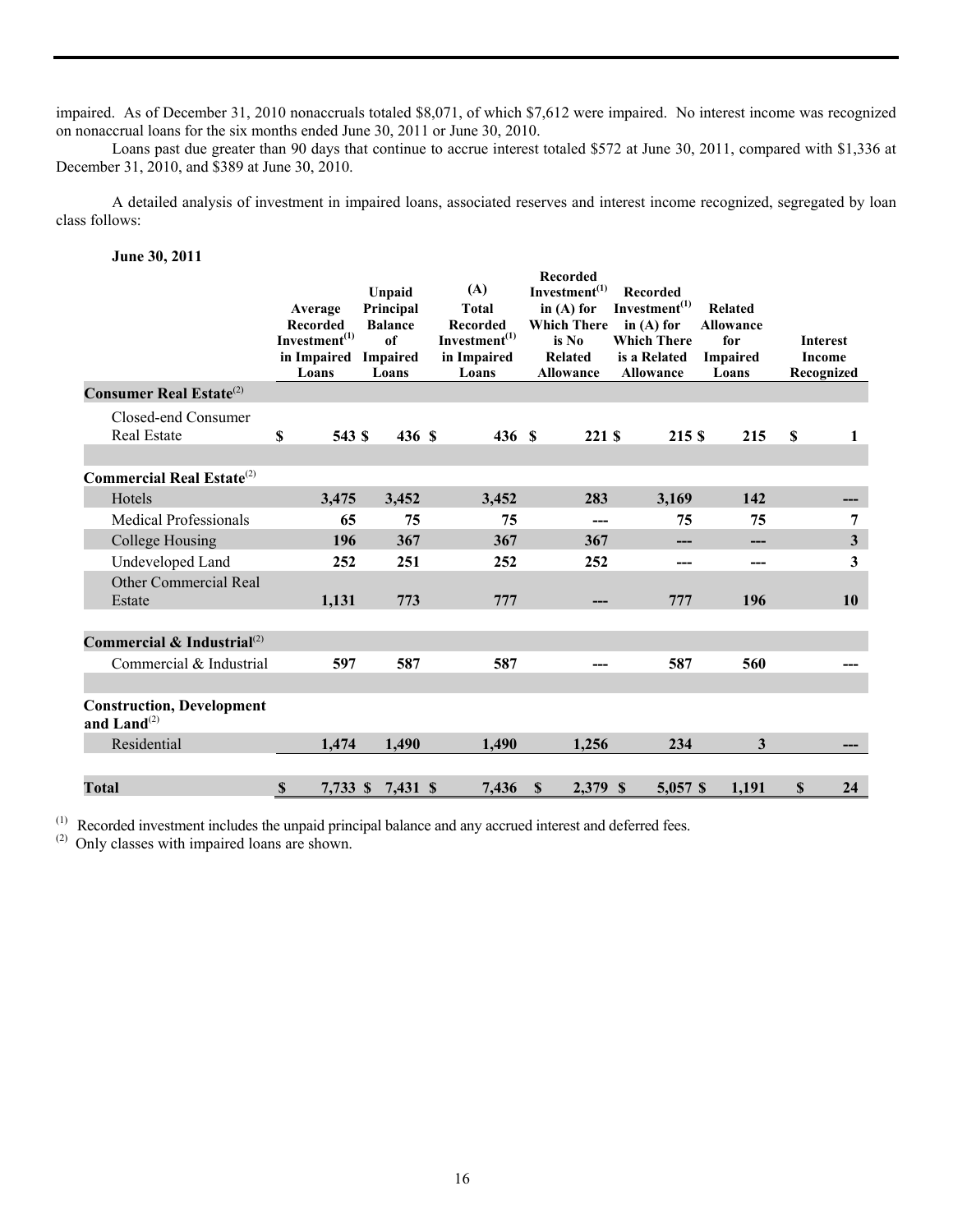impaired. As of December 31, 2010 nonaccruals totaled \$8,071, of which \$7,612 were impaired. No interest income was recognized on nonaccrual loans for the six months ended June 30, 2011 or June 30, 2010.

 Loans past due greater than 90 days that continue to accrue interest totaled \$572 at June 30, 2011, compared with \$1,336 at December 31, 2010, and \$389 at June 30, 2010.

 A detailed analysis of investment in impaired loans, associated reserves and interest income recognized, segregated by loan class follows:

**June 30, 2011** 

|                                                             | Average<br><b>Recorded</b><br>Investment <sup>(1)</sup><br>in Impaired<br>Loans | Unpaid<br>Principal<br><b>Balance</b><br>of<br>Impaired<br>Loans | (A)<br><b>Total</b><br>Recorded<br>Investment <sup>(1)</sup><br>in Impaired<br>Loans | <b>Recorded</b><br>Investment <sup>(1)</sup><br>in $(A)$ for<br>Which There in (A) for<br>is No<br>Related<br><b>Allowance</b> | Recorded<br>Investment <sup>(1)</sup><br><b>Which There</b><br>is a Related<br><b>Allowance</b> | <b>Related</b><br><b>Allowance</b><br>for<br><b>Impaired</b><br>Loans | <b>Interest</b><br><b>Income</b><br>Recognized |
|-------------------------------------------------------------|---------------------------------------------------------------------------------|------------------------------------------------------------------|--------------------------------------------------------------------------------------|--------------------------------------------------------------------------------------------------------------------------------|-------------------------------------------------------------------------------------------------|-----------------------------------------------------------------------|------------------------------------------------|
| <b>Consumer Real Estate</b> $^{(2)}$                        |                                                                                 |                                                                  |                                                                                      |                                                                                                                                |                                                                                                 |                                                                       |                                                |
| Closed-end Consumer<br><b>Real Estate</b>                   | \$<br>543 S                                                                     | 436 S                                                            | 436 S                                                                                | 221 S                                                                                                                          | 215 S                                                                                           | 215                                                                   | <b>S</b><br>1                                  |
| <b>Commercial Real Estate</b> $^{(2)}$                      |                                                                                 |                                                                  |                                                                                      |                                                                                                                                |                                                                                                 |                                                                       |                                                |
| Hotels                                                      | 3,475                                                                           | 3,452                                                            | 3,452                                                                                | 283                                                                                                                            | 3,169                                                                                           | 142                                                                   |                                                |
| <b>Medical Professionals</b>                                | 65                                                                              | 75                                                               | 75                                                                                   | ---                                                                                                                            | 75                                                                                              | 75                                                                    | 7                                              |
| College Housing                                             | 196                                                                             | 367                                                              | 367                                                                                  | 367                                                                                                                            | ---                                                                                             | ---                                                                   | 3                                              |
| Undeveloped Land                                            | 252                                                                             | 251                                                              | 252                                                                                  | 252                                                                                                                            | ---                                                                                             | ---                                                                   | 3                                              |
| <b>Other Commercial Real</b><br>Estate                      | 1,131                                                                           | 773                                                              | 777                                                                                  | ---                                                                                                                            | 777                                                                                             | 196                                                                   | 10                                             |
| Commercial & Industrial $^{(2)}$                            |                                                                                 |                                                                  |                                                                                      |                                                                                                                                |                                                                                                 |                                                                       |                                                |
| Commercial & Industrial                                     | 597                                                                             | 587                                                              | 587                                                                                  |                                                                                                                                | 587                                                                                             | 560                                                                   |                                                |
| <b>Construction, Development</b><br>and Land <sup>(2)</sup> |                                                                                 |                                                                  |                                                                                      |                                                                                                                                |                                                                                                 |                                                                       |                                                |
| Residential                                                 | 1,474                                                                           | 1,490                                                            | 1,490                                                                                | 1,256                                                                                                                          | 234                                                                                             | 3                                                                     |                                                |
|                                                             |                                                                                 |                                                                  |                                                                                      |                                                                                                                                |                                                                                                 |                                                                       |                                                |
| <b>Total</b>                                                | $\mathbb{S}$<br>7,733 \$                                                        | 7,431 \$                                                         | 7,436                                                                                | <sup>\$</sup><br>2,379 \$                                                                                                      | 5,057 \$                                                                                        | 1,191                                                                 | $\mathbb{S}$<br>24                             |

 $<sup>(1)</sup>$  Recorded investment includes the unpaid principal balance and any accrued interest and deferred fees.</sup>

(2) Only classes with impaired loans are shown.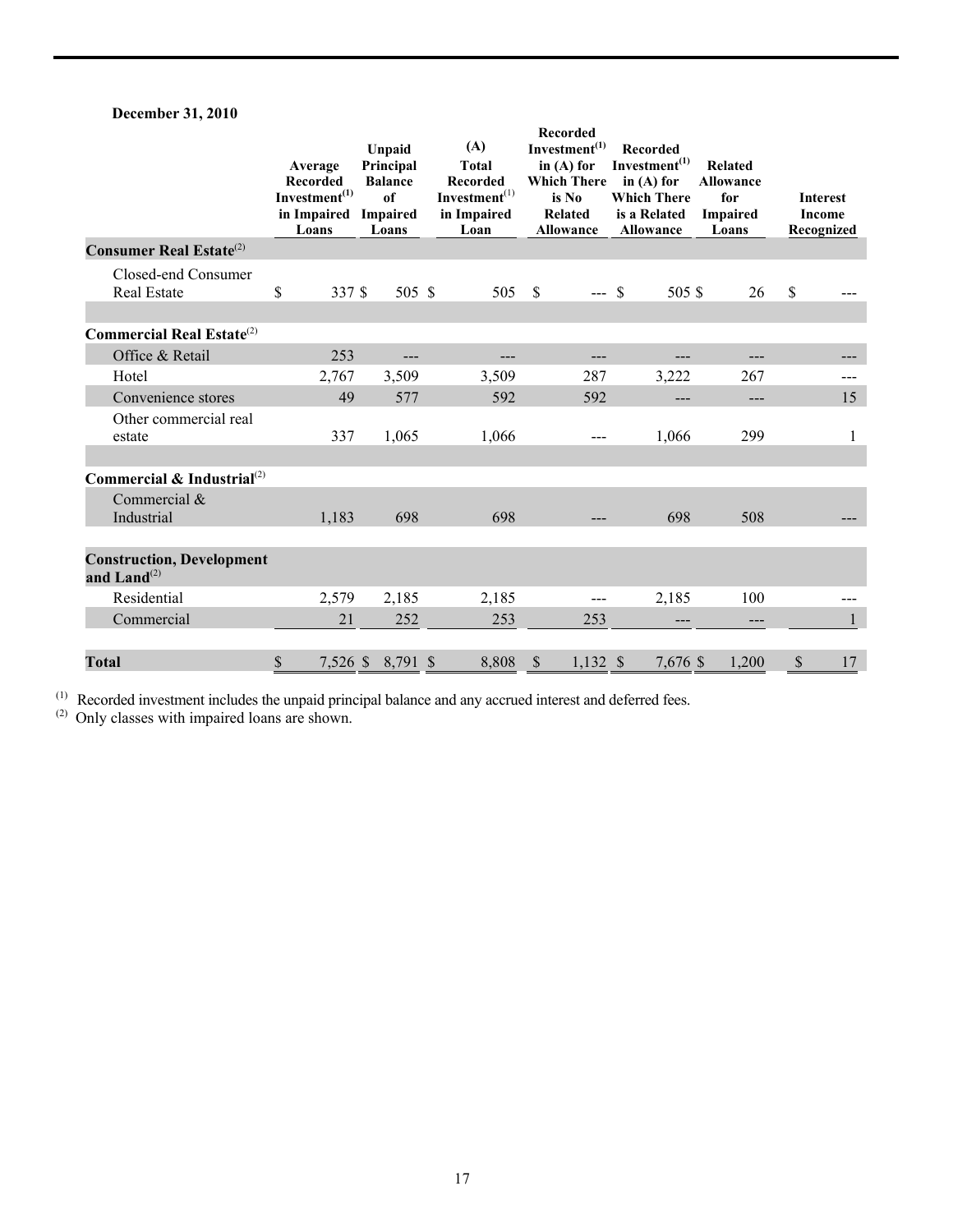# **December 31, 2010**

|                                                   | Average<br><b>Recorded</b><br>Investment <sup>(1)</sup><br>in Impaired<br>Loans | Unpaid<br>Principal<br><b>Balance</b><br>of<br>Impaired<br>Loans | (A)<br><b>Total</b><br><b>Recorded</b><br>$Investment^{(1)}$<br>in Impaired<br>Loan | <b>Recorded</b><br>Investment <sup>(1)</sup><br>in $(A)$ for<br><b>Which There</b><br>is No<br>Related<br><b>Allowance</b> | Recorded<br>Investment <sup>(1)</sup><br>in $(A)$ for<br><b>Which There</b><br>is a Related<br>Allowance | <b>Related</b><br><b>Allowance</b><br>for<br><b>Impaired</b><br>Loans | <b>Interest</b><br>Income<br>Recognized |
|---------------------------------------------------|---------------------------------------------------------------------------------|------------------------------------------------------------------|-------------------------------------------------------------------------------------|----------------------------------------------------------------------------------------------------------------------------|----------------------------------------------------------------------------------------------------------|-----------------------------------------------------------------------|-----------------------------------------|
| <b>Consumer Real Estate</b> <sup>(2)</sup>        |                                                                                 |                                                                  |                                                                                     |                                                                                                                            |                                                                                                          |                                                                       |                                         |
| Closed-end Consumer<br><b>Real Estate</b>         | \$<br>337 \$                                                                    | 505 \$                                                           | 505                                                                                 | $\mathbf{\hat{S}}$<br>$--$ \$                                                                                              | 505 \$                                                                                                   | 26                                                                    | $\mathsf{\$}$                           |
| <b>Commercial Real Estate</b> $^{(2)}$            |                                                                                 |                                                                  |                                                                                     |                                                                                                                            |                                                                                                          |                                                                       |                                         |
| Office & Retail                                   | 253                                                                             | ---                                                              |                                                                                     |                                                                                                                            |                                                                                                          | ---                                                                   |                                         |
| Hotel                                             | 2,767                                                                           | 3,509                                                            | 3,509                                                                               | 287                                                                                                                        | 3,222                                                                                                    | 267                                                                   |                                         |
| Convenience stores                                | 49                                                                              | 577                                                              | 592                                                                                 | 592                                                                                                                        | ---                                                                                                      | ---                                                                   | 15                                      |
| Other commercial real<br>estate                   | 337                                                                             | 1,065                                                            | 1,066                                                                               |                                                                                                                            | 1,066                                                                                                    | 299                                                                   | $\mathbf{1}$                            |
| Commercial & Industrial <sup>(2)</sup>            |                                                                                 |                                                                  |                                                                                     |                                                                                                                            |                                                                                                          |                                                                       |                                         |
| Commercial &<br>Industrial                        | 1,183                                                                           | 698                                                              | 698                                                                                 |                                                                                                                            | 698                                                                                                      | 508                                                                   |                                         |
| <b>Construction, Development</b><br>and $Land(2)$ |                                                                                 |                                                                  |                                                                                     |                                                                                                                            |                                                                                                          |                                                                       |                                         |
| Residential                                       | 2,579                                                                           | 2,185                                                            | 2,185                                                                               | $---$                                                                                                                      | 2,185                                                                                                    | 100                                                                   |                                         |
| Commercial                                        | 21                                                                              | 252                                                              | 253                                                                                 | 253                                                                                                                        |                                                                                                          | ---                                                                   |                                         |
| <b>Total</b>                                      | \$                                                                              | 7,526 \$ 8,791 \$                                                | 8,808                                                                               | $\mathcal{S}$<br>$1,132$ \$                                                                                                | 7,676 \$                                                                                                 | 1,200                                                                 | \$<br>17                                |

 $<sup>(1)</sup>$  Recorded investment includes the unpaid principal balance and any accrued interest and deferred fees.</sup>

(2) Only classes with impaired loans are shown.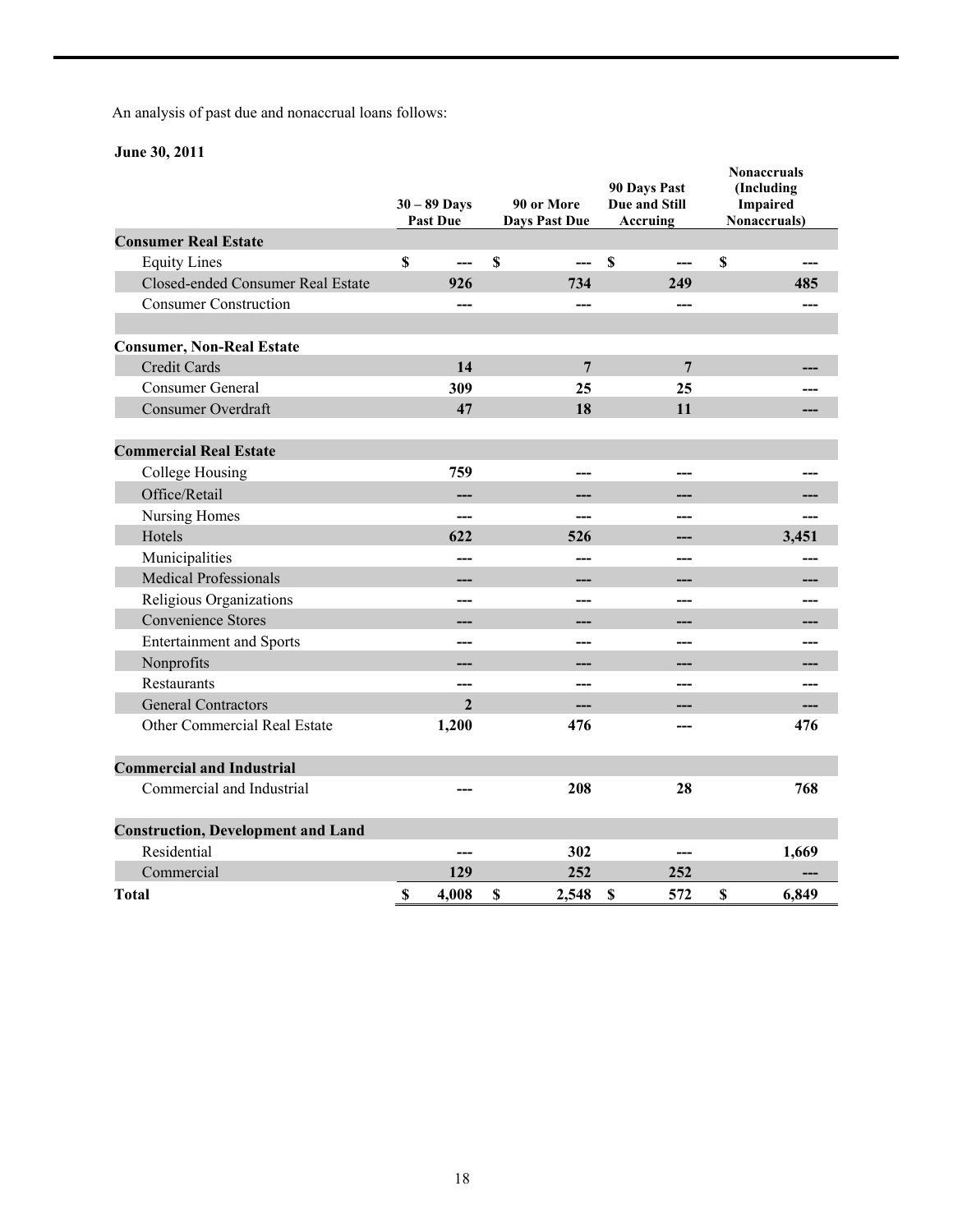An analysis of past due and nonaccrual loans follows:

# **June 30, 2011**

|                                           | $30 - 89$ Days<br><b>Past Due</b> |             | 90 or More<br><b>Days Past Due</b> | 90 Days Past<br>Due and Still<br>Accruing |     |             | <b>Nonaccruals</b><br>(Including<br><b>Impaired</b><br>Nonaccruals) |
|-------------------------------------------|-----------------------------------|-------------|------------------------------------|-------------------------------------------|-----|-------------|---------------------------------------------------------------------|
| <b>Consumer Real Estate</b>               |                                   |             |                                    |                                           |     |             |                                                                     |
| <b>Equity Lines</b>                       | \$<br>$---$                       | $\mathbf S$ | ---                                | $\mathbf S$                               | --- | $\mathbf S$ |                                                                     |
| Closed-ended Consumer Real Estate         | 926                               |             | 734                                |                                           | 249 |             | 485                                                                 |
| <b>Consumer Construction</b>              | ---                               |             | ---                                |                                           | --- |             |                                                                     |
| <b>Consumer, Non-Real Estate</b>          |                                   |             |                                    |                                           |     |             |                                                                     |
| <b>Credit Cards</b>                       | 14                                |             | 7                                  |                                           | 7   |             |                                                                     |
| <b>Consumer General</b>                   | 309                               |             | 25                                 |                                           | 25  |             |                                                                     |
| Consumer Overdraft                        | 47                                |             | 18                                 |                                           | 11  |             |                                                                     |
| <b>Commercial Real Estate</b>             |                                   |             |                                    |                                           |     |             |                                                                     |
| College Housing                           | 759                               |             | ---                                |                                           |     |             |                                                                     |
| Office/Retail                             |                                   |             |                                    |                                           |     |             |                                                                     |
| Nursing Homes                             | ---                               |             | ---                                |                                           |     |             |                                                                     |
| Hotels                                    | 622                               |             | 526                                |                                           |     |             | 3,451                                                               |
| Municipalities                            | ---                               |             | ---                                |                                           | --- |             |                                                                     |
| <b>Medical Professionals</b>              | ---                               |             |                                    |                                           |     |             |                                                                     |
| Religious Organizations                   | ---                               |             | ---                                |                                           | --- |             |                                                                     |
| <b>Convenience Stores</b>                 | ---                               |             |                                    |                                           | --- |             |                                                                     |
| <b>Entertainment and Sports</b>           | ---                               |             | ---                                |                                           | --- |             |                                                                     |
| Nonprofits                                | ---                               |             |                                    |                                           |     |             |                                                                     |
| Restaurants                               | ---                               |             | ---                                |                                           |     |             |                                                                     |
| <b>General Contractors</b>                | $\overline{2}$                    |             | ---                                |                                           |     |             |                                                                     |
| Other Commercial Real Estate              | 1,200                             |             | 476                                |                                           |     |             | 476                                                                 |
| <b>Commercial and Industrial</b>          |                                   |             |                                    |                                           |     |             |                                                                     |
| Commercial and Industrial                 | ---                               |             | 208                                |                                           | 28  |             | 768                                                                 |
| <b>Construction, Development and Land</b> |                                   |             |                                    |                                           |     |             |                                                                     |
| Residential                               |                                   |             | 302                                |                                           |     |             | 1,669                                                               |
| Commercial                                | 129                               |             | 252                                |                                           | 252 |             |                                                                     |
| <b>Total</b>                              | \$<br>4,008                       | S           | 2,548                              | $\mathbf S$                               | 572 | \$          | 6,849                                                               |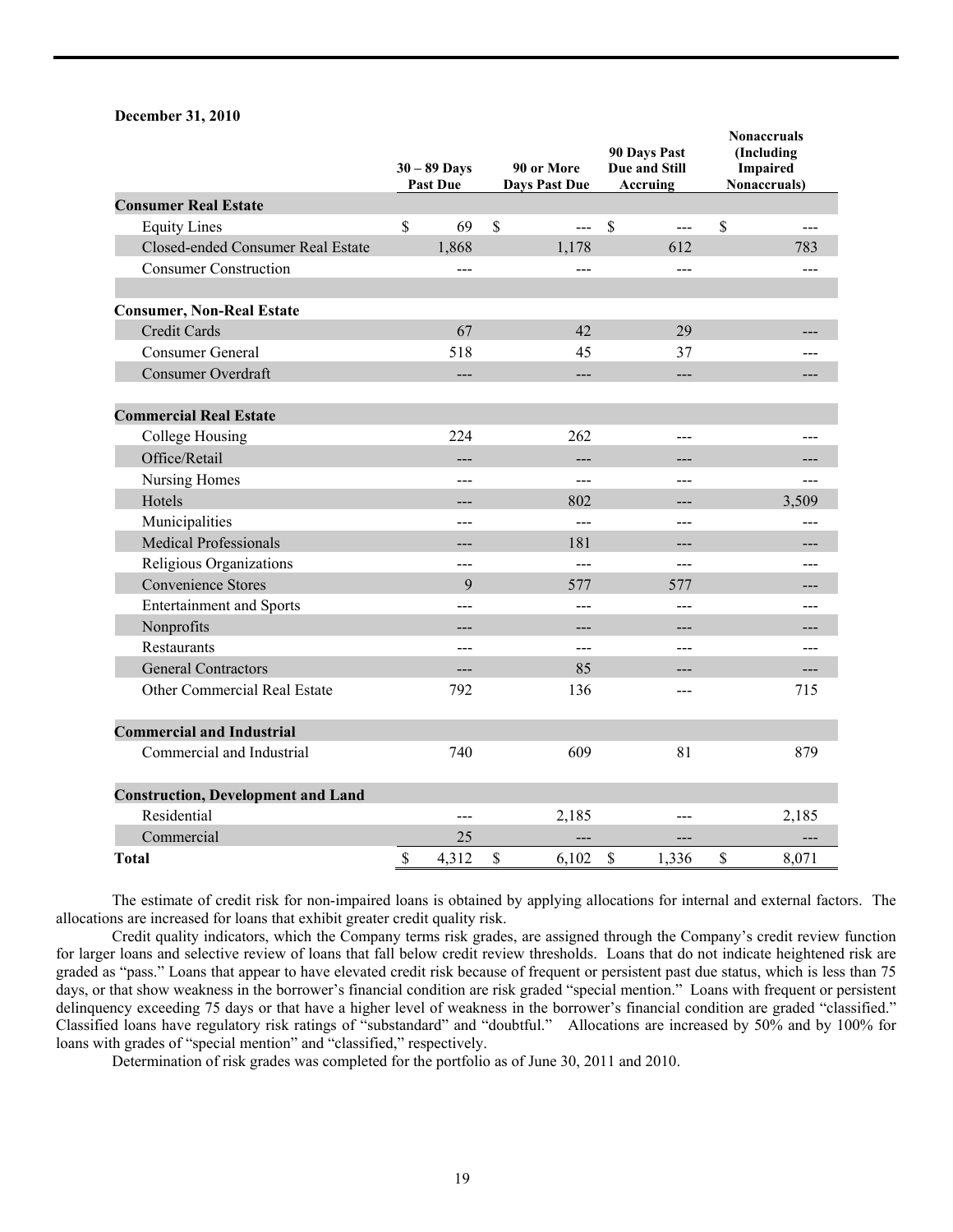#### **December 31, 2010**

|                                           | $30 - 89$ Days<br><b>Past Due</b> |                    | 90 or More<br><b>Days Past Due</b> |             | 90 Days Past<br>Due and Still<br>Accruing | <b>Nonaccruals</b><br>(Including<br>Impaired<br>Nonaccruals) |
|-------------------------------------------|-----------------------------------|--------------------|------------------------------------|-------------|-------------------------------------------|--------------------------------------------------------------|
| <b>Consumer Real Estate</b>               |                                   |                    |                                    |             |                                           |                                                              |
| <b>Equity Lines</b>                       | \$<br>69                          | $\mathbf{\hat{S}}$ | $\overline{a}$                     | $\mathbf S$ | $\overline{a}$                            | \$                                                           |
| Closed-ended Consumer Real Estate         | 1,868                             |                    | 1,178                              |             | 612                                       | 783                                                          |
| <b>Consumer Construction</b>              | ---                               |                    | $\overline{a}$                     |             | $\frac{1}{2}$                             | ---                                                          |
| <b>Consumer, Non-Real Estate</b>          |                                   |                    |                                    |             |                                           |                                                              |
| <b>Credit Cards</b>                       | 67                                |                    | 42                                 |             | 29                                        | ---                                                          |
| <b>Consumer General</b>                   | 518                               |                    | 45                                 |             | 37                                        |                                                              |
| <b>Consumer Overdraft</b>                 | ---                               |                    | $\overline{a}$                     |             | $---$                                     |                                                              |
| <b>Commercial Real Estate</b>             |                                   |                    |                                    |             |                                           |                                                              |
| College Housing                           | 224                               |                    | 262                                |             | $---$                                     |                                                              |
| Office/Retail                             | ---                               |                    | $---$                              |             | $---$                                     | ---                                                          |
| Nursing Homes                             | ---                               |                    | $---$                              |             | $---$                                     |                                                              |
| Hotels                                    | ---                               |                    | 802                                |             | $---$                                     | 3,509                                                        |
| Municipalities                            | ---                               |                    | $\sim$                             |             | ---                                       |                                                              |
| <b>Medical Professionals</b>              | ---                               |                    | 181                                |             | $---$                                     |                                                              |
| Religious Organizations                   | ---                               |                    | $\overline{a}$                     |             | ---                                       | ---                                                          |
| <b>Convenience Stores</b>                 | 9                                 |                    | 577                                |             | 577                                       | ---                                                          |
| <b>Entertainment and Sports</b>           | ---                               |                    | $---$                              |             | ---                                       |                                                              |
| Nonprofits                                | ---                               |                    | ---                                |             | $---$                                     |                                                              |
| Restaurants                               | ---                               |                    | ---                                |             | ---                                       |                                                              |
| <b>General Contractors</b>                | ---                               |                    | 85                                 |             | ---                                       | ---                                                          |
| Other Commercial Real Estate              | 792                               |                    | 136                                |             |                                           | 715                                                          |
| <b>Commercial and Industrial</b>          |                                   |                    |                                    |             |                                           |                                                              |
| Commercial and Industrial                 | 740                               |                    | 609                                |             | 81                                        | 879                                                          |
| <b>Construction, Development and Land</b> |                                   |                    |                                    |             |                                           |                                                              |
| Residential                               | ---                               |                    | 2,185                              |             | ---                                       | 2,185                                                        |
| Commercial                                | 25                                |                    |                                    |             |                                           |                                                              |
| <b>Total</b>                              | \$<br>4,312                       | \$                 | 6,102                              | $\mathbf S$ | 1,336                                     | \$<br>8,071                                                  |

 The estimate of credit risk for non-impaired loans is obtained by applying allocations for internal and external factors. The allocations are increased for loans that exhibit greater credit quality risk.

 Credit quality indicators, which the Company terms risk grades, are assigned through the Company's credit review function for larger loans and selective review of loans that fall below credit review thresholds. Loans that do not indicate heightened risk are graded as "pass." Loans that appear to have elevated credit risk because of frequent or persistent past due status, which is less than 75 days, or that show weakness in the borrower's financial condition are risk graded "special mention." Loans with frequent or persistent delinquency exceeding 75 days or that have a higher level of weakness in the borrower's financial condition are graded "classified." Classified loans have regulatory risk ratings of "substandard" and "doubtful." Allocations are increased by 50% and by 100% for loans with grades of "special mention" and "classified," respectively.

Determination of risk grades was completed for the portfolio as of June 30, 2011 and 2010.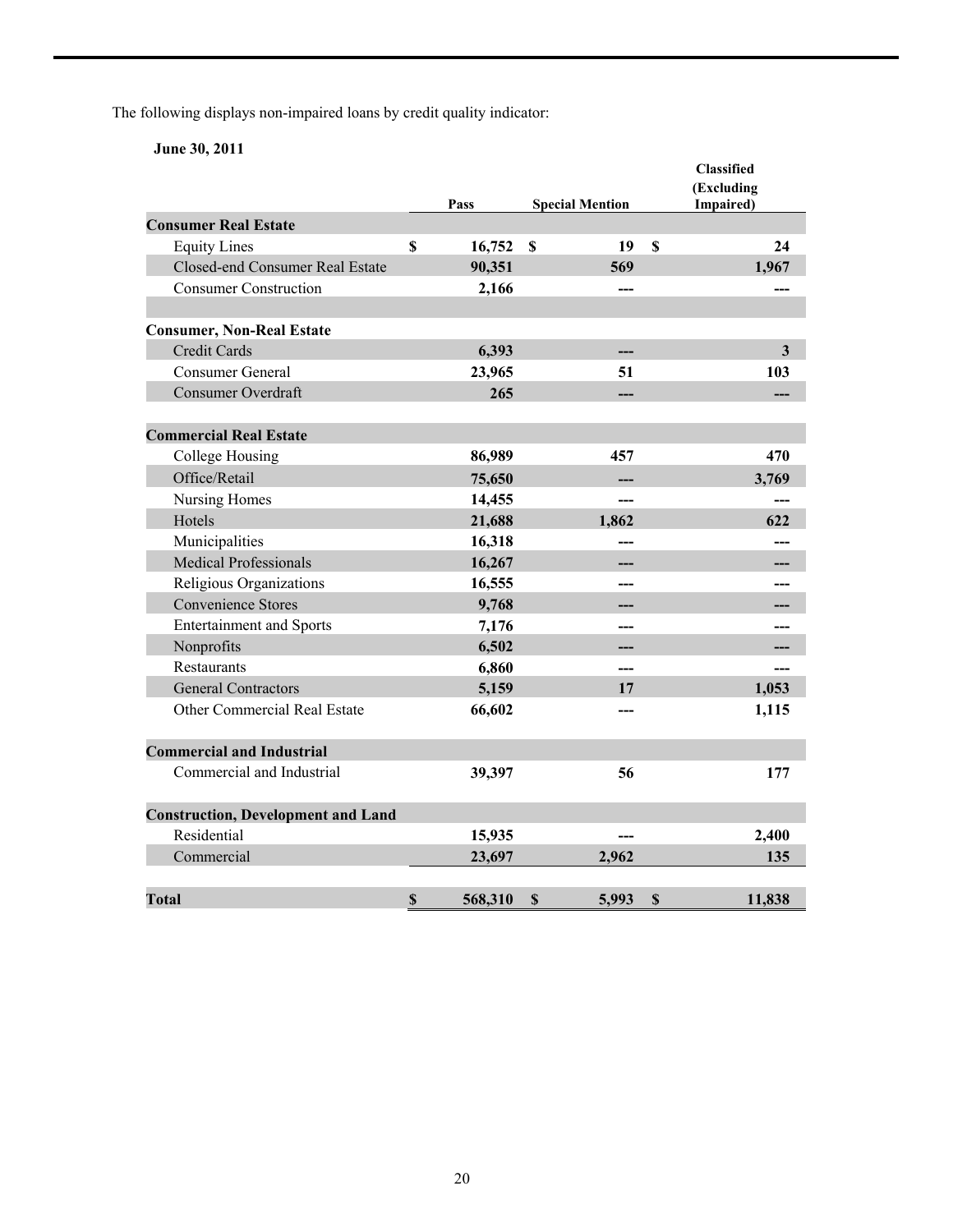The following displays non-impaired loans by credit quality indicator:

**June 30, 2011** 

|                                           |               |                                 |              | <b>Classified</b><br>(Excluding |
|-------------------------------------------|---------------|---------------------------------|--------------|---------------------------------|
|                                           | Pass          | <b>Special Mention</b>          |              | Impaired)                       |
| <b>Consumer Real Estate</b>               |               |                                 |              |                                 |
| <b>Equity Lines</b>                       | \$<br>16,752  | $\boldsymbol{\mathsf{S}}$<br>19 | $\mathbf S$  | 24                              |
| Closed-end Consumer Real Estate           | 90,351        | 569                             |              | 1,967                           |
| <b>Consumer Construction</b>              | 2,166         | ---                             |              |                                 |
| <b>Consumer, Non-Real Estate</b>          |               |                                 |              |                                 |
| <b>Credit Cards</b>                       | 6,393         |                                 |              | $\overline{\mathbf{3}}$         |
| <b>Consumer General</b>                   | 23,965        | 51                              |              | 103                             |
| <b>Consumer Overdraft</b>                 | 265           |                                 |              |                                 |
|                                           |               |                                 |              |                                 |
| <b>Commercial Real Estate</b>             |               |                                 |              |                                 |
| College Housing                           | 86,989        | 457                             |              | 470                             |
| Office/Retail                             | 75,650        |                                 |              | 3,769                           |
| Nursing Homes                             | 14,455        | ---                             |              |                                 |
| Hotels                                    | 21,688        | 1,862                           |              | 622                             |
| Municipalities                            | 16,318        | ---                             |              |                                 |
| <b>Medical Professionals</b>              | 16,267        | ---                             |              |                                 |
| Religious Organizations                   | 16,555        |                                 |              |                                 |
| <b>Convenience Stores</b>                 | 9,768         |                                 |              |                                 |
| <b>Entertainment and Sports</b>           | 7,176         | ---                             |              |                                 |
| Nonprofits                                | 6,502         |                                 |              |                                 |
| Restaurants                               | 6,860         | ---                             |              |                                 |
| <b>General Contractors</b>                | 5,159         | 17                              |              | 1,053                           |
| Other Commercial Real Estate              | 66,602        |                                 |              | 1,115                           |
| <b>Commercial and Industrial</b>          |               |                                 |              |                                 |
| Commercial and Industrial                 | 39,397        | 56                              |              | 177                             |
| <b>Construction, Development and Land</b> |               |                                 |              |                                 |
| Residential                               | 15,935        |                                 |              | 2,400                           |
| Commercial                                | 23,697        | 2,962                           |              | 135                             |
| <b>Total</b>                              | \$<br>568,310 | 5,993<br>\$                     | $\mathbb{S}$ | 11,838                          |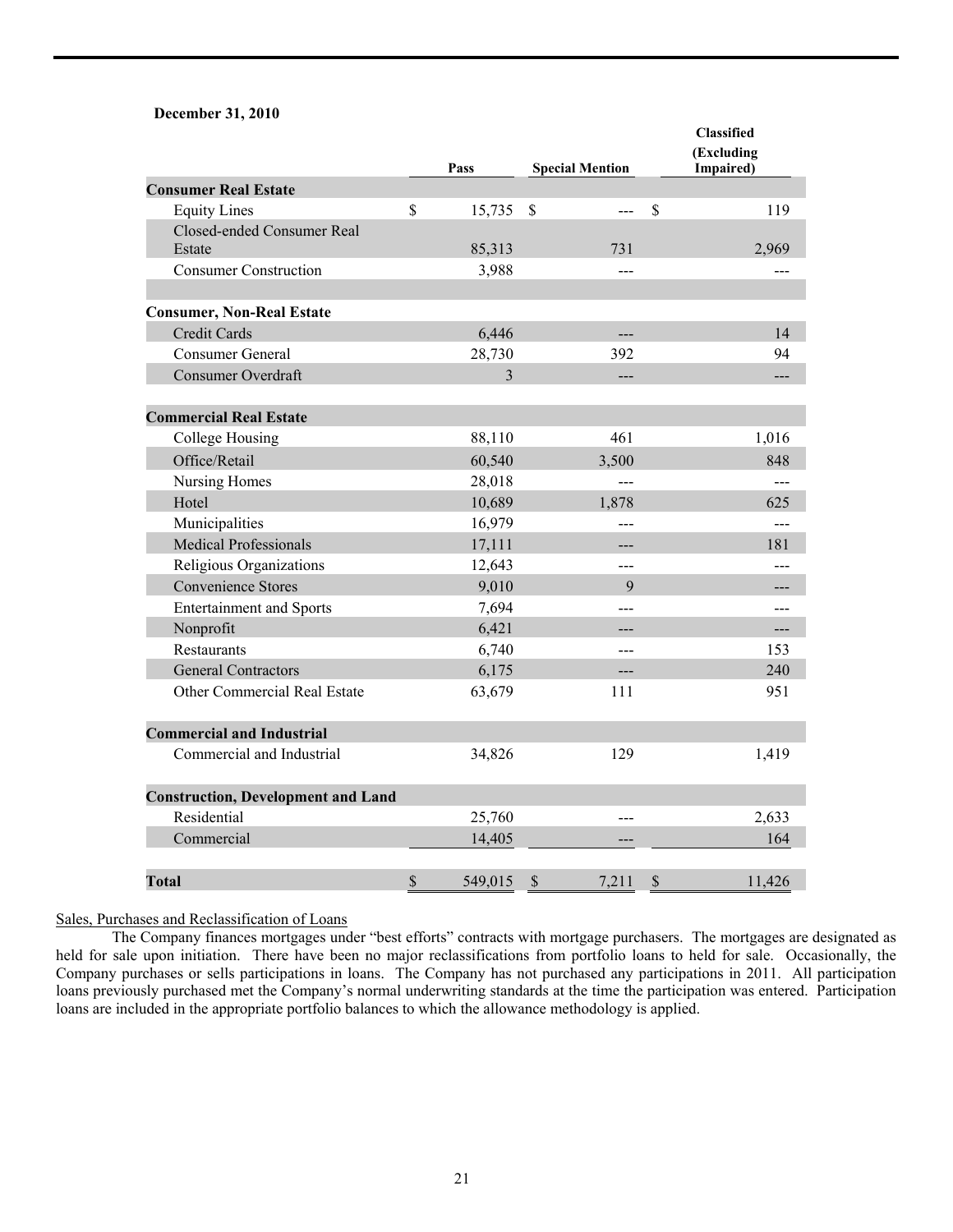#### **December 31, 2010**

|                                           |             | Pass    |             | <b>Special Mention</b> |              | Classified<br>(Excluding<br>Impaired) |
|-------------------------------------------|-------------|---------|-------------|------------------------|--------------|---------------------------------------|
| <b>Consumer Real Estate</b>               |             |         |             |                        |              |                                       |
| <b>Equity Lines</b>                       | $\mathbf S$ | 15,735  | $\mathbf S$ | ---                    | $\mathbb{S}$ | 119                                   |
| Closed-ended Consumer Real<br>Estate      |             | 85,313  |             | 731                    |              | 2,969                                 |
| <b>Consumer Construction</b>              |             | 3,988   |             | $---$                  |              |                                       |
| <b>Consumer, Non-Real Estate</b>          |             |         |             |                        |              |                                       |
| <b>Credit Cards</b>                       |             | 6,446   |             | ---                    |              | 14                                    |
| <b>Consumer General</b>                   |             | 28,730  |             | 392                    |              | 94                                    |
| <b>Consumer Overdraft</b>                 |             | 3       |             | ---                    |              | ---                                   |
| <b>Commercial Real Estate</b>             |             |         |             |                        |              |                                       |
| <b>College Housing</b>                    |             | 88,110  |             | 461                    |              | 1,016                                 |
| Office/Retail                             |             | 60,540  |             | 3,500                  |              | 848                                   |
| Nursing Homes                             |             | 28,018  |             | ---                    |              |                                       |
| Hotel                                     |             | 10,689  |             | 1,878                  |              | 625                                   |
| Municipalities                            |             | 16,979  |             | ---                    |              |                                       |
| <b>Medical Professionals</b>              |             | 17,111  |             | ---                    |              | 181                                   |
| Religious Organizations                   |             | 12,643  |             | ---                    |              | ---                                   |
| <b>Convenience Stores</b>                 |             | 9,010   |             | 9                      |              |                                       |
| <b>Entertainment and Sports</b>           |             | 7,694   |             | $---$                  |              | ---                                   |
| Nonprofit                                 |             | 6,421   |             | ---                    |              | $---$                                 |
| Restaurants                               |             | 6,740   |             | ---                    |              | 153                                   |
| <b>General Contractors</b>                |             | 6,175   |             | $---$                  |              | 240                                   |
| Other Commercial Real Estate              |             | 63,679  |             | 111                    |              | 951                                   |
| <b>Commercial and Industrial</b>          |             |         |             |                        |              |                                       |
| Commercial and Industrial                 |             | 34,826  |             | 129                    |              | 1,419                                 |
| <b>Construction, Development and Land</b> |             |         |             |                        |              |                                       |
| Residential                               |             | 25,760  |             | $---$                  |              | 2,633                                 |
| Commercial                                |             | 14,405  |             |                        |              | 164                                   |
| <b>Total</b>                              | \$          | 549,015 | \$          | 7,211                  | \$           | 11,426                                |

Sales, Purchases and Reclassification of Loans

 The Company finances mortgages under "best efforts" contracts with mortgage purchasers. The mortgages are designated as held for sale upon initiation. There have been no major reclassifications from portfolio loans to held for sale. Occasionally, the Company purchases or sells participations in loans. The Company has not purchased any participations in 2011. All participation loans previously purchased met the Company's normal underwriting standards at the time the participation was entered. Participation loans are included in the appropriate portfolio balances to which the allowance methodology is applied.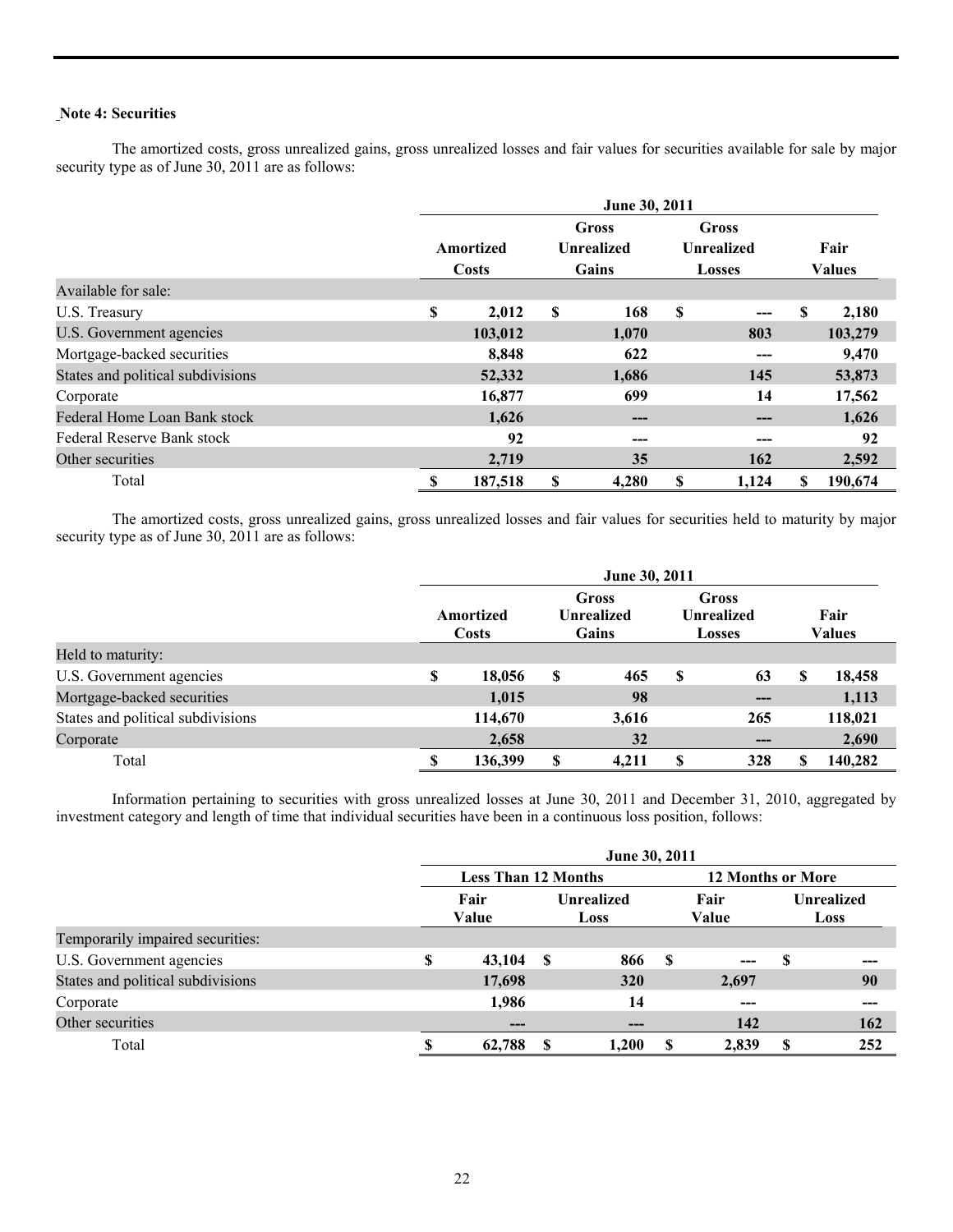# **Note 4: Securities**

The amortized costs, gross unrealized gains, gross unrealized losses and fair values for securities available for sale by major security type as of June 30, 2011 are as follows:

|                                   |           | June 30, 2011              |    |                                   |   |               |      |               |  |  |  |  |
|-----------------------------------|-----------|----------------------------|----|-----------------------------------|---|---------------|------|---------------|--|--|--|--|
|                                   | Amortized | Gross<br><b>Unrealized</b> |    | <b>Gross</b><br><b>Unrealized</b> |   |               | Fair |               |  |  |  |  |
|                                   |           | Costs                      |    | <b>Gains</b>                      |   | <b>Losses</b> |      | <b>Values</b> |  |  |  |  |
| Available for sale:               |           |                            |    |                                   |   |               |      |               |  |  |  |  |
| U.S. Treasury                     | S         | 2,012                      | \$ | 168                               | S |               | \$   | 2,180         |  |  |  |  |
| U.S. Government agencies          |           | 103,012                    |    | 1,070                             |   | 803           |      | 103,279       |  |  |  |  |
| Mortgage-backed securities        |           | 8,848                      |    | 622                               |   | ---           |      | 9,470         |  |  |  |  |
| States and political subdivisions |           | 52,332                     |    | 1,686                             |   | 145           |      | 53,873        |  |  |  |  |
| Corporate                         |           | 16,877                     |    | 699                               |   | 14            |      | 17,562        |  |  |  |  |
| Federal Home Loan Bank stock      |           | 1,626                      |    | ---                               |   | ---           |      | 1,626         |  |  |  |  |
| Federal Reserve Bank stock        |           | 92                         |    | ---                               |   |               |      | 92            |  |  |  |  |
| Other securities                  |           | 2,719                      |    | 35                                |   | 162           |      | 2,592         |  |  |  |  |
| Total                             | S         | 187,518                    | S  | 4,280                             | S | 1,124         | S    | 190,674       |  |  |  |  |

The amortized costs, gross unrealized gains, gross unrealized losses and fair values for securities held to maturity by major security type as of June 30, 2011 are as follows:

|                                   | June 30, 2011 |                           |                                     |       |                                                    |      |   |                |  |
|-----------------------------------|---------------|---------------------------|-------------------------------------|-------|----------------------------------------------------|------|---|----------------|--|
|                                   |               | Amortized<br><b>Costs</b> | Gross<br><b>Unrealized</b><br>Gains |       | <b>Gross</b><br><b>Unrealized</b><br><b>Losses</b> |      |   | Fair<br>Values |  |
| Held to maturity:                 |               |                           |                                     |       |                                                    |      |   |                |  |
| U.S. Government agencies          | \$            | 18,056                    | S                                   | 465   | S                                                  | 63   | S | 18,458         |  |
| Mortgage-backed securities        |               | 1,015                     |                                     | 98    |                                                    | ---  |   | 1,113          |  |
| States and political subdivisions |               | 114,670                   |                                     | 3,616 |                                                    | 265  |   | 118,021        |  |
| Corporate                         |               | 2,658                     |                                     | 32    |                                                    | $--$ |   | 2,690          |  |
| Total                             |               | 136,399                   | S                                   | 4,211 | S                                                  | 328  | S | 140,282        |  |

 Information pertaining to securities with gross unrealized losses at June 30, 2011 and December 31, 2010, aggregated by investment category and length of time that individual securities have been in a continuous loss position, follows:

|                                   | June 30, 2011 |                            |     |                           |    |                          |   |                           |  |  |  |
|-----------------------------------|---------------|----------------------------|-----|---------------------------|----|--------------------------|---|---------------------------|--|--|--|
|                                   |               | <b>Less Than 12 Months</b> |     |                           |    | <b>12 Months or More</b> |   |                           |  |  |  |
|                                   | Fair<br>Value |                            |     | <b>Unrealized</b><br>Loss |    | Fair<br>Value            |   | <b>Unrealized</b><br>Loss |  |  |  |
| Temporarily impaired securities:  |               |                            |     |                           |    |                          |   |                           |  |  |  |
| U.S. Government agencies          | S             | 43,104                     | - S | 866                       | -S | $---$                    | S | ---                       |  |  |  |
| States and political subdivisions |               | 17,698                     |     | <b>320</b>                |    | 2,697                    |   | 90                        |  |  |  |
| Corporate                         |               | 1,986                      |     | 14                        |    | ---                      |   | ---                       |  |  |  |
| Other securities                  |               | ---                        |     | $---$                     |    | 142                      |   | 162                       |  |  |  |
| Total                             |               | 62,788                     | -S  | 1,200                     | -S | 2,839                    | S | 252                       |  |  |  |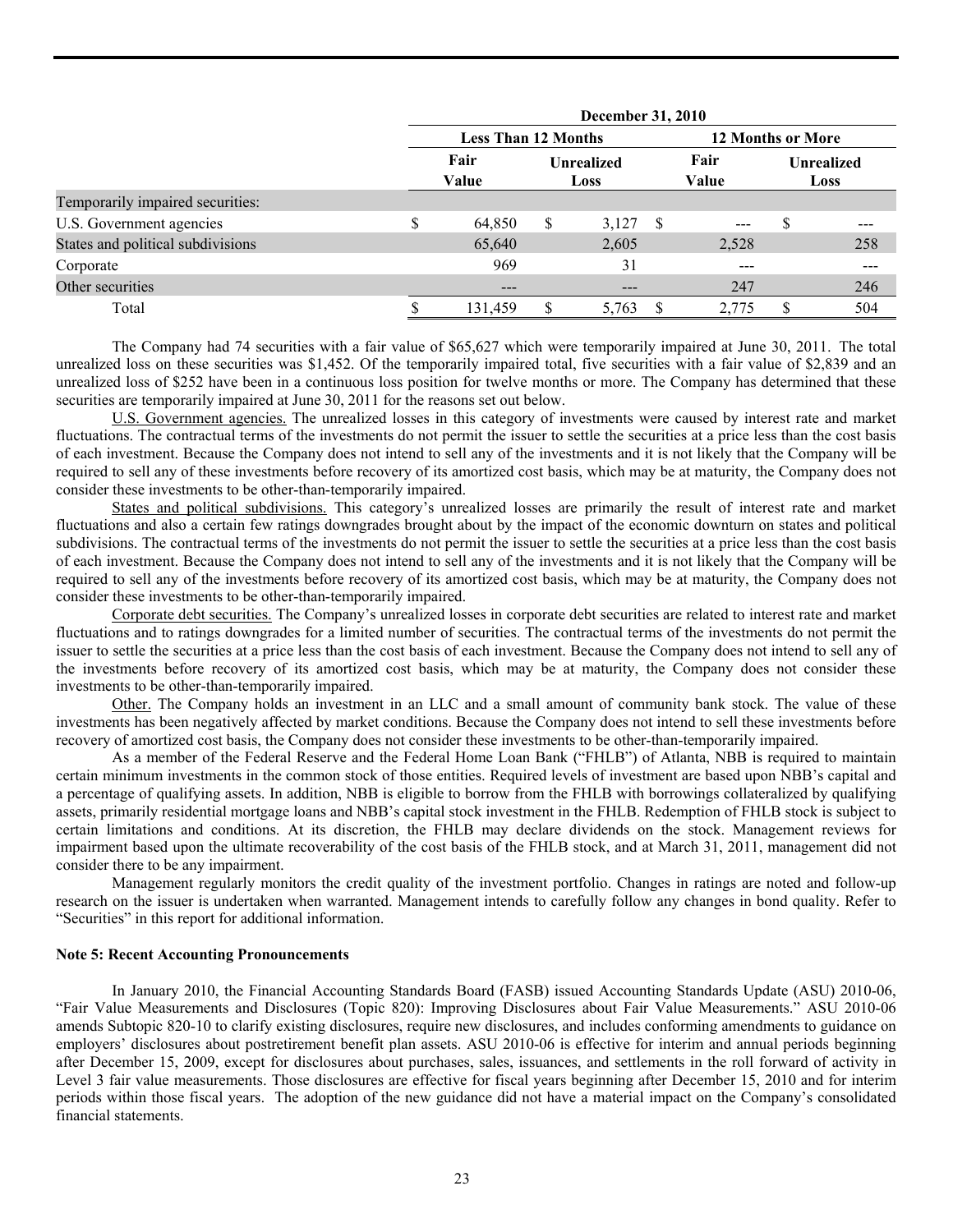|                                   | <b>December 31, 2010</b>   |                          |                           |     |               |                           |     |  |  |  |  |
|-----------------------------------|----------------------------|--------------------------|---------------------------|-----|---------------|---------------------------|-----|--|--|--|--|
|                                   | <b>Less Than 12 Months</b> | <b>12 Months or More</b> |                           |     |               |                           |     |  |  |  |  |
|                                   | Fair<br>Value              |                          | <b>Unrealized</b><br>Loss |     | Fair<br>Value | <b>Unrealized</b><br>Loss |     |  |  |  |  |
| Temporarily impaired securities:  |                            |                          |                           |     |               |                           |     |  |  |  |  |
| U.S. Government agencies          | \$<br>64,850               | \$                       | 3,127                     | - S | $---$         | \$                        |     |  |  |  |  |
| States and political subdivisions | 65,640                     |                          | 2,605                     |     | 2,528         |                           | 258 |  |  |  |  |
| Corporate                         | 969                        |                          | 31                        |     | $---$         |                           | --- |  |  |  |  |
| Other securities                  | $---$                      |                          | $- - -$                   |     | 247           |                           | 246 |  |  |  |  |
| Total                             | 131,459                    |                          | 5,763                     |     | 2,775         |                           | 504 |  |  |  |  |

 The Company had 74 securities with a fair value of \$65,627 which were temporarily impaired at June 30, 2011. The total unrealized loss on these securities was \$1,452. Of the temporarily impaired total, five securities with a fair value of \$2,839 and an unrealized loss of \$252 have been in a continuous loss position for twelve months or more. The Company has determined that these securities are temporarily impaired at June 30, 2011 for the reasons set out below.

 U.S. Government agencies. The unrealized losses in this category of investments were caused by interest rate and market fluctuations. The contractual terms of the investments do not permit the issuer to settle the securities at a price less than the cost basis of each investment. Because the Company does not intend to sell any of the investments and it is not likely that the Company will be required to sell any of these investments before recovery of its amortized cost basis, which may be at maturity, the Company does not consider these investments to be other-than-temporarily impaired.

 States and political subdivisions. This category's unrealized losses are primarily the result of interest rate and market fluctuations and also a certain few ratings downgrades brought about by the impact of the economic downturn on states and political subdivisions. The contractual terms of the investments do not permit the issuer to settle the securities at a price less than the cost basis of each investment. Because the Company does not intend to sell any of the investments and it is not likely that the Company will be required to sell any of the investments before recovery of its amortized cost basis, which may be at maturity, the Company does not consider these investments to be other-than-temporarily impaired.

 Corporate debt securities. The Company's unrealized losses in corporate debt securities are related to interest rate and market fluctuations and to ratings downgrades for a limited number of securities. The contractual terms of the investments do not permit the issuer to settle the securities at a price less than the cost basis of each investment. Because the Company does not intend to sell any of the investments before recovery of its amortized cost basis, which may be at maturity, the Company does not consider these investments to be other-than-temporarily impaired.

 Other. The Company holds an investment in an LLC and a small amount of community bank stock. The value of these investments has been negatively affected by market conditions. Because the Company does not intend to sell these investments before recovery of amortized cost basis, the Company does not consider these investments to be other-than-temporarily impaired.

 As a member of the Federal Reserve and the Federal Home Loan Bank ("FHLB") of Atlanta, NBB is required to maintain certain minimum investments in the common stock of those entities. Required levels of investment are based upon NBB's capital and a percentage of qualifying assets. In addition, NBB is eligible to borrow from the FHLB with borrowings collateralized by qualifying assets, primarily residential mortgage loans and NBB's capital stock investment in the FHLB. Redemption of FHLB stock is subject to certain limitations and conditions. At its discretion, the FHLB may declare dividends on the stock. Management reviews for impairment based upon the ultimate recoverability of the cost basis of the FHLB stock, and at March 31, 2011, management did not consider there to be any impairment.

Management regularly monitors the credit quality of the investment portfolio. Changes in ratings are noted and follow-up research on the issuer is undertaken when warranted. Management intends to carefully follow any changes in bond quality. Refer to "Securities" in this report for additional information.

#### **Note 5: Recent Accounting Pronouncements**

 In January 2010, the Financial Accounting Standards Board (FASB) issued Accounting Standards Update (ASU) 2010-06, "Fair Value Measurements and Disclosures (Topic 820): Improving Disclosures about Fair Value Measurements." ASU 2010-06 amends Subtopic 820-10 to clarify existing disclosures, require new disclosures, and includes conforming amendments to guidance on employers' disclosures about postretirement benefit plan assets. ASU 2010-06 is effective for interim and annual periods beginning after December 15, 2009, except for disclosures about purchases, sales, issuances, and settlements in the roll forward of activity in Level 3 fair value measurements. Those disclosures are effective for fiscal years beginning after December 15, 2010 and for interim periods within those fiscal years. The adoption of the new guidance did not have a material impact on the Company's consolidated financial statements.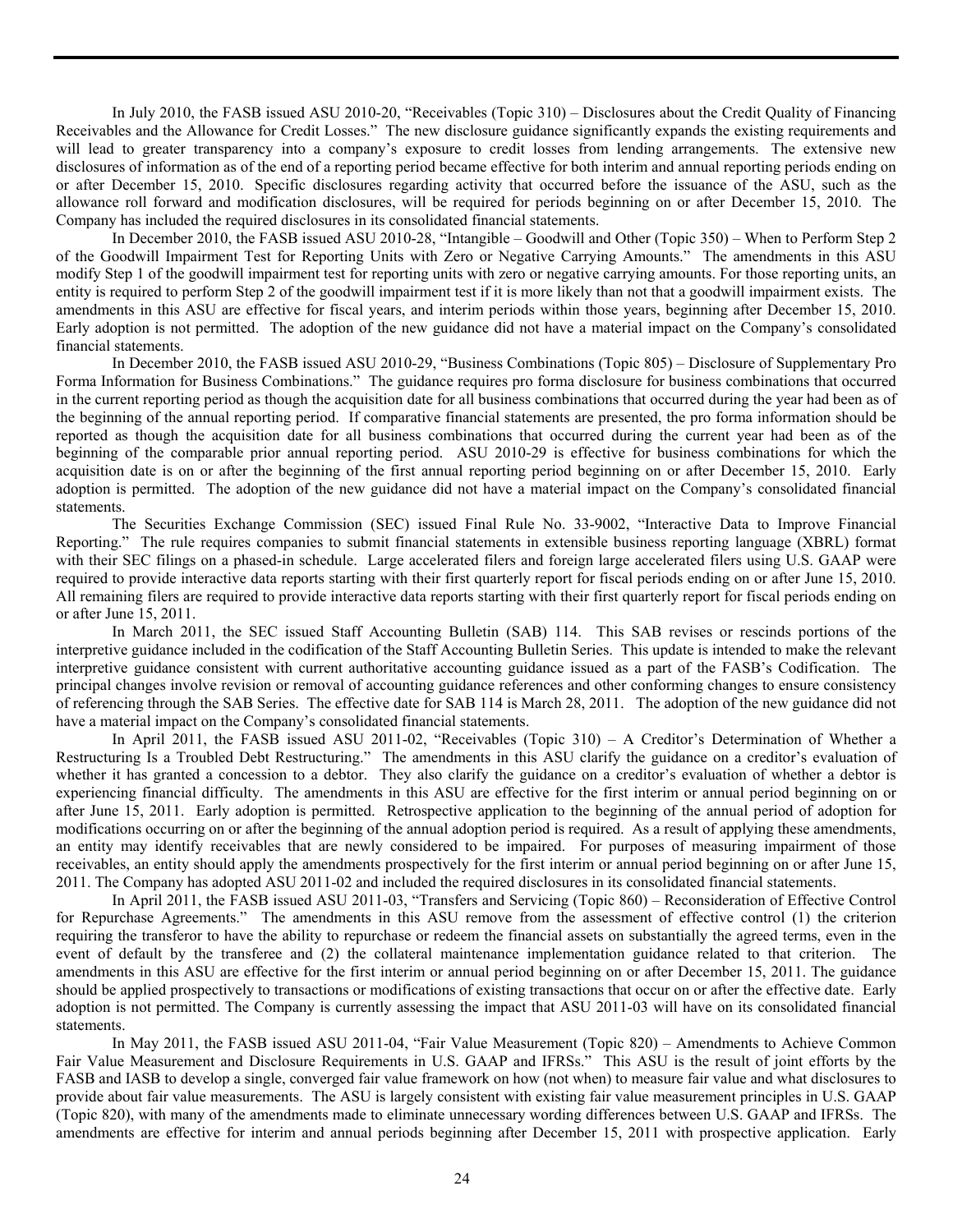In July 2010, the FASB issued ASU 2010-20, "Receivables (Topic 310) – Disclosures about the Credit Quality of Financing Receivables and the Allowance for Credit Losses." The new disclosure guidance significantly expands the existing requirements and will lead to greater transparency into a company's exposure to credit losses from lending arrangements. The extensive new disclosures of information as of the end of a reporting period became effective for both interim and annual reporting periods ending on or after December 15, 2010. Specific disclosures regarding activity that occurred before the issuance of the ASU, such as the allowance roll forward and modification disclosures, will be required for periods beginning on or after December 15, 2010. The Company has included the required disclosures in its consolidated financial statements.

 In December 2010, the FASB issued ASU 2010-28, "Intangible – Goodwill and Other (Topic 350) – When to Perform Step 2 of the Goodwill Impairment Test for Reporting Units with Zero or Negative Carrying Amounts." The amendments in this ASU modify Step 1 of the goodwill impairment test for reporting units with zero or negative carrying amounts. For those reporting units, an entity is required to perform Step 2 of the goodwill impairment test if it is more likely than not that a goodwill impairment exists. The amendments in this ASU are effective for fiscal years, and interim periods within those years, beginning after December 15, 2010. Early adoption is not permitted. The adoption of the new guidance did not have a material impact on the Company's consolidated financial statements.

 In December 2010, the FASB issued ASU 2010-29, "Business Combinations (Topic 805) – Disclosure of Supplementary Pro Forma Information for Business Combinations." The guidance requires pro forma disclosure for business combinations that occurred in the current reporting period as though the acquisition date for all business combinations that occurred during the year had been as of the beginning of the annual reporting period. If comparative financial statements are presented, the pro forma information should be reported as though the acquisition date for all business combinations that occurred during the current year had been as of the beginning of the comparable prior annual reporting period. ASU 2010-29 is effective for business combinations for which the acquisition date is on or after the beginning of the first annual reporting period beginning on or after December 15, 2010. Early adoption is permitted. The adoption of the new guidance did not have a material impact on the Company's consolidated financial statements.

 The Securities Exchange Commission (SEC) issued Final Rule No. 33-9002, "Interactive Data to Improve Financial Reporting." The rule requires companies to submit financial statements in extensible business reporting language (XBRL) format with their SEC filings on a phased-in schedule. Large accelerated filers and foreign large accelerated filers using U.S. GAAP were required to provide interactive data reports starting with their first quarterly report for fiscal periods ending on or after June 15, 2010. All remaining filers are required to provide interactive data reports starting with their first quarterly report for fiscal periods ending on or after June 15, 2011.

 In March 2011, the SEC issued Staff Accounting Bulletin (SAB) 114. This SAB revises or rescinds portions of the interpretive guidance included in the codification of the Staff Accounting Bulletin Series. This update is intended to make the relevant interpretive guidance consistent with current authoritative accounting guidance issued as a part of the FASB's Codification. The principal changes involve revision or removal of accounting guidance references and other conforming changes to ensure consistency of referencing through the SAB Series. The effective date for SAB 114 is March 28, 2011. The adoption of the new guidance did not have a material impact on the Company's consolidated financial statements.

 In April 2011, the FASB issued ASU 2011-02, "Receivables (Topic 310) – A Creditor's Determination of Whether a Restructuring Is a Troubled Debt Restructuring." The amendments in this ASU clarify the guidance on a creditor's evaluation of whether it has granted a concession to a debtor. They also clarify the guidance on a creditor's evaluation of whether a debtor is experiencing financial difficulty. The amendments in this ASU are effective for the first interim or annual period beginning on or after June 15, 2011. Early adoption is permitted. Retrospective application to the beginning of the annual period of adoption for modifications occurring on or after the beginning of the annual adoption period is required. As a result of applying these amendments, an entity may identify receivables that are newly considered to be impaired. For purposes of measuring impairment of those receivables, an entity should apply the amendments prospectively for the first interim or annual period beginning on or after June 15, 2011. The Company has adopted ASU 2011-02 and included the required disclosures in its consolidated financial statements.

 In April 2011, the FASB issued ASU 2011-03, "Transfers and Servicing (Topic 860) – Reconsideration of Effective Control for Repurchase Agreements." The amendments in this ASU remove from the assessment of effective control (1) the criterion requiring the transferor to have the ability to repurchase or redeem the financial assets on substantially the agreed terms, even in the event of default by the transferee and (2) the collateral maintenance implementation guidance related to that criterion. The amendments in this ASU are effective for the first interim or annual period beginning on or after December 15, 2011. The guidance should be applied prospectively to transactions or modifications of existing transactions that occur on or after the effective date. Early adoption is not permitted. The Company is currently assessing the impact that ASU 2011-03 will have on its consolidated financial statements.

 In May 2011, the FASB issued ASU 2011-04, "Fair Value Measurement (Topic 820) – Amendments to Achieve Common Fair Value Measurement and Disclosure Requirements in U.S. GAAP and IFRSs." This ASU is the result of joint efforts by the FASB and IASB to develop a single, converged fair value framework on how (not when) to measure fair value and what disclosures to provide about fair value measurements. The ASU is largely consistent with existing fair value measurement principles in U.S. GAAP (Topic 820), with many of the amendments made to eliminate unnecessary wording differences between U.S. GAAP and IFRSs. The amendments are effective for interim and annual periods beginning after December 15, 2011 with prospective application. Early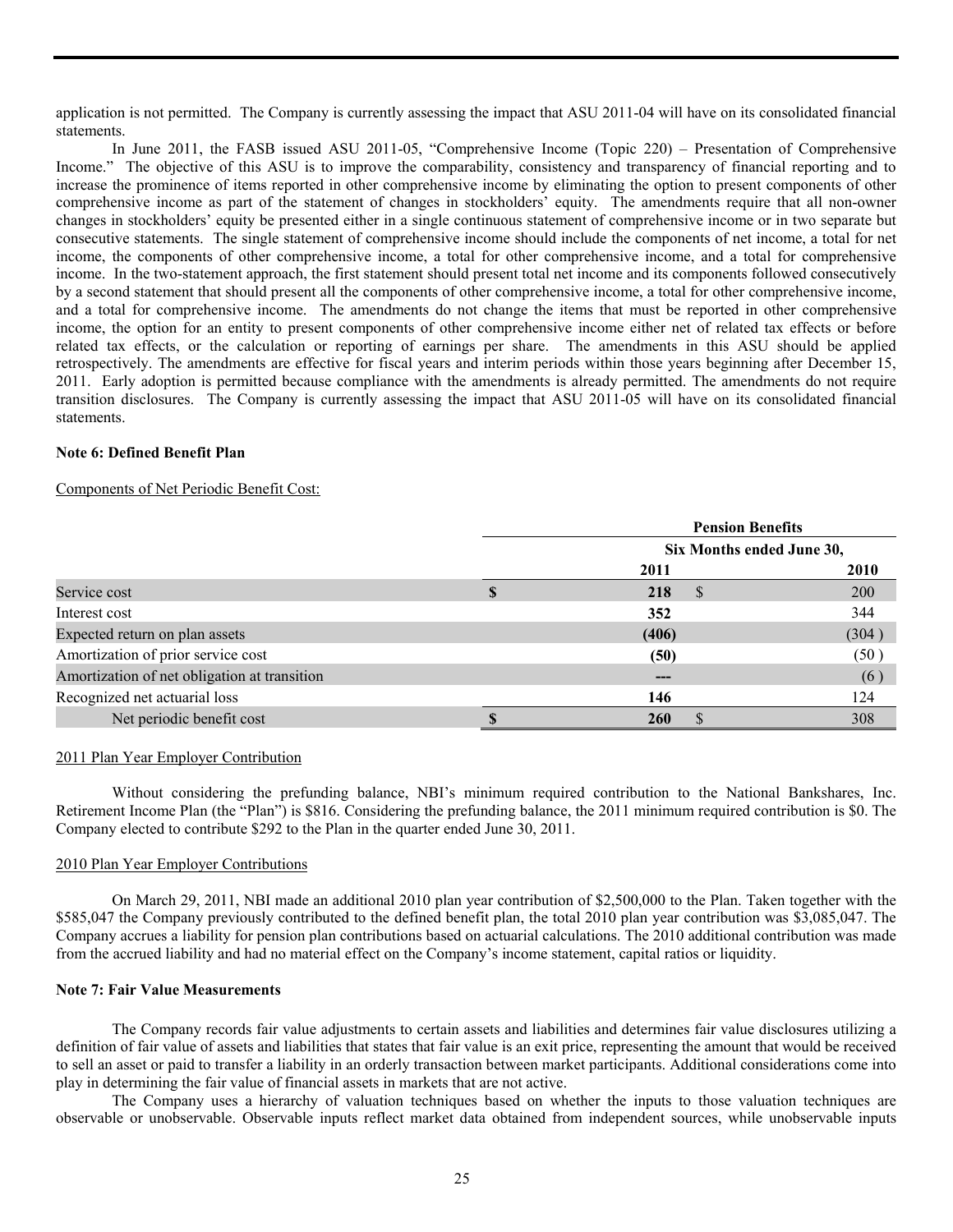application is not permitted. The Company is currently assessing the impact that ASU 2011-04 will have on its consolidated financial statements.

 In June 2011, the FASB issued ASU 2011-05, "Comprehensive Income (Topic 220) – Presentation of Comprehensive Income." The objective of this ASU is to improve the comparability, consistency and transparency of financial reporting and to increase the prominence of items reported in other comprehensive income by eliminating the option to present components of other comprehensive income as part of the statement of changes in stockholders' equity. The amendments require that all non-owner changes in stockholders' equity be presented either in a single continuous statement of comprehensive income or in two separate but consecutive statements. The single statement of comprehensive income should include the components of net income, a total for net income, the components of other comprehensive income, a total for other comprehensive income, and a total for comprehensive income. In the two-statement approach, the first statement should present total net income and its components followed consecutively by a second statement that should present all the components of other comprehensive income, a total for other comprehensive income, and a total for comprehensive income. The amendments do not change the items that must be reported in other comprehensive income, the option for an entity to present components of other comprehensive income either net of related tax effects or before related tax effects, or the calculation or reporting of earnings per share. The amendments in this ASU should be applied retrospectively. The amendments are effective for fiscal years and interim periods within those years beginning after December 15, 2011. Early adoption is permitted because compliance with the amendments is already permitted. The amendments do not require transition disclosures. The Company is currently assessing the impact that ASU 2011-05 will have on its consolidated financial statements.

## **Note 6: Defined Benefit Plan**

#### Components of Net Periodic Benefit Cost:

|                                              | <b>Pension Benefits</b>   |       |  |  |  |  |  |
|----------------------------------------------|---------------------------|-------|--|--|--|--|--|
|                                              | Six Months ended June 30, |       |  |  |  |  |  |
|                                              | 2011                      | 2010  |  |  |  |  |  |
| Service cost                                 | 218<br><sup>8</sup>       | 200   |  |  |  |  |  |
| Interest cost                                | 352                       | 344   |  |  |  |  |  |
| Expected return on plan assets               | (406)                     | (304) |  |  |  |  |  |
| Amortization of prior service cost           | (50)                      | (50)  |  |  |  |  |  |
| Amortization of net obligation at transition | ---                       | (6)   |  |  |  |  |  |
| Recognized net actuarial loss                | 146                       | 124   |  |  |  |  |  |
| Net periodic benefit cost                    | <b>260</b>                | 308   |  |  |  |  |  |

# 2011 Plan Year Employer Contribution

Without considering the prefunding balance, NBI's minimum required contribution to the National Bankshares, Inc. Retirement Income Plan (the "Plan") is \$816. Considering the prefunding balance, the 2011 minimum required contribution is \$0. The Company elected to contribute \$292 to the Plan in the quarter ended June 30, 2011.

#### 2010 Plan Year Employer Contributions

 On March 29, 2011, NBI made an additional 2010 plan year contribution of \$2,500,000 to the Plan. Taken together with the \$585,047 the Company previously contributed to the defined benefit plan, the total 2010 plan year contribution was \$3,085,047. The Company accrues a liability for pension plan contributions based on actuarial calculations. The 2010 additional contribution was made from the accrued liability and had no material effect on the Company's income statement, capital ratios or liquidity.

#### **Note 7: Fair Value Measurements**

 The Company records fair value adjustments to certain assets and liabilities and determines fair value disclosures utilizing a definition of fair value of assets and liabilities that states that fair value is an exit price, representing the amount that would be received to sell an asset or paid to transfer a liability in an orderly transaction between market participants. Additional considerations come into play in determining the fair value of financial assets in markets that are not active.

 The Company uses a hierarchy of valuation techniques based on whether the inputs to those valuation techniques are observable or unobservable. Observable inputs reflect market data obtained from independent sources, while unobservable inputs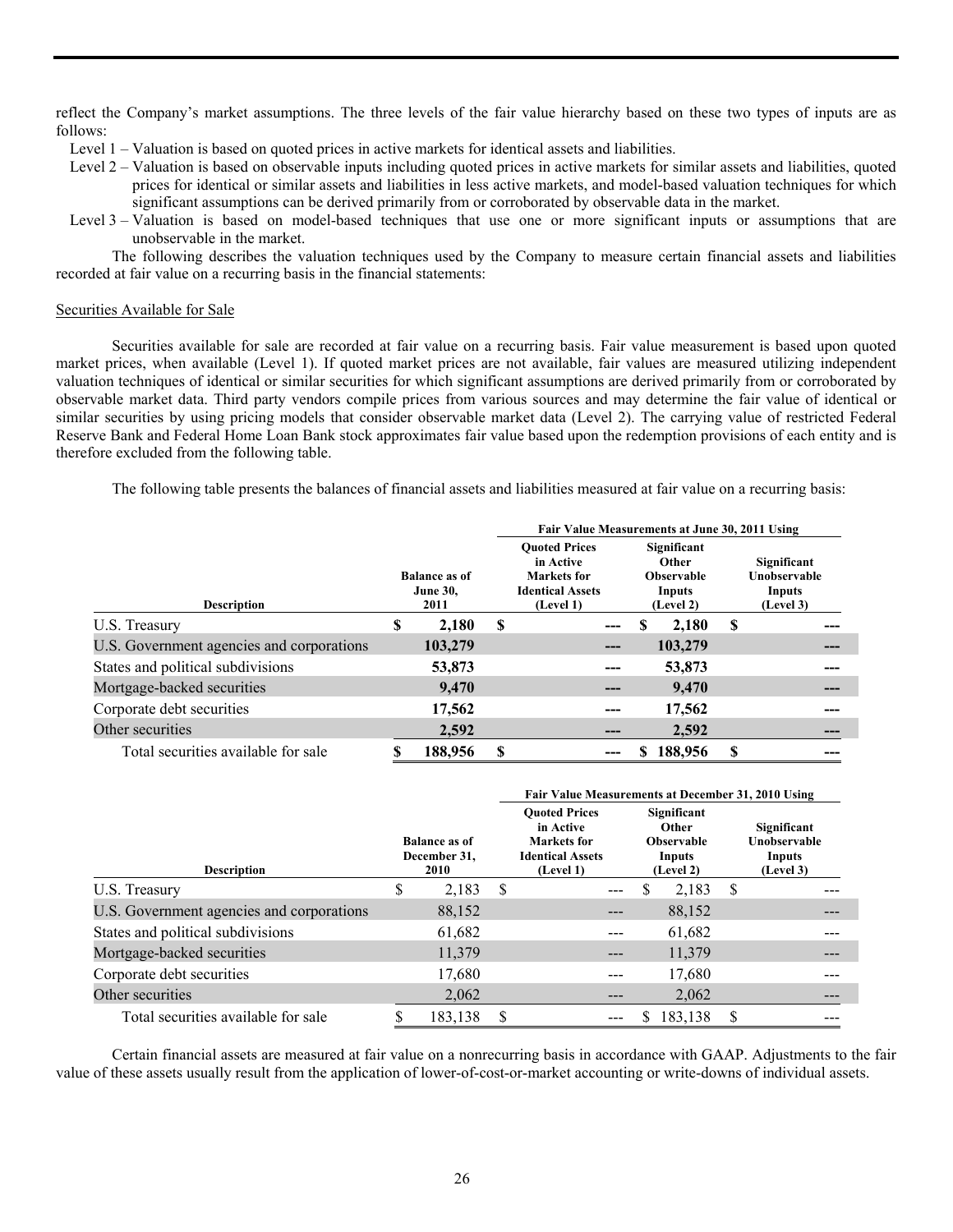reflect the Company's market assumptions. The three levels of the fair value hierarchy based on these two types of inputs are as follows:

- Level 1 Valuation is based on quoted prices in active markets for identical assets and liabilities.
- Level 2 Valuation is based on observable inputs including quoted prices in active markets for similar assets and liabilities, quoted prices for identical or similar assets and liabilities in less active markets, and model-based valuation techniques for which significant assumptions can be derived primarily from or corroborated by observable data in the market.
- Level 3 Valuation is based on model-based techniques that use one or more significant inputs or assumptions that are unobservable in the market.

The following describes the valuation techniques used by the Company to measure certain financial assets and liabilities recorded at fair value on a recurring basis in the financial statements:

#### Securities Available for Sale

 Securities available for sale are recorded at fair value on a recurring basis. Fair value measurement is based upon quoted market prices, when available (Level 1). If quoted market prices are not available, fair values are measured utilizing independent valuation techniques of identical or similar securities for which significant assumptions are derived primarily from or corroborated by observable market data. Third party vendors compile prices from various sources and may determine the fair value of identical or similar securities by using pricing models that consider observable market data (Level 2). The carrying value of restricted Federal Reserve Bank and Federal Home Loan Bank stock approximates fair value based upon the redemption provisions of each entity and is therefore excluded from the following table.

The following table presents the balances of financial assets and liabilities measured at fair value on a recurring basis:

|                                           | Fair Value Measurements at June 30, 2011 Using  |         |   |                                                                                          |                                                                         |    |         |                                                    |     |  |  |
|-------------------------------------------|-------------------------------------------------|---------|---|------------------------------------------------------------------------------------------|-------------------------------------------------------------------------|----|---------|----------------------------------------------------|-----|--|--|
| <b>Description</b>                        | <b>Balance as of</b><br><b>June 30,</b><br>2011 |         |   | <b>Ouoted Prices</b><br>in Active<br>Markets for<br><b>Identical Assets</b><br>(Level 1) | Significant<br><b>Other</b><br><b>Observable</b><br>Inputs<br>(Level 2) |    |         | Significant<br>Unobservable<br>Inputs<br>(Level 3) |     |  |  |
| U.S. Treasury                             | S                                               | 2,180   | S |                                                                                          |                                                                         | S  | 2,180   | S                                                  |     |  |  |
| U.S. Government agencies and corporations |                                                 | 103,279 |   |                                                                                          |                                                                         |    | 103,279 |                                                    |     |  |  |
| States and political subdivisions         |                                                 | 53,873  |   |                                                                                          |                                                                         |    | 53,873  |                                                    |     |  |  |
| Mortgage-backed securities                |                                                 | 9.470   |   | ---                                                                                      |                                                                         |    | 9.470   |                                                    | --- |  |  |
| Corporate debt securities                 |                                                 | 17,562  |   |                                                                                          |                                                                         |    | 17,562  |                                                    |     |  |  |
| Other securities                          |                                                 | 2,592   |   |                                                                                          |                                                                         |    | 2,592   |                                                    |     |  |  |
| Total securities available for sale       |                                                 | 188,956 | S |                                                                                          |                                                                         | S. | 188,956 |                                                    |     |  |  |

|                                           |                                              |         | Fair Value Measurements at December 31, 2010 Using |                                                                                          |   |                                                                         |                                                    |  |  |  |  |  |  |
|-------------------------------------------|----------------------------------------------|---------|----------------------------------------------------|------------------------------------------------------------------------------------------|---|-------------------------------------------------------------------------|----------------------------------------------------|--|--|--|--|--|--|
| <b>Description</b>                        | <b>Balance as of</b><br>December 31,<br>2010 |         |                                                    | <b>Ouoted Prices</b><br>in Active<br>Markets for<br><b>Identical Assets</b><br>(Level 1) |   | Significant<br><b>Other</b><br><b>Observable</b><br>Inputs<br>(Level 2) | Significant<br>Unobservable<br>Inputs<br>(Level 3) |  |  |  |  |  |  |
| U.S. Treasury                             | \$                                           | 2,183   | S                                                  |                                                                                          | S | 2,183                                                                   | S                                                  |  |  |  |  |  |  |
| U.S. Government agencies and corporations |                                              | 88,152  |                                                    | ---                                                                                      |   | 88,152                                                                  |                                                    |  |  |  |  |  |  |
| States and political subdivisions         |                                              | 61,682  |                                                    |                                                                                          |   | 61,682                                                                  |                                                    |  |  |  |  |  |  |
| Mortgage-backed securities                |                                              | 11,379  |                                                    | ---                                                                                      |   | 11,379                                                                  |                                                    |  |  |  |  |  |  |
| Corporate debt securities                 |                                              | 17,680  |                                                    | ---                                                                                      |   | 17,680                                                                  |                                                    |  |  |  |  |  |  |
| Other securities                          |                                              | 2,062   |                                                    | $---$                                                                                    |   | 2,062                                                                   |                                                    |  |  |  |  |  |  |
| Total securities available for sale       |                                              | 183,138 | \$.                                                |                                                                                          |   | 183,138                                                                 |                                                    |  |  |  |  |  |  |

 Certain financial assets are measured at fair value on a nonrecurring basis in accordance with GAAP. Adjustments to the fair value of these assets usually result from the application of lower-of-cost-or-market accounting or write-downs of individual assets.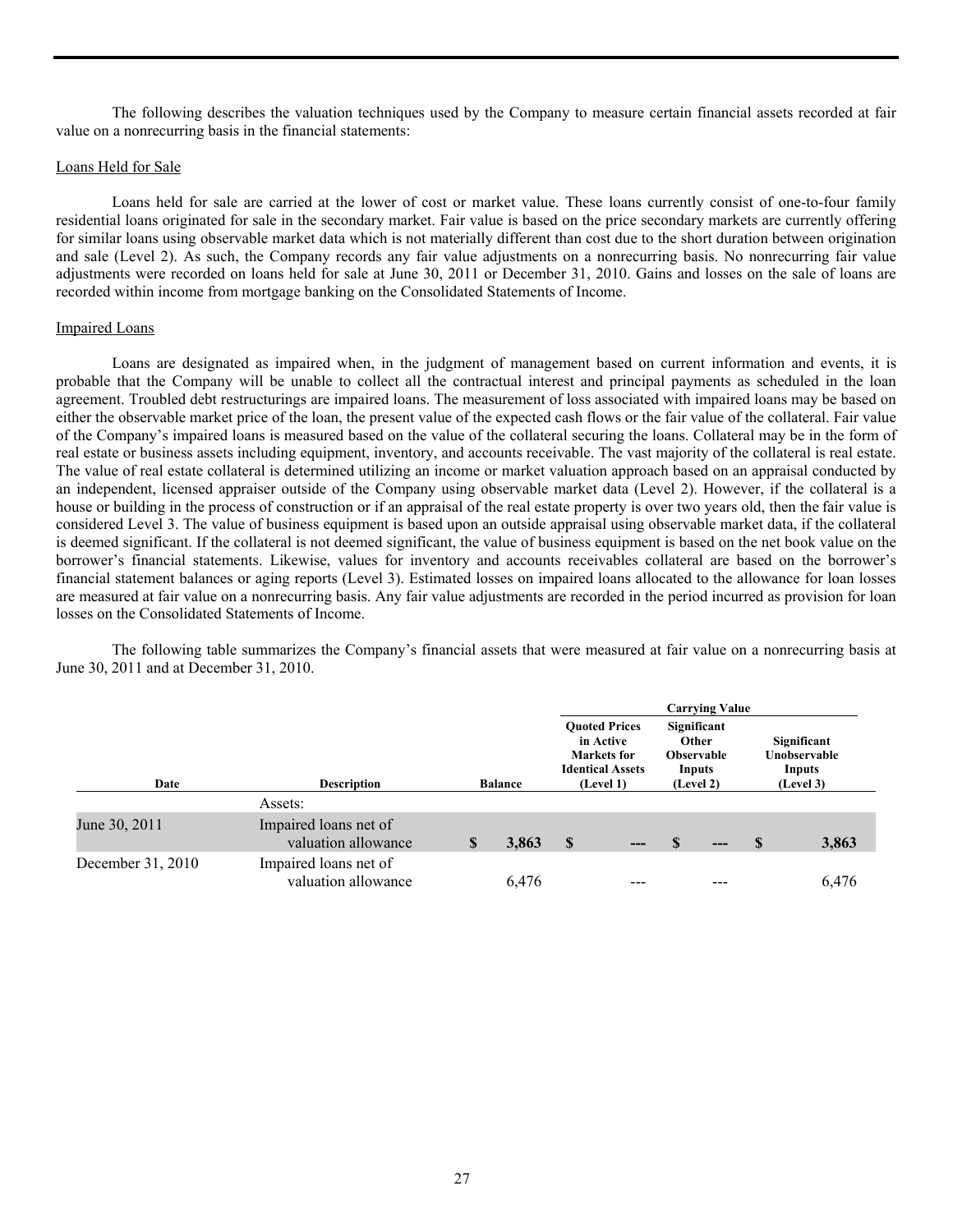The following describes the valuation techniques used by the Company to measure certain financial assets recorded at fair value on a nonrecurring basis in the financial statements:

#### Loans Held for Sale

 Loans held for sale are carried at the lower of cost or market value. These loans currently consist of one-to-four family residential loans originated for sale in the secondary market. Fair value is based on the price secondary markets are currently offering for similar loans using observable market data which is not materially different than cost due to the short duration between origination and sale (Level 2). As such, the Company records any fair value adjustments on a nonrecurring basis. No nonrecurring fair value adjustments were recorded on loans held for sale at June 30, 2011 or December 31, 2010. Gains and losses on the sale of loans are recorded within income from mortgage banking on the Consolidated Statements of Income.

#### Impaired Loans

 Loans are designated as impaired when, in the judgment of management based on current information and events, it is probable that the Company will be unable to collect all the contractual interest and principal payments as scheduled in the loan agreement. Troubled debt restructurings are impaired loans. The measurement of loss associated with impaired loans may be based on either the observable market price of the loan, the present value of the expected cash flows or the fair value of the collateral. Fair value of the Company's impaired loans is measured based on the value of the collateral securing the loans. Collateral may be in the form of real estate or business assets including equipment, inventory, and accounts receivable. The vast majority of the collateral is real estate. The value of real estate collateral is determined utilizing an income or market valuation approach based on an appraisal conducted by an independent, licensed appraiser outside of the Company using observable market data (Level 2). However, if the collateral is a house or building in the process of construction or if an appraisal of the real estate property is over two years old, then the fair value is considered Level 3. The value of business equipment is based upon an outside appraisal using observable market data, if the collateral is deemed significant. If the collateral is not deemed significant, the value of business equipment is based on the net book value on the borrower's financial statements. Likewise, values for inventory and accounts receivables collateral are based on the borrower's financial statement balances or aging reports (Level 3). Estimated losses on impaired loans allocated to the allowance for loan losses are measured at fair value on a nonrecurring basis. Any fair value adjustments are recorded in the period incurred as provision for loan losses on the Consolidated Statements of Income.

 The following table summarizes the Company's financial assets that were measured at fair value on a nonrecurring basis at June 30, 2011 and at December 31, 2010.

|                            |                                              |                |       |                                                                                          |       |                                                                  | <b>Carrying Value</b> |                                                    |       |
|----------------------------|----------------------------------------------|----------------|-------|------------------------------------------------------------------------------------------|-------|------------------------------------------------------------------|-----------------------|----------------------------------------------------|-------|
| <b>Description</b><br>Date |                                              | <b>Balance</b> |       | <b>Ouoted Prices</b><br>in Active<br>Markets for<br><b>Identical Assets</b><br>(Level 1) |       | Significant<br>Other<br><b>Observable</b><br>Inputs<br>(Level 2) |                       | Significant<br>Unobservable<br>Inputs<br>(Level 3) |       |
|                            | Assets:                                      |                |       |                                                                                          |       |                                                                  |                       |                                                    |       |
| June 30, 2011              | Impaired loans net of<br>valuation allowance |                | 3,863 | \$                                                                                       | $---$ | S                                                                | $---$                 | <b>S</b>                                           | 3,863 |
| December 31, 2010          | Impaired loans net of<br>valuation allowance |                | 6,476 |                                                                                          |       |                                                                  |                       |                                                    | 6,476 |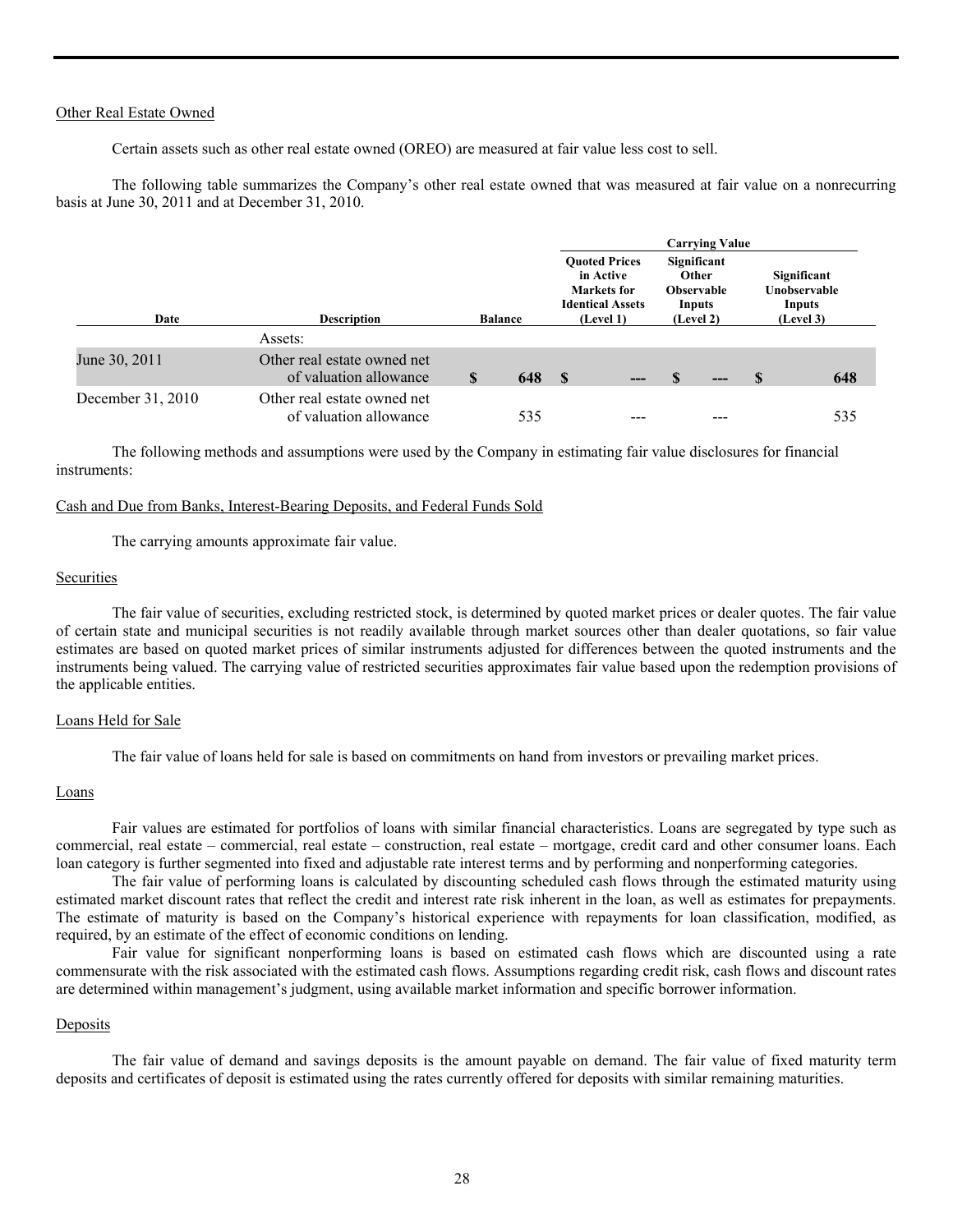#### Other Real Estate Owned

Certain assets such as other real estate owned (OREO) are measured at fair value less cost to sell.

 The following table summarizes the Company's other real estate owned that was measured at fair value on a nonrecurring basis at June 30, 2011 and at December 31, 2010.

|                   |                                                       |                |     |                                                                                          |     |                                                                         | <b>Carrying Value</b> |                                                    |     |
|-------------------|-------------------------------------------------------|----------------|-----|------------------------------------------------------------------------------------------|-----|-------------------------------------------------------------------------|-----------------------|----------------------------------------------------|-----|
| Date              | <b>Description</b>                                    | <b>Balance</b> |     | <b>Ouoted Prices</b><br>in Active<br>Markets for<br><b>Identical Assets</b><br>(Level 1) |     | Significant<br><b>Other</b><br><b>Observable</b><br>Inputs<br>(Level 2) |                       | Significant<br>Unobservable<br>Inputs<br>(Level 3) |     |
|                   | Assets:                                               |                |     |                                                                                          |     |                                                                         |                       |                                                    |     |
| June 30, 2011     | Other real estate owned net<br>of valuation allowance | S              | 648 | - \$                                                                                     | --- |                                                                         | $---$                 | <b>S</b>                                           | 648 |
| December 31, 2010 | Other real estate owned net<br>of valuation allowance |                | 535 |                                                                                          |     |                                                                         |                       |                                                    | 535 |

The following methods and assumptions were used by the Company in estimating fair value disclosures for financial instruments:

#### Cash and Due from Banks, Interest-Bearing Deposits, and Federal Funds Sold

The carrying amounts approximate fair value.

#### Securities

 The fair value of securities, excluding restricted stock, is determined by quoted market prices or dealer quotes. The fair value of certain state and municipal securities is not readily available through market sources other than dealer quotations, so fair value estimates are based on quoted market prices of similar instruments adjusted for differences between the quoted instruments and the instruments being valued. The carrying value of restricted securities approximates fair value based upon the redemption provisions of the applicable entities.

#### Loans Held for Sale

The fair value of loans held for sale is based on commitments on hand from investors or prevailing market prices.

#### Loans

 Fair values are estimated for portfolios of loans with similar financial characteristics. Loans are segregated by type such as commercial, real estate – commercial, real estate – construction, real estate – mortgage, credit card and other consumer loans. Each loan category is further segmented into fixed and adjustable rate interest terms and by performing and nonperforming categories.

 The fair value of performing loans is calculated by discounting scheduled cash flows through the estimated maturity using estimated market discount rates that reflect the credit and interest rate risk inherent in the loan, as well as estimates for prepayments. The estimate of maturity is based on the Company's historical experience with repayments for loan classification, modified, as required, by an estimate of the effect of economic conditions on lending.

 Fair value for significant nonperforming loans is based on estimated cash flows which are discounted using a rate commensurate with the risk associated with the estimated cash flows. Assumptions regarding credit risk, cash flows and discount rates are determined within management's judgment, using available market information and specific borrower information.

# Deposits

 The fair value of demand and savings deposits is the amount payable on demand. The fair value of fixed maturity term deposits and certificates of deposit is estimated using the rates currently offered for deposits with similar remaining maturities.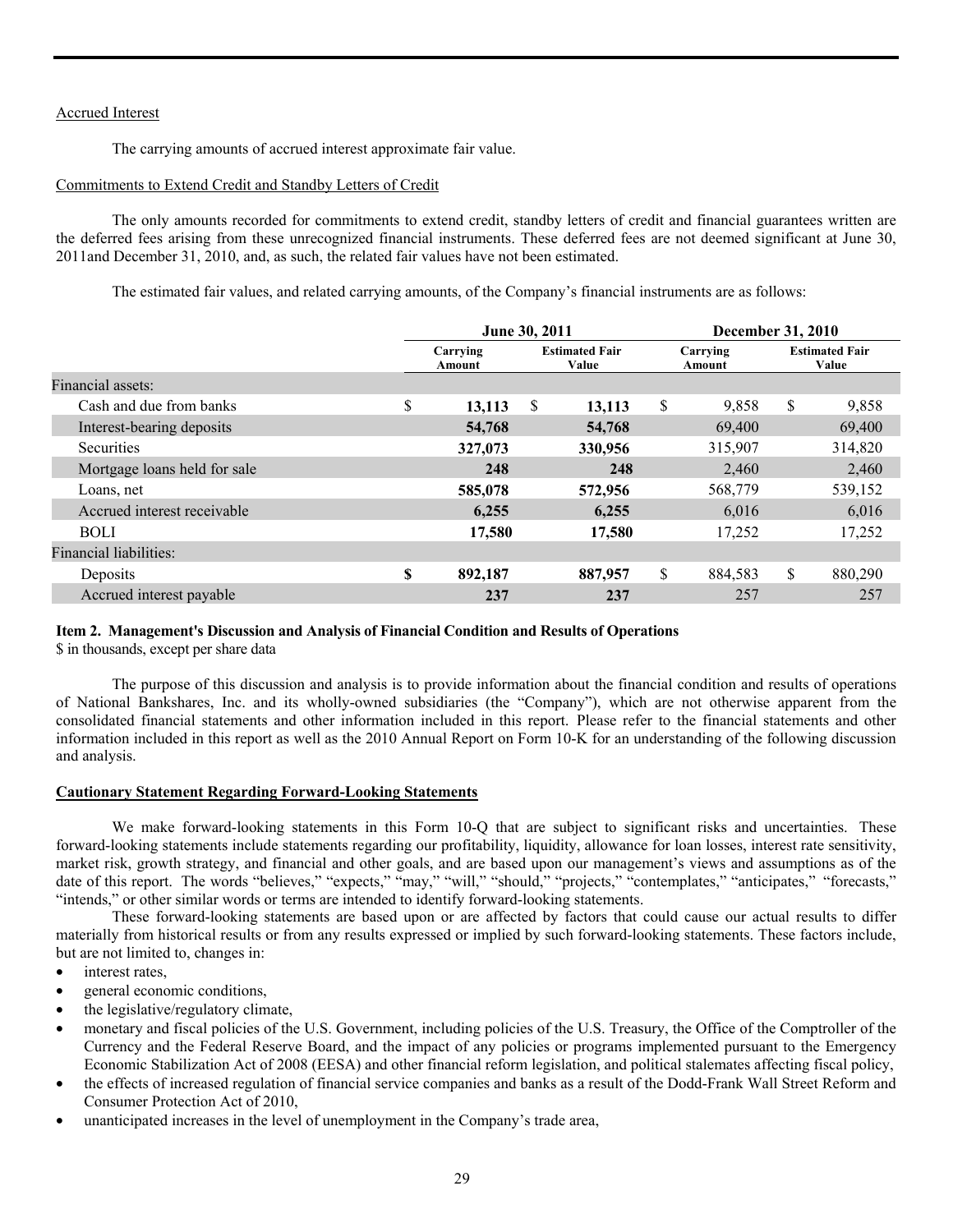# Accrued Interest

The carrying amounts of accrued interest approximate fair value.

#### Commitments to Extend Credit and Standby Letters of Credit

 The only amounts recorded for commitments to extend credit, standby letters of credit and financial guarantees written are the deferred fees arising from these unrecognized financial instruments. These deferred fees are not deemed significant at June 30, 2011and December 31, 2010, and, as such, the related fair values have not been estimated.

The estimated fair values, and related carrying amounts, of the Company's financial instruments are as follows:

|                              | June 30, 2011      |                                |         |                    | <b>December 31, 2010</b> |    |                                |  |
|------------------------------|--------------------|--------------------------------|---------|--------------------|--------------------------|----|--------------------------------|--|
|                              | Carrying<br>Amount | <b>Estimated Fair</b><br>Value |         | Carrying<br>Amount |                          |    | <b>Estimated Fair</b><br>Value |  |
| Financial assets:            |                    |                                |         |                    |                          |    |                                |  |
| Cash and due from banks      | \$<br>13,113       | S                              | 13,113  | \$                 | 9,858                    | \$ | 9,858                          |  |
| Interest-bearing deposits    | 54,768             |                                | 54,768  |                    | 69,400                   |    | 69,400                         |  |
| <b>Securities</b>            | 327,073            |                                | 330,956 |                    | 315,907                  |    | 314,820                        |  |
| Mortgage loans held for sale | 248                |                                | 248     |                    | 2,460                    |    | 2,460                          |  |
| Loans, net                   | 585,078            |                                | 572,956 |                    | 568,779                  |    | 539,152                        |  |
| Accrued interest receivable  | 6,255              |                                | 6,255   |                    | 6,016                    |    | 6,016                          |  |
| <b>BOLI</b>                  | 17,580             |                                | 17,580  |                    | 17,252                   |    | 17,252                         |  |
| Financial liabilities:       |                    |                                |         |                    |                          |    |                                |  |
| Deposits                     | \$<br>892,187      |                                | 887,957 | \$                 | 884,583                  | \$ | 880,290                        |  |
| Accrued interest payable     | 237                |                                | 237     |                    | 257                      |    | 257                            |  |

#### **Item 2. Management's Discussion and Analysis of Financial Condition and Results of Operations**

\$ in thousands, except per share data

 The purpose of this discussion and analysis is to provide information about the financial condition and results of operations of National Bankshares, Inc. and its wholly-owned subsidiaries (the "Company"), which are not otherwise apparent from the consolidated financial statements and other information included in this report. Please refer to the financial statements and other information included in this report as well as the 2010 Annual Report on Form 10-K for an understanding of the following discussion and analysis.

#### **Cautionary Statement Regarding Forward-Looking Statements**

 We make forward-looking statements in this Form 10-Q that are subject to significant risks and uncertainties. These forward-looking statements include statements regarding our profitability, liquidity, allowance for loan losses, interest rate sensitivity, market risk, growth strategy, and financial and other goals, and are based upon our management's views and assumptions as of the date of this report. The words "believes," "expects," "may," "will," "should," "projects," "contemplates," "anticipates," "forecasts," "intends," or other similar words or terms are intended to identify forward-looking statements.

These forward-looking statements are based upon or are affected by factors that could cause our actual results to differ materially from historical results or from any results expressed or implied by such forward-looking statements. These factors include, but are not limited to, changes in:

- interest rates.
- general economic conditions,
- the legislative/regulatory climate,
- monetary and fiscal policies of the U.S. Government, including policies of the U.S. Treasury, the Office of the Comptroller of the Currency and the Federal Reserve Board, and the impact of any policies or programs implemented pursuant to the Emergency Economic Stabilization Act of 2008 (EESA) and other financial reform legislation, and political stalemates affecting fiscal policy,
- the effects of increased regulation of financial service companies and banks as a result of the Dodd-Frank Wall Street Reform and Consumer Protection Act of 2010,
- unanticipated increases in the level of unemployment in the Company's trade area,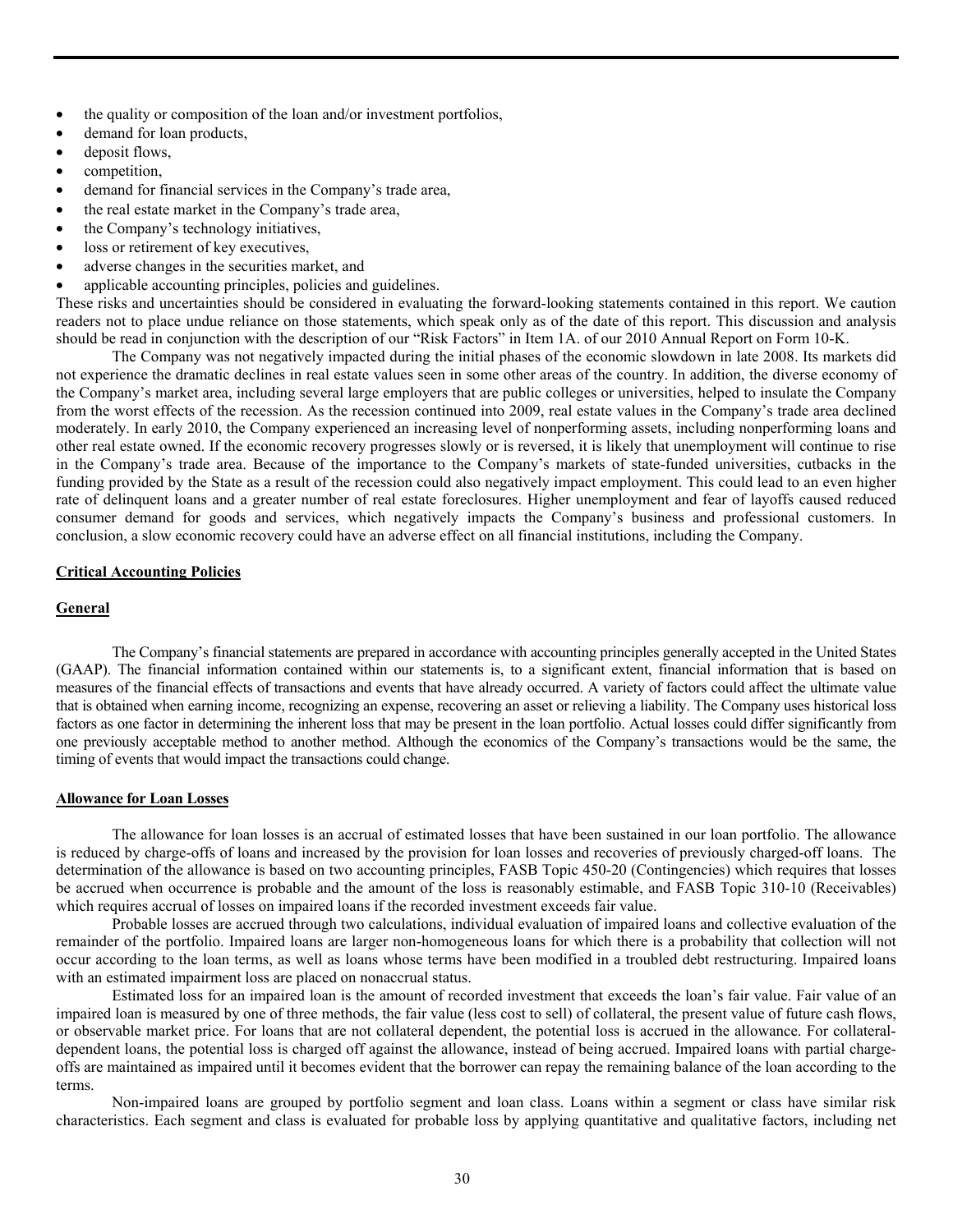- the quality or composition of the loan and/or investment portfolios,
- demand for loan products,
- deposit flows,
- competition,
- demand for financial services in the Company's trade area,
- the real estate market in the Company's trade area,
- the Company's technology initiatives,
- loss or retirement of key executives,
- adverse changes in the securities market, and
- applicable accounting principles, policies and guidelines.

These risks and uncertainties should be considered in evaluating the forward-looking statements contained in this report. We caution readers not to place undue reliance on those statements, which speak only as of the date of this report. This discussion and analysis should be read in conjunction with the description of our "Risk Factors" in Item 1A. of our 2010 Annual Report on Form 10-K.

 The Company was not negatively impacted during the initial phases of the economic slowdown in late 2008. Its markets did not experience the dramatic declines in real estate values seen in some other areas of the country. In addition, the diverse economy of the Company's market area, including several large employers that are public colleges or universities, helped to insulate the Company from the worst effects of the recession. As the recession continued into 2009, real estate values in the Company's trade area declined moderately. In early 2010, the Company experienced an increasing level of nonperforming assets, including nonperforming loans and other real estate owned. If the economic recovery progresses slowly or is reversed, it is likely that unemployment will continue to rise in the Company's trade area. Because of the importance to the Company's markets of state-funded universities, cutbacks in the funding provided by the State as a result of the recession could also negatively impact employment. This could lead to an even higher rate of delinquent loans and a greater number of real estate foreclosures. Higher unemployment and fear of layoffs caused reduced consumer demand for goods and services, which negatively impacts the Company's business and professional customers. In conclusion, a slow economic recovery could have an adverse effect on all financial institutions, including the Company.

#### **Critical Accounting Policies**

#### **General**

 The Company's financial statements are prepared in accordance with accounting principles generally accepted in the United States (GAAP). The financial information contained within our statements is, to a significant extent, financial information that is based on measures of the financial effects of transactions and events that have already occurred. A variety of factors could affect the ultimate value that is obtained when earning income, recognizing an expense, recovering an asset or relieving a liability. The Company uses historical loss factors as one factor in determining the inherent loss that may be present in the loan portfolio. Actual losses could differ significantly from one previously acceptable method to another method. Although the economics of the Company's transactions would be the same, the timing of events that would impact the transactions could change.

#### **Allowance for Loan Losses**

 The allowance for loan losses is an accrual of estimated losses that have been sustained in our loan portfolio. The allowance is reduced by charge-offs of loans and increased by the provision for loan losses and recoveries of previously charged-off loans. The determination of the allowance is based on two accounting principles, FASB Topic 450-20 (Contingencies) which requires that losses be accrued when occurrence is probable and the amount of the loss is reasonably estimable, and FASB Topic 310-10 (Receivables) which requires accrual of losses on impaired loans if the recorded investment exceeds fair value.

Probable losses are accrued through two calculations, individual evaluation of impaired loans and collective evaluation of the remainder of the portfolio. Impaired loans are larger non-homogeneous loans for which there is a probability that collection will not occur according to the loan terms, as well as loans whose terms have been modified in a troubled debt restructuring. Impaired loans with an estimated impairment loss are placed on nonaccrual status.

Estimated loss for an impaired loan is the amount of recorded investment that exceeds the loan's fair value. Fair value of an impaired loan is measured by one of three methods, the fair value (less cost to sell) of collateral, the present value of future cash flows, or observable market price. For loans that are not collateral dependent, the potential loss is accrued in the allowance. For collateraldependent loans, the potential loss is charged off against the allowance, instead of being accrued. Impaired loans with partial chargeoffs are maintained as impaired until it becomes evident that the borrower can repay the remaining balance of the loan according to the terms.

Non-impaired loans are grouped by portfolio segment and loan class. Loans within a segment or class have similar risk characteristics. Each segment and class is evaluated for probable loss by applying quantitative and qualitative factors, including net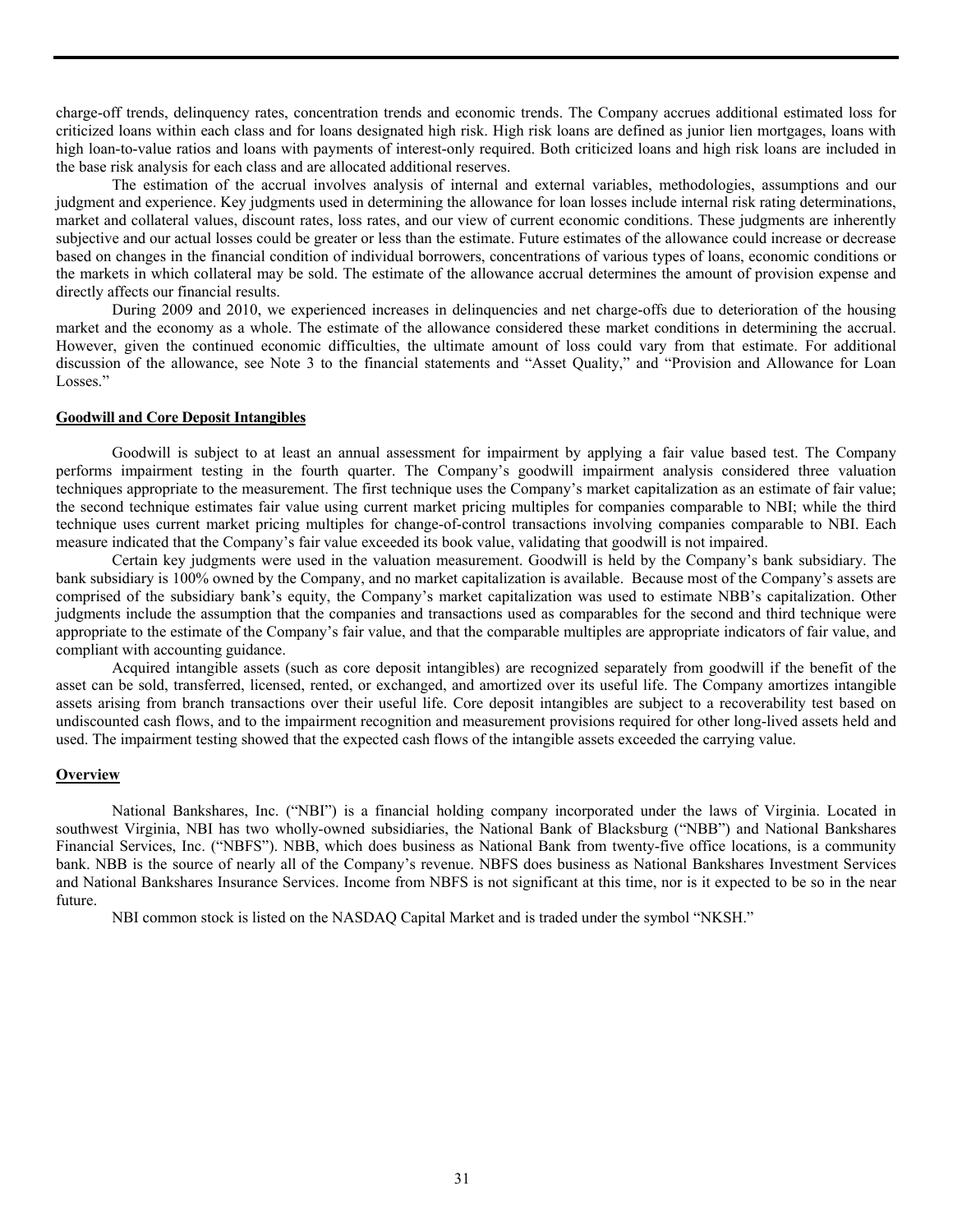charge-off trends, delinquency rates, concentration trends and economic trends. The Company accrues additional estimated loss for criticized loans within each class and for loans designated high risk. High risk loans are defined as junior lien mortgages, loans with high loan-to-value ratios and loans with payments of interest-only required. Both criticized loans and high risk loans are included in the base risk analysis for each class and are allocated additional reserves.

The estimation of the accrual involves analysis of internal and external variables, methodologies, assumptions and our judgment and experience. Key judgments used in determining the allowance for loan losses include internal risk rating determinations, market and collateral values, discount rates, loss rates, and our view of current economic conditions. These judgments are inherently subjective and our actual losses could be greater or less than the estimate. Future estimates of the allowance could increase or decrease based on changes in the financial condition of individual borrowers, concentrations of various types of loans, economic conditions or the markets in which collateral may be sold. The estimate of the allowance accrual determines the amount of provision expense and directly affects our financial results.

During 2009 and 2010, we experienced increases in delinquencies and net charge-offs due to deterioration of the housing market and the economy as a whole. The estimate of the allowance considered these market conditions in determining the accrual. However, given the continued economic difficulties, the ultimate amount of loss could vary from that estimate. For additional discussion of the allowance, see Note 3 to the financial statements and "Asset Quality," and "Provision and Allowance for Loan Losses."

#### **Goodwill and Core Deposit Intangibles**

 Goodwill is subject to at least an annual assessment for impairment by applying a fair value based test. The Company performs impairment testing in the fourth quarter. The Company's goodwill impairment analysis considered three valuation techniques appropriate to the measurement. The first technique uses the Company's market capitalization as an estimate of fair value; the second technique estimates fair value using current market pricing multiples for companies comparable to NBI; while the third technique uses current market pricing multiples for change-of-control transactions involving companies comparable to NBI. Each measure indicated that the Company's fair value exceeded its book value, validating that goodwill is not impaired.

 Certain key judgments were used in the valuation measurement. Goodwill is held by the Company's bank subsidiary. The bank subsidiary is 100% owned by the Company, and no market capitalization is available. Because most of the Company's assets are comprised of the subsidiary bank's equity, the Company's market capitalization was used to estimate NBB's capitalization. Other judgments include the assumption that the companies and transactions used as comparables for the second and third technique were appropriate to the estimate of the Company's fair value, and that the comparable multiples are appropriate indicators of fair value, and compliant with accounting guidance.

 Acquired intangible assets (such as core deposit intangibles) are recognized separately from goodwill if the benefit of the asset can be sold, transferred, licensed, rented, or exchanged, and amortized over its useful life. The Company amortizes intangible assets arising from branch transactions over their useful life. Core deposit intangibles are subject to a recoverability test based on undiscounted cash flows, and to the impairment recognition and measurement provisions required for other long-lived assets held and used. The impairment testing showed that the expected cash flows of the intangible assets exceeded the carrying value.

#### **Overview**

 National Bankshares, Inc. ("NBI") is a financial holding company incorporated under the laws of Virginia. Located in southwest Virginia, NBI has two wholly-owned subsidiaries, the National Bank of Blacksburg ("NBB") and National Bankshares Financial Services, Inc. ("NBFS"). NBB, which does business as National Bank from twenty-five office locations, is a community bank. NBB is the source of nearly all of the Company's revenue. NBFS does business as National Bankshares Investment Services and National Bankshares Insurance Services. Income from NBFS is not significant at this time, nor is it expected to be so in the near future.

NBI common stock is listed on the NASDAQ Capital Market and is traded under the symbol "NKSH."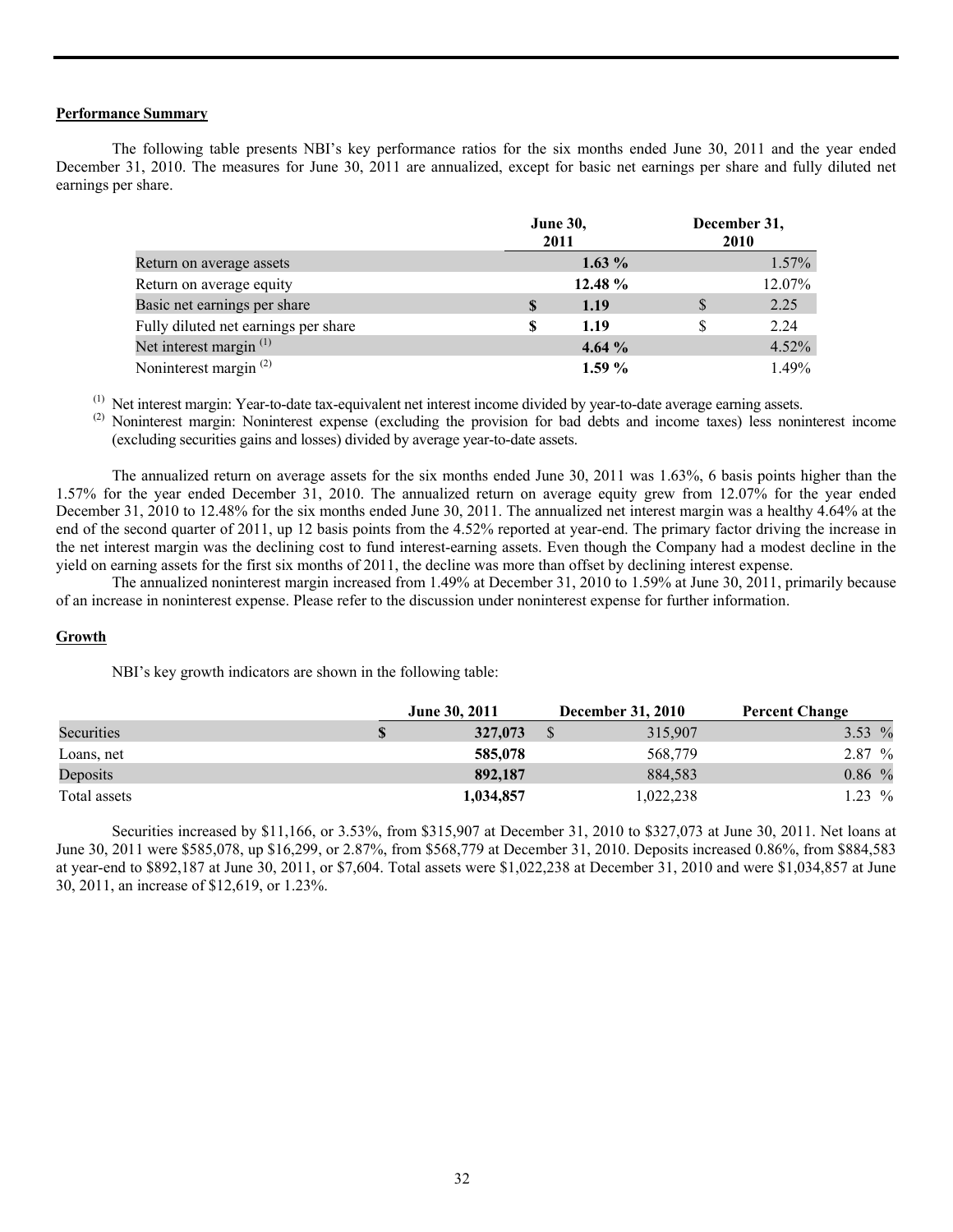#### **Performance Summary**

 The following table presents NBI's key performance ratios for the six months ended June 30, 2011 and the year ended December 31, 2010. The measures for June 30, 2011 are annualized, except for basic net earnings per share and fully diluted net earnings per share.

|                                      |   | <b>June 30,</b><br>2011 | December 31,<br>2010 |          |
|--------------------------------------|---|-------------------------|----------------------|----------|
| Return on average assets             |   | $1.63\%$                |                      | $1.57\%$ |
| Return on average equity             |   | 12.48 %                 |                      | 12.07%   |
| Basic net earnings per share         | S | 1.19                    | \$                   | 2.25     |
| Fully diluted net earnings per share | S | 1.19                    | S                    | 2.24     |
| Net interest margin $(1)$            |   | 4.64%                   |                      | $4.52\%$ |
| Noninterest margin <sup>(2)</sup>    |   | $1.59\%$                |                      | 1.49%    |

(1) Net interest margin: Year-to-date tax-equivalent net interest income divided by year-to-date average earning assets.

<sup>(2)</sup> Noninterest margin: Noninterest expense (excluding the provision for bad debts and income taxes) less noninterest income (excluding securities gains and losses) divided by average year-to-date assets.

The annualized return on average assets for the six months ended June 30, 2011 was 1.63%, 6 basis points higher than the 1.57% for the year ended December 31, 2010. The annualized return on average equity grew from 12.07% for the year ended December 31, 2010 to 12.48% for the six months ended June 30, 2011. The annualized net interest margin was a healthy 4.64% at the end of the second quarter of 2011, up 12 basis points from the 4.52% reported at year-end. The primary factor driving the increase in the net interest margin was the declining cost to fund interest-earning assets. Even though the Company had a modest decline in the yield on earning assets for the first six months of 2011, the decline was more than offset by declining interest expense.

The annualized noninterest margin increased from 1.49% at December 31, 2010 to 1.59% at June 30, 2011, primarily because of an increase in noninterest expense. Please refer to the discussion under noninterest expense for further information.

#### **Growth**

NBI's key growth indicators are shown in the following table:

|              | <b>June 30, 2011</b> | <b>December 31, 2010</b> | <b>Percent Change</b> |
|--------------|----------------------|--------------------------|-----------------------|
| Securities   | 327,073              | 315,907                  | 3.53 $%$              |
| Loans, net   | 585,078              | 568,779                  | 2.87%                 |
| Deposits     | 892,187              | 884.583                  | $0.86\%$              |
| Total assets | 1,034,857            | 1,022,238                | 1.23 $%$              |

Securities increased by \$11,166, or 3.53%, from \$315,907 at December 31, 2010 to \$327,073 at June 30, 2011. Net loans at June 30, 2011 were \$585,078, up \$16,299, or 2.87%, from \$568,779 at December 31, 2010. Deposits increased 0.86%, from \$884,583 at year-end to \$892,187 at June 30, 2011, or \$7,604. Total assets were \$1,022,238 at December 31, 2010 and were \$1,034,857 at June 30, 2011, an increase of \$12,619, or 1.23%.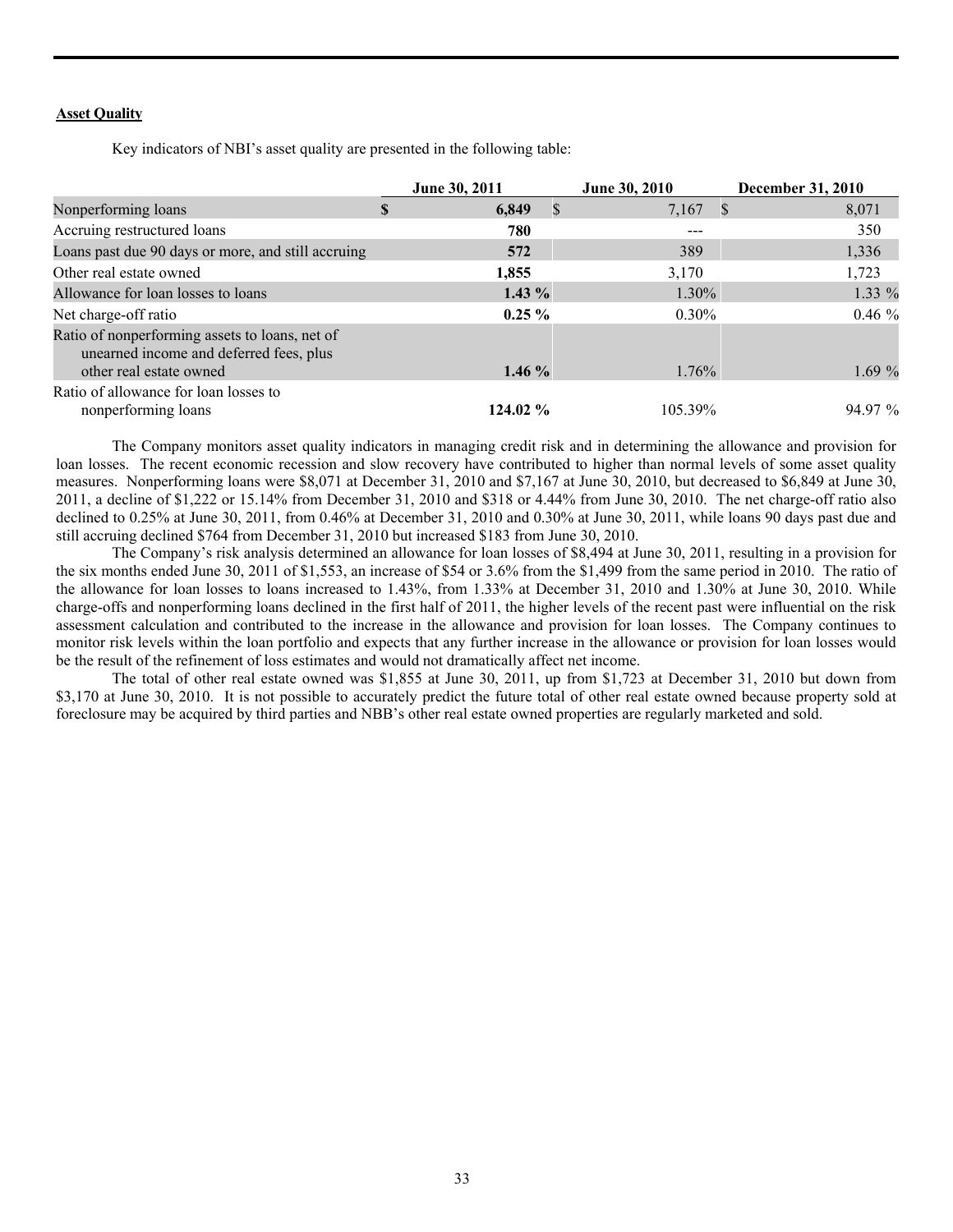#### **Asset Quality**

Key indicators of NBI's asset quality are presented in the following table:

|                                                                                                                      |   | June 30, 2011         | June 30, 2010 | <b>December 31, 2010</b> |
|----------------------------------------------------------------------------------------------------------------------|---|-----------------------|---------------|--------------------------|
| Nonperforming loans                                                                                                  | S | 6,849<br>$\mathbb{S}$ | $7,167$ \$    | 8,071                    |
| Accruing restructured loans                                                                                          |   | 780                   | $- - -$       | 350                      |
| Loans past due 90 days or more, and still accruing                                                                   |   | 572                   | 389           | 1,336                    |
| Other real estate owned                                                                                              |   | 1,855                 | 3,170         | 1,723                    |
| Allowance for loan losses to loans                                                                                   |   | $1.43\%$              | $1.30\%$      | 1.33 %                   |
| Net charge-off ratio                                                                                                 |   | $0.25 \%$             | $0.30\%$      | $0.46\%$                 |
| Ratio of nonperforming assets to loans, net of<br>unearned income and deferred fees, plus<br>other real estate owned |   | $1.46\%$              | 1.76%         | 1.69%                    |
| Ratio of allowance for loan losses to<br>nonperforming loans                                                         |   | 124.02 %              | 105.39%       | 94.97 %                  |

The Company monitors asset quality indicators in managing credit risk and in determining the allowance and provision for loan losses. The recent economic recession and slow recovery have contributed to higher than normal levels of some asset quality measures. Nonperforming loans were \$8,071 at December 31, 2010 and \$7,167 at June 30, 2010, but decreased to \$6,849 at June 30, 2011, a decline of \$1,222 or 15.14% from December 31, 2010 and \$318 or 4.44% from June 30, 2010. The net charge-off ratio also declined to 0.25% at June 30, 2011, from 0.46% at December 31, 2010 and 0.30% at June 30, 2011, while loans 90 days past due and still accruing declined \$764 from December 31, 2010 but increased \$183 from June 30, 2010.

The Company's risk analysis determined an allowance for loan losses of \$8,494 at June 30, 2011, resulting in a provision for the six months ended June 30, 2011 of \$1,553, an increase of \$54 or 3.6% from the \$1,499 from the same period in 2010. The ratio of the allowance for loan losses to loans increased to 1.43%, from 1.33% at December 31, 2010 and 1.30% at June 30, 2010. While charge-offs and nonperforming loans declined in the first half of 2011, the higher levels of the recent past were influential on the risk assessment calculation and contributed to the increase in the allowance and provision for loan losses. The Company continues to monitor risk levels within the loan portfolio and expects that any further increase in the allowance or provision for loan losses would be the result of the refinement of loss estimates and would not dramatically affect net income.

 The total of other real estate owned was \$1,855 at June 30, 2011, up from \$1,723 at December 31, 2010 but down from \$3,170 at June 30, 2010. It is not possible to accurately predict the future total of other real estate owned because property sold at foreclosure may be acquired by third parties and NBB's other real estate owned properties are regularly marketed and sold.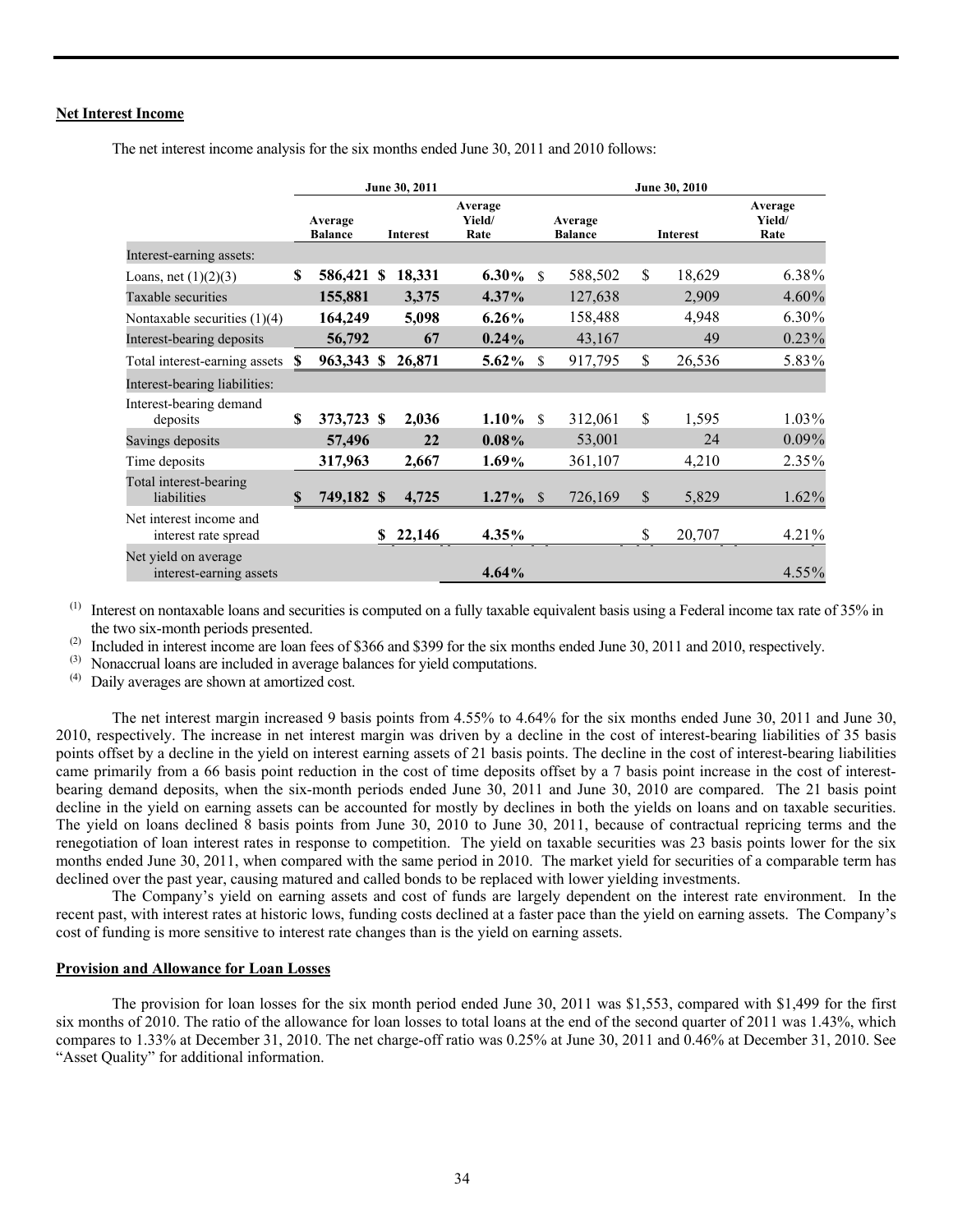#### **Net Interest Income**

|                                                 | June 30, 2011 |                           |   |                 |                           | June 30, 2010 |                           |              |                 |                           |  |
|-------------------------------------------------|---------------|---------------------------|---|-----------------|---------------------------|---------------|---------------------------|--------------|-----------------|---------------------------|--|
|                                                 |               | Average<br><b>Balance</b> |   | <b>Interest</b> | Average<br>Yield/<br>Rate |               | Average<br><b>Balance</b> |              | <b>Interest</b> | Average<br>Yield/<br>Rate |  |
| Interest-earning assets:                        |               |                           |   |                 |                           |               |                           |              |                 |                           |  |
| Loans, net $(1)(2)(3)$                          | \$            | 586,421 \$                |   | 18,331          | $6.30\%$                  | \$            | 588,502                   | $\mathbb{S}$ | 18,629          | 6.38%                     |  |
| Taxable securities                              |               | 155,881                   |   | 3,375           | $4.37\%$                  |               | 127,638                   |              | 2,909           | 4.60%                     |  |
| Nontaxable securities $(1)(4)$                  |               | 164,249                   |   | 5,098           | $6.26\%$                  |               | 158,488                   |              | 4,948           | 6.30%                     |  |
| Interest-bearing deposits                       |               | 56,792                    |   | 67              | 0.24%                     |               | 43,167                    |              | 49              | 0.23%                     |  |
| Total interest-earning assets                   | S             | 963,343 \$                |   | 26,871          | $5.62\%$                  | S             | 917,795                   | \$           | 26,536          | 5.83%                     |  |
| Interest-bearing liabilities:                   |               |                           |   |                 |                           |               |                           |              |                 |                           |  |
| Interest-bearing demand<br>deposits             | $\mathbf S$   | 373,723 \$                |   | 2,036           | $1.10\%$                  | $\mathcal{S}$ | 312,061                   | \$           | 1,595           | 1.03%                     |  |
| Savings deposits                                |               | 57,496                    |   | 22              | 0.08%                     |               | 53,001                    |              | 24              | $0.09\%$                  |  |
| Time deposits                                   |               | 317,963                   |   | 2,667           | 1.69%                     |               | 361,107                   |              | 4,210           | 2.35%                     |  |
| Total interest-bearing<br>liabilities           | $\mathbf S$   | 749,182 \$                |   | 4,725           | $1.27\%$                  | <sup>S</sup>  | 726,169                   | \$           | 5,829           | 1.62%                     |  |
| Net interest income and<br>interest rate spread |               |                           | S | 22,146          | 4.35%                     |               |                           | \$           | 20,707          | 4.21%                     |  |
| Net yield on average<br>interest-earning assets |               |                           |   |                 | 4.64%                     |               |                           |              |                 | $4.55\%$                  |  |

The net interest income analysis for the six months ended June 30, 2011 and 2010 follows:

 $^{(1)}$  Interest on nontaxable loans and securities is computed on a fully taxable equivalent basis using a Federal income tax rate of 35% in the two six-month periods presented.

(2) Included in interest income are loan fees of \$366 and \$399 for the six months ended June 30, 2011 and 2010, respectively.

(3) Nonaccrual loans are included in average balances for yield computations.<br>
(4) Daily averages are shown at amortized cost

Daily averages are shown at amortized cost.

The net interest margin increased 9 basis points from 4.55% to 4.64% for the six months ended June 30, 2011 and June 30, 2010, respectively. The increase in net interest margin was driven by a decline in the cost of interest-bearing liabilities of 35 basis points offset by a decline in the yield on interest earning assets of 21 basis points. The decline in the cost of interest-bearing liabilities came primarily from a 66 basis point reduction in the cost of time deposits offset by a 7 basis point increase in the cost of interestbearing demand deposits, when the six-month periods ended June 30, 2011 and June 30, 2010 are compared. The 21 basis point decline in the yield on earning assets can be accounted for mostly by declines in both the yields on loans and on taxable securities. The yield on loans declined 8 basis points from June 30, 2010 to June 30, 2011, because of contractual repricing terms and the renegotiation of loan interest rates in response to competition. The yield on taxable securities was 23 basis points lower for the six months ended June 30, 2011, when compared with the same period in 2010. The market yield for securities of a comparable term has declined over the past year, causing matured and called bonds to be replaced with lower yielding investments.

 The Company's yield on earning assets and cost of funds are largely dependent on the interest rate environment. In the recent past, with interest rates at historic lows, funding costs declined at a faster pace than the yield on earning assets. The Company's cost of funding is more sensitive to interest rate changes than is the yield on earning assets.

# **Provision and Allowance for Loan Losses**

The provision for loan losses for the six month period ended June 30, 2011 was \$1,553, compared with \$1,499 for the first six months of 2010. The ratio of the allowance for loan losses to total loans at the end of the second quarter of 2011 was 1.43%, which compares to 1.33% at December 31, 2010. The net charge-off ratio was 0.25% at June 30, 2011 and 0.46% at December 31, 2010. See "Asset Quality" for additional information.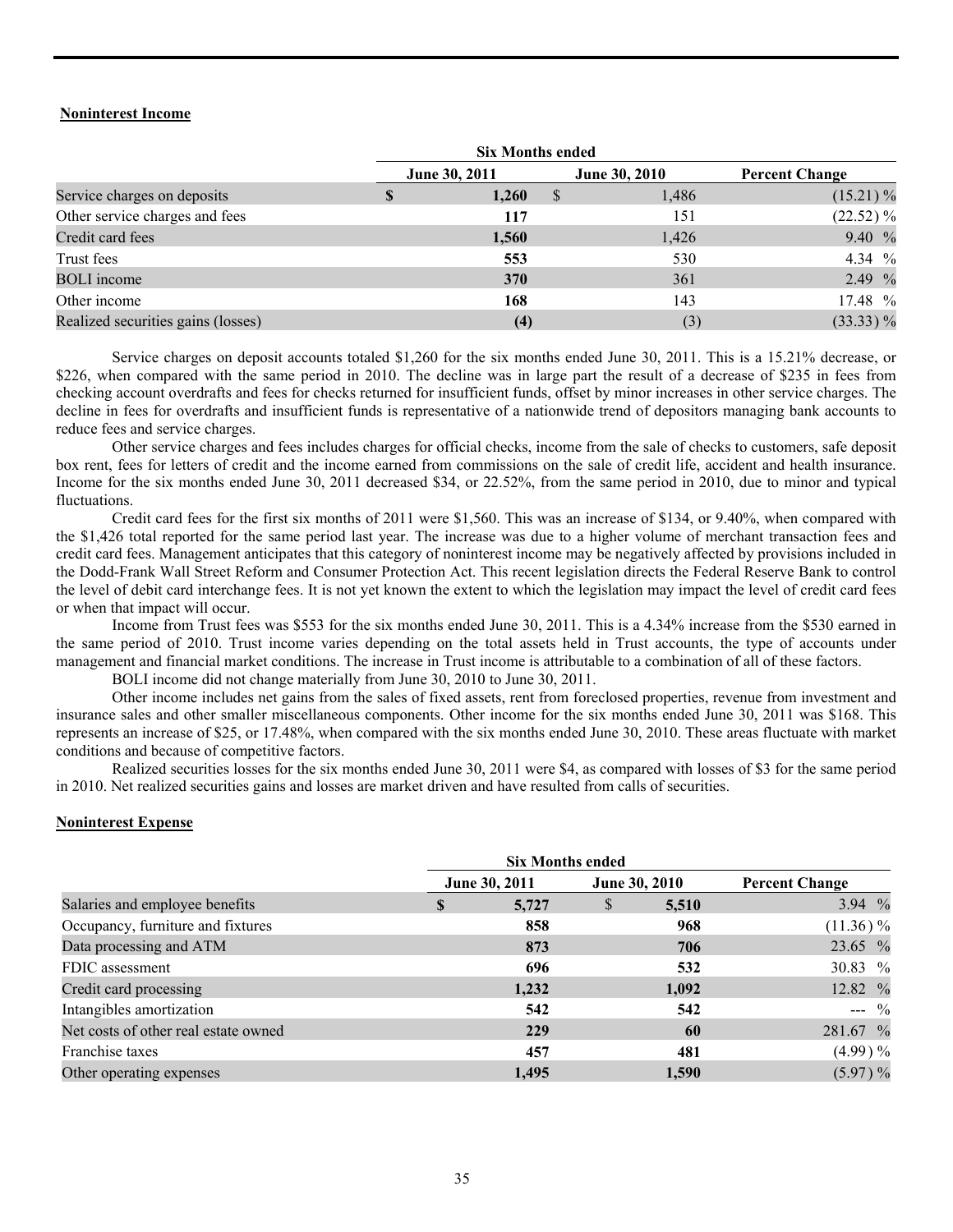## **Noninterest Income**

|                                    | <b>Six Months ended</b> |               |              |               |                       |
|------------------------------------|-------------------------|---------------|--------------|---------------|-----------------------|
|                                    |                         | June 30, 2011 |              | June 30, 2010 | <b>Percent Change</b> |
| Service charges on deposits        |                         | 1,260         | <sup>S</sup> | 1,486         | $(15.21)\%$           |
| Other service charges and fees     |                         | 117           |              | 151           | $(22.52)\%$           |
| Credit card fees                   |                         | 1,560         |              | 1,426         | 9.40%                 |
| Trust fees                         |                         | 553           |              | 530           | 4.34 %                |
| <b>BOLI</b> income                 |                         | 370           |              | 361           | 2.49 $\frac{9}{6}$    |
| Other income                       |                         | 168           |              | 143           | 17.48 %               |
| Realized securities gains (losses) |                         | (4)           |              | (3)           | $(33.33)\%$           |

 Service charges on deposit accounts totaled \$1,260 for the six months ended June 30, 2011. This is a 15.21% decrease, or \$226, when compared with the same period in 2010. The decline was in large part the result of a decrease of \$235 in fees from checking account overdrafts and fees for checks returned for insufficient funds, offset by minor increases in other service charges. The decline in fees for overdrafts and insufficient funds is representative of a nationwide trend of depositors managing bank accounts to reduce fees and service charges.

 Other service charges and fees includes charges for official checks, income from the sale of checks to customers, safe deposit box rent, fees for letters of credit and the income earned from commissions on the sale of credit life, accident and health insurance. Income for the six months ended June 30, 2011 decreased \$34, or 22.52%, from the same period in 2010, due to minor and typical fluctuations.

 Credit card fees for the first six months of 2011 were \$1,560. This was an increase of \$134, or 9.40%, when compared with the \$1,426 total reported for the same period last year. The increase was due to a higher volume of merchant transaction fees and credit card fees. Management anticipates that this category of noninterest income may be negatively affected by provisions included in the Dodd-Frank Wall Street Reform and Consumer Protection Act. This recent legislation directs the Federal Reserve Bank to control the level of debit card interchange fees. It is not yet known the extent to which the legislation may impact the level of credit card fees or when that impact will occur.

 Income from Trust fees was \$553 for the six months ended June 30, 2011. This is a 4.34% increase from the \$530 earned in the same period of 2010. Trust income varies depending on the total assets held in Trust accounts, the type of accounts under management and financial market conditions. The increase in Trust income is attributable to a combination of all of these factors.

BOLI income did not change materially from June 30, 2010 to June 30, 2011.

 Other income includes net gains from the sales of fixed assets, rent from foreclosed properties, revenue from investment and insurance sales and other smaller miscellaneous components. Other income for the six months ended June 30, 2011 was \$168. This represents an increase of \$25, or 17.48%, when compared with the six months ended June 30, 2010. These areas fluctuate with market conditions and because of competitive factors.

 Realized securities losses for the six months ended June 30, 2011 were \$4, as compared with losses of \$3 for the same period in 2010. Net realized securities gains and losses are market driven and have resulted from calls of securities.

#### **Noninterest Expense**

|                                      |   | <b>Six Months ended</b> |   |               |                       |
|--------------------------------------|---|-------------------------|---|---------------|-----------------------|
|                                      |   | June 30, 2011           |   | June 30, 2010 | <b>Percent Change</b> |
| Salaries and employee benefits       | S | 5,727                   | S | 5,510         | 3.94 $%$              |
| Occupancy, furniture and fixtures    |   | 858                     |   | 968           | $(11.36) \%$          |
| Data processing and ATM              |   | 873                     |   | 706           | 23.65 %               |
| FDIC assessment                      |   | 696                     |   | 532           | 30.83 %               |
| Credit card processing               |   | 1,232                   |   | 1,092         | 12.82 %               |
| Intangibles amortization             |   | 542                     |   | 542           | $- -$ %               |
| Net costs of other real estate owned |   | 229                     |   | 60            | 281.67 %              |
| Franchise taxes                      |   | 457                     |   | 481           | (4.99) %              |
| Other operating expenses             |   | 1,495                   |   | 1,590         | (5.97) %              |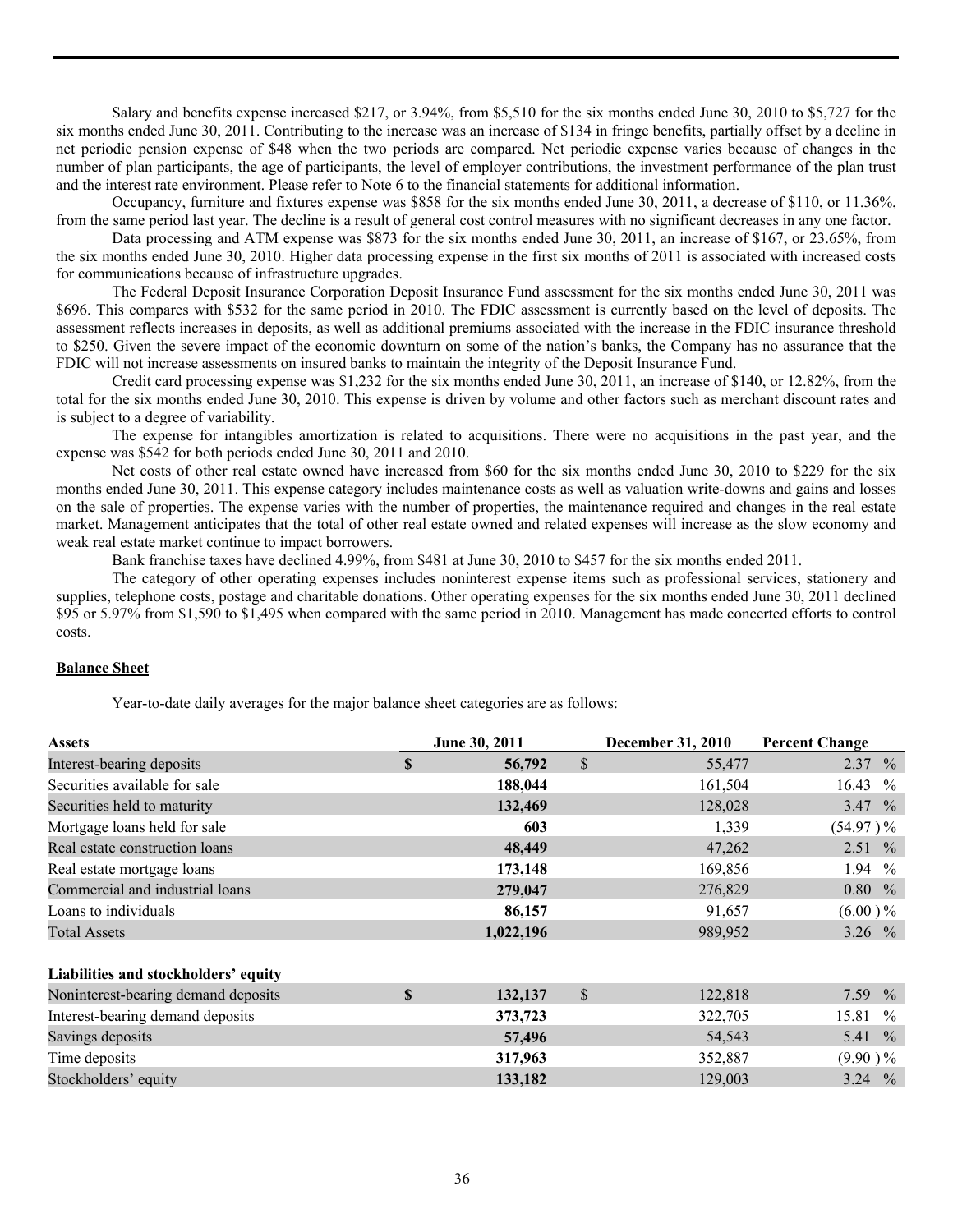Salary and benefits expense increased \$217, or 3.94%, from \$5,510 for the six months ended June 30, 2010 to \$5,727 for the six months ended June 30, 2011. Contributing to the increase was an increase of \$134 in fringe benefits, partially offset by a decline in net periodic pension expense of \$48 when the two periods are compared. Net periodic expense varies because of changes in the number of plan participants, the age of participants, the level of employer contributions, the investment performance of the plan trust and the interest rate environment. Please refer to Note 6 to the financial statements for additional information.

 Occupancy, furniture and fixtures expense was \$858 for the six months ended June 30, 2011, a decrease of \$110, or 11.36%, from the same period last year. The decline is a result of general cost control measures with no significant decreases in any one factor.

 Data processing and ATM expense was \$873 for the six months ended June 30, 2011, an increase of \$167, or 23.65%, from the six months ended June 30, 2010. Higher data processing expense in the first six months of 2011 is associated with increased costs for communications because of infrastructure upgrades.

 The Federal Deposit Insurance Corporation Deposit Insurance Fund assessment for the six months ended June 30, 2011 was \$696. This compares with \$532 for the same period in 2010. The FDIC assessment is currently based on the level of deposits. The assessment reflects increases in deposits, as well as additional premiums associated with the increase in the FDIC insurance threshold to \$250. Given the severe impact of the economic downturn on some of the nation's banks, the Company has no assurance that the FDIC will not increase assessments on insured banks to maintain the integrity of the Deposit Insurance Fund.

 Credit card processing expense was \$1,232 for the six months ended June 30, 2011, an increase of \$140, or 12.82%, from the total for the six months ended June 30, 2010. This expense is driven by volume and other factors such as merchant discount rates and is subject to a degree of variability.

 The expense for intangibles amortization is related to acquisitions. There were no acquisitions in the past year, and the expense was \$542 for both periods ended June 30, 2011 and 2010.

Net costs of other real estate owned have increased from \$60 for the six months ended June 30, 2010 to \$229 for the six months ended June 30, 2011. This expense category includes maintenance costs as well as valuation write-downs and gains and losses on the sale of properties. The expense varies with the number of properties, the maintenance required and changes in the real estate market. Management anticipates that the total of other real estate owned and related expenses will increase as the slow economy and weak real estate market continue to impact borrowers.

Bank franchise taxes have declined 4.99%, from \$481 at June 30, 2010 to \$457 for the six months ended 2011.

 The category of other operating expenses includes noninterest expense items such as professional services, stationery and supplies, telephone costs, postage and charitable donations. Other operating expenses for the six months ended June 30, 2011 declined \$95 or 5.97% from \$1,590 to \$1,495 when compared with the same period in 2010. Management has made concerted efforts to control costs.

# **Balance Sheet**

Year-to-date daily averages for the major balance sheet categories are as follows:

| <b>Assets</b>                        |   | June 30, 2011 |               | <b>December 31, 2010</b> | <b>Percent Change</b> |
|--------------------------------------|---|---------------|---------------|--------------------------|-----------------------|
| Interest-bearing deposits            | S | 56,792        | $\mathbb{S}$  | 55,477                   | $2.37\%$              |
| Securities available for sale        |   | 188,044       |               | 161,504                  | 16.43<br>$^{0}/_{0}$  |
| Securities held to maturity          |   | 132,469       |               | 128,028                  | 3.47 $\%$             |
| Mortgage loans held for sale         |   | 603           |               | 1,339                    | $(54.97)$ %           |
| Real estate construction loans       |   | 48,449        |               | 47,262                   | $2.51\%$              |
| Real estate mortgage loans           |   | 173,148       |               | 169,856                  | 1.94 $%$              |
| Commercial and industrial loans      |   | 279,047       |               | 276,829                  | $0.80\,%$             |
| Loans to individuals                 |   | 86,157        |               | 91,657                   | $(6.00) \%$           |
| <b>Total Assets</b>                  |   | 1,022,196     |               | 989,952                  | 3.26 $%$              |
| Liabilities and stockholders' equity |   |               |               |                          |                       |
| Noninterest-bearing demand deposits  | S | 132,137       | $\mathcal{S}$ | 122,818                  | 7.59 $\%$             |
| Interest-bearing demand deposits     |   | 373,723       |               | 322,705                  | 15.81 %               |
| Savings deposits                     |   | 57,496        |               | 54,543                   | 5.41 $%$              |
| Time deposits                        |   | 317,963       |               | 352,887                  | $(9.90)$ %            |
| Stockholders' equity                 |   | 133,182       |               | 129,003                  | 3.24 $%$              |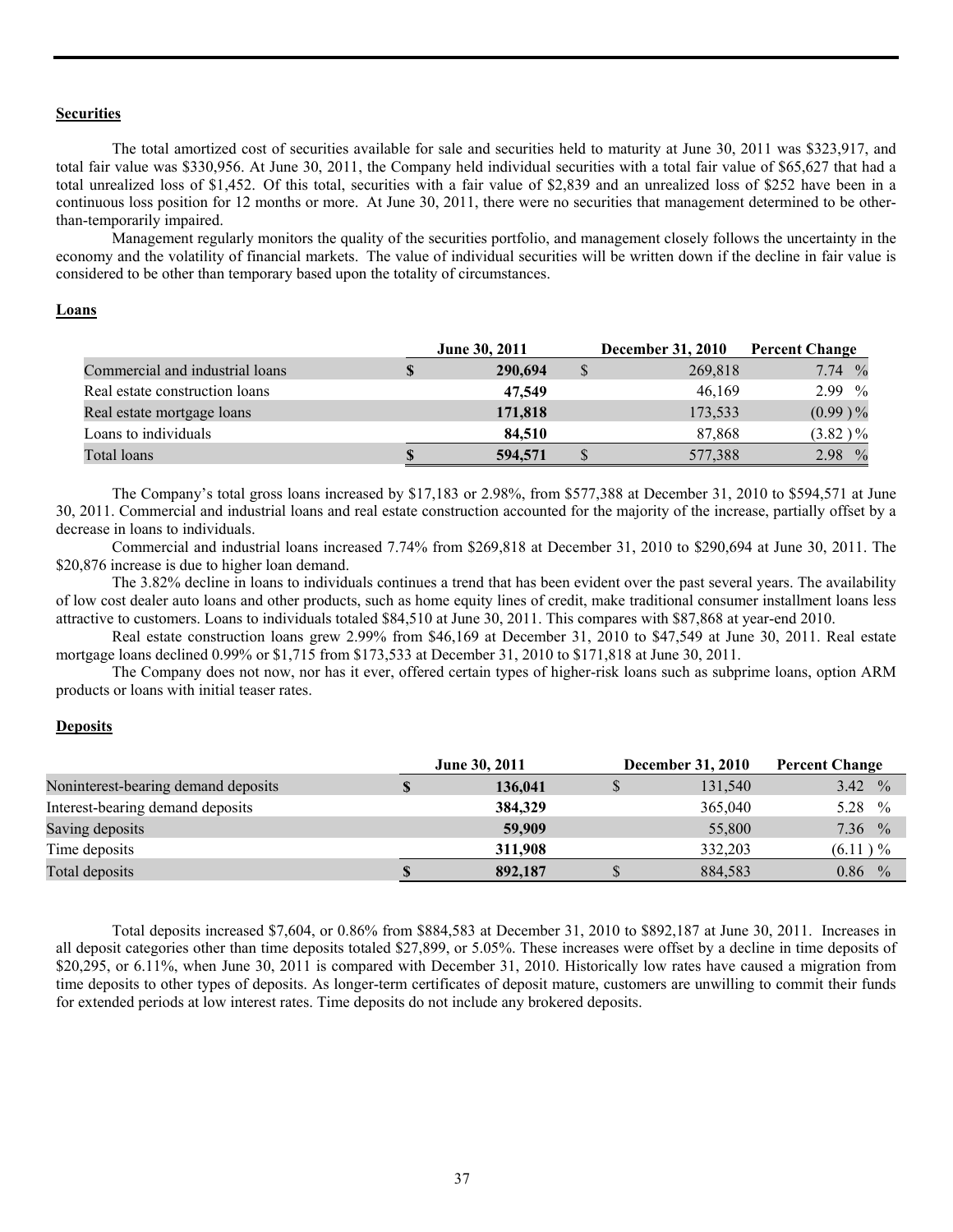#### **Securities**

 The total amortized cost of securities available for sale and securities held to maturity at June 30, 2011 was \$323,917, and total fair value was \$330,956. At June 30, 2011, the Company held individual securities with a total fair value of \$65,627 that had a total unrealized loss of \$1,452. Of this total, securities with a fair value of \$2,839 and an unrealized loss of \$252 have been in a continuous loss position for 12 months or more. At June 30, 2011, there were no securities that management determined to be otherthan-temporarily impaired.

 Management regularly monitors the quality of the securities portfolio, and management closely follows the uncertainty in the economy and the volatility of financial markets. The value of individual securities will be written down if the decline in fair value is considered to be other than temporary based upon the totality of circumstances.

## **Loans**

|                                 | <b>June 30, 2011</b> | <b>December 31, 2010</b> | <b>Percent Change</b> |
|---------------------------------|----------------------|--------------------------|-----------------------|
| Commercial and industrial loans | 290,694              | 269,818                  | 7.74%                 |
| Real estate construction loans  | 47,549               | 46.169                   | $2.99\%$              |
| Real estate mortgage loans      | 171,818              | 173,533                  | $(0.99) \%$           |
| Loans to individuals            | 84.510               | 87.868                   | $(3.82) \%$           |
| Total loans                     | 594,571              | 577,388                  | 2.98 %                |

The Company's total gross loans increased by \$17,183 or 2.98%, from \$577,388 at December 31, 2010 to \$594,571 at June 30, 2011. Commercial and industrial loans and real estate construction accounted for the majority of the increase, partially offset by a decrease in loans to individuals.

 Commercial and industrial loans increased 7.74% from \$269,818 at December 31, 2010 to \$290,694 at June 30, 2011. The \$20,876 increase is due to higher loan demand.

 The 3.82% decline in loans to individuals continues a trend that has been evident over the past several years. The availability of low cost dealer auto loans and other products, such as home equity lines of credit, make traditional consumer installment loans less attractive to customers. Loans to individuals totaled \$84,510 at June 30, 2011. This compares with \$87,868 at year-end 2010.

 Real estate construction loans grew 2.99% from \$46,169 at December 31, 2010 to \$47,549 at June 30, 2011. Real estate mortgage loans declined 0.99% or \$1,715 from \$173,533 at December 31, 2010 to \$171,818 at June 30, 2011.

 The Company does not now, nor has it ever, offered certain types of higher-risk loans such as subprime loans, option ARM products or loans with initial teaser rates.

# **Deposits**

|                                     | <b>June 30, 2011</b> |         | <b>December 31, 2010</b> |         | <b>Percent Change</b> |  |
|-------------------------------------|----------------------|---------|--------------------------|---------|-----------------------|--|
| Noninterest-bearing demand deposits |                      | 136,041 |                          | 131,540 | 3.42 $\%$             |  |
| Interest-bearing demand deposits    |                      | 384,329 |                          | 365,040 | 5.28 $\%$             |  |
| Saving deposits                     |                      | 59,909  |                          | 55,800  | $7.36\%$              |  |
| Time deposits                       |                      | 311.908 |                          | 332.203 | $(6.11) \%$           |  |
| Total deposits                      | S                    | 892,187 |                          | 884,583 | 0.86<br>$\frac{0}{0}$ |  |

 Total deposits increased \$7,604, or 0.86% from \$884,583 at December 31, 2010 to \$892,187 at June 30, 2011. Increases in all deposit categories other than time deposits totaled \$27,899, or 5.05%. These increases were offset by a decline in time deposits of \$20,295, or 6.11%, when June 30, 2011 is compared with December 31, 2010. Historically low rates have caused a migration from time deposits to other types of deposits. As longer-term certificates of deposit mature, customers are unwilling to commit their funds for extended periods at low interest rates. Time deposits do not include any brokered deposits.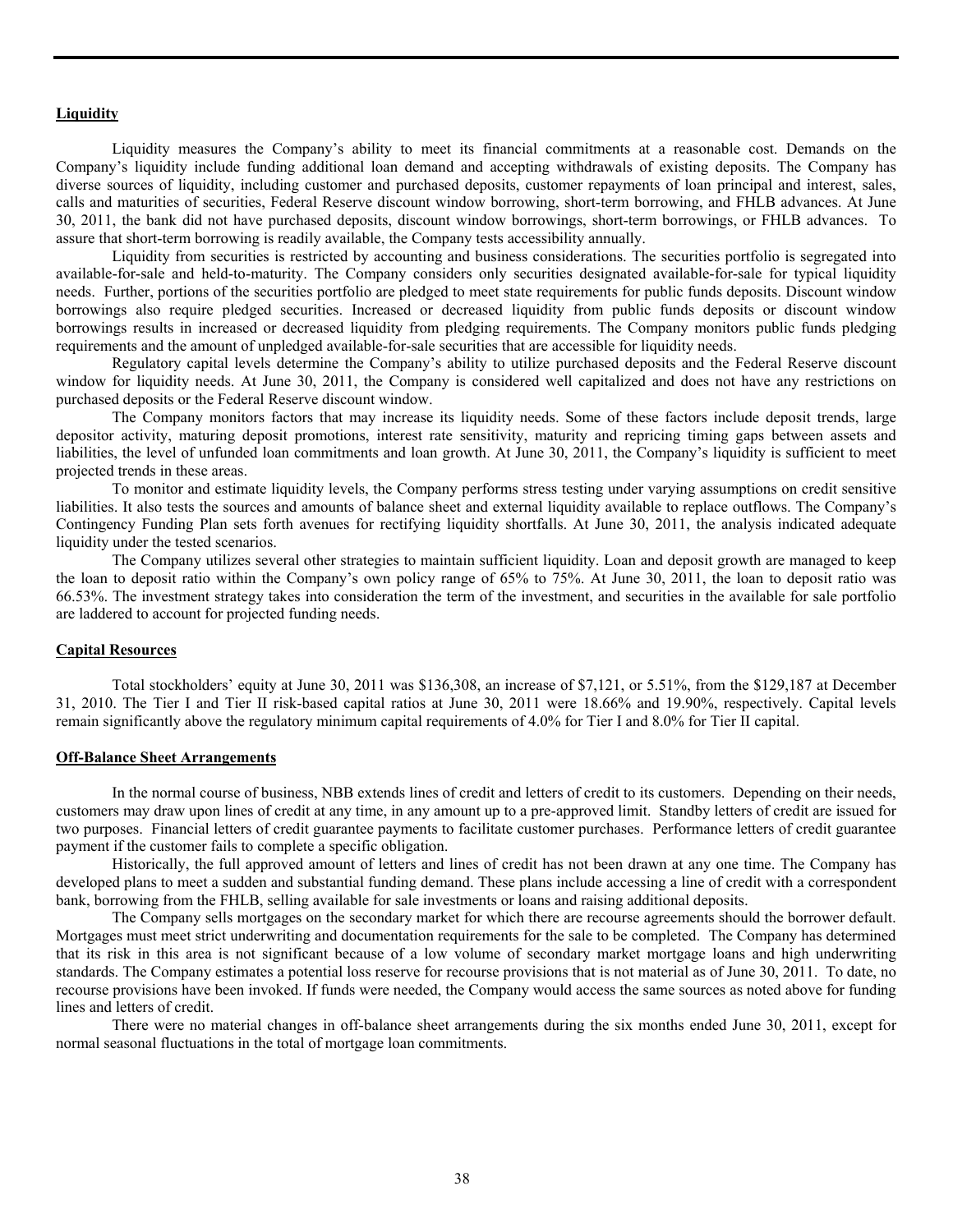#### **Liquidity**

 Liquidity measures the Company's ability to meet its financial commitments at a reasonable cost. Demands on the Company's liquidity include funding additional loan demand and accepting withdrawals of existing deposits. The Company has diverse sources of liquidity, including customer and purchased deposits, customer repayments of loan principal and interest, sales, calls and maturities of securities, Federal Reserve discount window borrowing, short-term borrowing, and FHLB advances. At June 30, 2011, the bank did not have purchased deposits, discount window borrowings, short-term borrowings, or FHLB advances. To assure that short-term borrowing is readily available, the Company tests accessibility annually.

Liquidity from securities is restricted by accounting and business considerations. The securities portfolio is segregated into available-for-sale and held-to-maturity. The Company considers only securities designated available-for-sale for typical liquidity needs. Further, portions of the securities portfolio are pledged to meet state requirements for public funds deposits. Discount window borrowings also require pledged securities. Increased or decreased liquidity from public funds deposits or discount window borrowings results in increased or decreased liquidity from pledging requirements. The Company monitors public funds pledging requirements and the amount of unpledged available-for-sale securities that are accessible for liquidity needs.

Regulatory capital levels determine the Company's ability to utilize purchased deposits and the Federal Reserve discount window for liquidity needs. At June 30, 2011, the Company is considered well capitalized and does not have any restrictions on purchased deposits or the Federal Reserve discount window.

 The Company monitors factors that may increase its liquidity needs. Some of these factors include deposit trends, large depositor activity, maturing deposit promotions, interest rate sensitivity, maturity and repricing timing gaps between assets and liabilities, the level of unfunded loan commitments and loan growth. At June 30, 2011, the Company's liquidity is sufficient to meet projected trends in these areas.

To monitor and estimate liquidity levels, the Company performs stress testing under varying assumptions on credit sensitive liabilities. It also tests the sources and amounts of balance sheet and external liquidity available to replace outflows. The Company's Contingency Funding Plan sets forth avenues for rectifying liquidity shortfalls. At June 30, 2011, the analysis indicated adequate liquidity under the tested scenarios.

The Company utilizes several other strategies to maintain sufficient liquidity. Loan and deposit growth are managed to keep the loan to deposit ratio within the Company's own policy range of 65% to 75%. At June 30, 2011, the loan to deposit ratio was 66.53%. The investment strategy takes into consideration the term of the investment, and securities in the available for sale portfolio are laddered to account for projected funding needs.

#### **Capital Resources**

 Total stockholders' equity at June 30, 2011 was \$136,308, an increase of \$7,121, or 5.51%, from the \$129,187 at December 31, 2010. The Tier I and Tier II risk-based capital ratios at June 30, 2011 were 18.66% and 19.90%, respectively. Capital levels remain significantly above the regulatory minimum capital requirements of 4.0% for Tier I and 8.0% for Tier II capital.

#### **Off-Balance Sheet Arrangements**

 In the normal course of business, NBB extends lines of credit and letters of credit to its customers. Depending on their needs, customers may draw upon lines of credit at any time, in any amount up to a pre-approved limit. Standby letters of credit are issued for two purposes. Financial letters of credit guarantee payments to facilitate customer purchases. Performance letters of credit guarantee payment if the customer fails to complete a specific obligation.

 Historically, the full approved amount of letters and lines of credit has not been drawn at any one time. The Company has developed plans to meet a sudden and substantial funding demand. These plans include accessing a line of credit with a correspondent bank, borrowing from the FHLB, selling available for sale investments or loans and raising additional deposits.

 The Company sells mortgages on the secondary market for which there are recourse agreements should the borrower default. Mortgages must meet strict underwriting and documentation requirements for the sale to be completed. The Company has determined that its risk in this area is not significant because of a low volume of secondary market mortgage loans and high underwriting standards. The Company estimates a potential loss reserve for recourse provisions that is not material as of June 30, 2011. To date, no recourse provisions have been invoked. If funds were needed, the Company would access the same sources as noted above for funding lines and letters of credit.

 There were no material changes in off-balance sheet arrangements during the six months ended June 30, 2011, except for normal seasonal fluctuations in the total of mortgage loan commitments.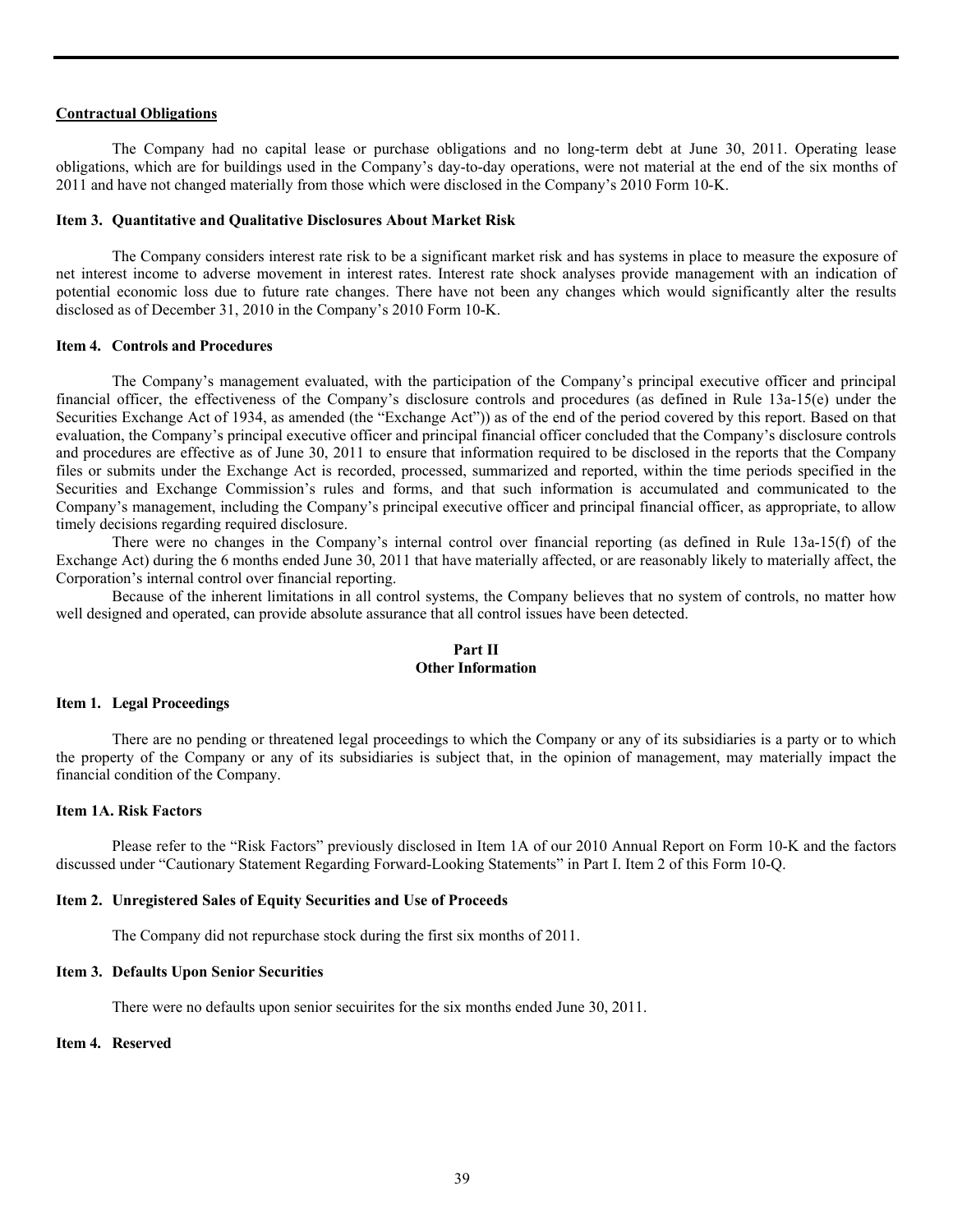#### **Contractual Obligations**

 The Company had no capital lease or purchase obligations and no long-term debt at June 30, 2011. Operating lease obligations, which are for buildings used in the Company's day-to-day operations, were not material at the end of the six months of 2011 and have not changed materially from those which were disclosed in the Company's 2010 Form 10-K.

#### **Item 3. Quantitative and Qualitative Disclosures About Market Risk**

 The Company considers interest rate risk to be a significant market risk and has systems in place to measure the exposure of net interest income to adverse movement in interest rates. Interest rate shock analyses provide management with an indication of potential economic loss due to future rate changes. There have not been any changes which would significantly alter the results disclosed as of December 31, 2010 in the Company's 2010 Form 10-K.

#### **Item 4. Controls and Procedures**

 The Company's management evaluated, with the participation of the Company's principal executive officer and principal financial officer, the effectiveness of the Company's disclosure controls and procedures (as defined in Rule 13a-15(e) under the Securities Exchange Act of 1934, as amended (the "Exchange Act")) as of the end of the period covered by this report. Based on that evaluation, the Company's principal executive officer and principal financial officer concluded that the Company's disclosure controls and procedures are effective as of June 30, 2011 to ensure that information required to be disclosed in the reports that the Company files or submits under the Exchange Act is recorded, processed, summarized and reported, within the time periods specified in the Securities and Exchange Commission's rules and forms, and that such information is accumulated and communicated to the Company's management, including the Company's principal executive officer and principal financial officer, as appropriate, to allow timely decisions regarding required disclosure.

 There were no changes in the Company's internal control over financial reporting (as defined in Rule 13a-15(f) of the Exchange Act) during the 6 months ended June 30, 2011 that have materially affected, or are reasonably likely to materially affect, the Corporation's internal control over financial reporting.

 Because of the inherent limitations in all control systems, the Company believes that no system of controls, no matter how well designed and operated, can provide absolute assurance that all control issues have been detected.

## **Part II Other Information**

#### **Item 1. Legal Proceedings**

There are no pending or threatened legal proceedings to which the Company or any of its subsidiaries is a party or to which the property of the Company or any of its subsidiaries is subject that, in the opinion of management, may materially impact the financial condition of the Company.

#### **Item 1A. Risk Factors**

 Please refer to the "Risk Factors" previously disclosed in Item 1A of our 2010 Annual Report on Form 10-K and the factors discussed under "Cautionary Statement Regarding Forward-Looking Statements" in Part I. Item 2 of this Form 10-Q.

#### **Item 2. Unregistered Sales of Equity Securities and Use of Proceeds**

The Company did not repurchase stock during the first six months of 2011.

#### **Item 3. Defaults Upon Senior Securities**

There were no defaults upon senior secuirites for the six months ended June 30, 2011.

## **Item 4. Reserved**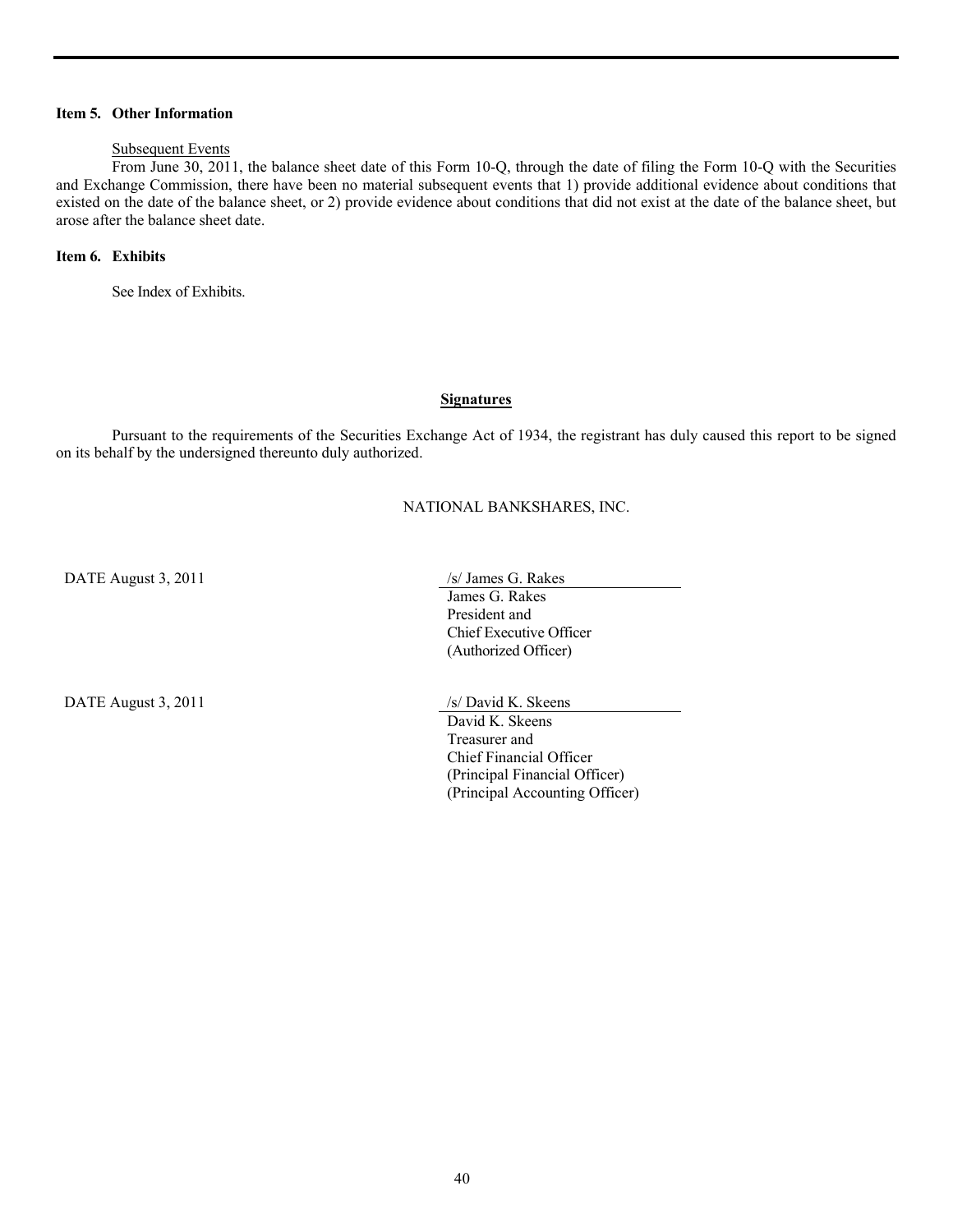## **Item 5. Other Information**

# Subsequent Events

 From June 30, 2011, the balance sheet date of this Form 10-Q, through the date of filing the Form 10-Q with the Securities and Exchange Commission, there have been no material subsequent events that 1) provide additional evidence about conditions that existed on the date of the balance sheet, or 2) provide evidence about conditions that did not exist at the date of the balance sheet, but arose after the balance sheet date.

# **Item 6. Exhibits**

See Index of Exhibits.

### **Signatures**

 Pursuant to the requirements of the Securities Exchange Act of 1934, the registrant has duly caused this report to be signed on its behalf by the undersigned thereunto duly authorized.

### NATIONAL BANKSHARES, INC.

DATE August 3, 2011 /s/ James G. Rakes

DATE August 3, 2011 /s/ David K. Skeens

 James G. Rakes President and Chief Executive Officer (Authorized Officer)

 David K. Skeens Treasurer and Chief Financial Officer (Principal Financial Officer) (Principal Accounting Officer)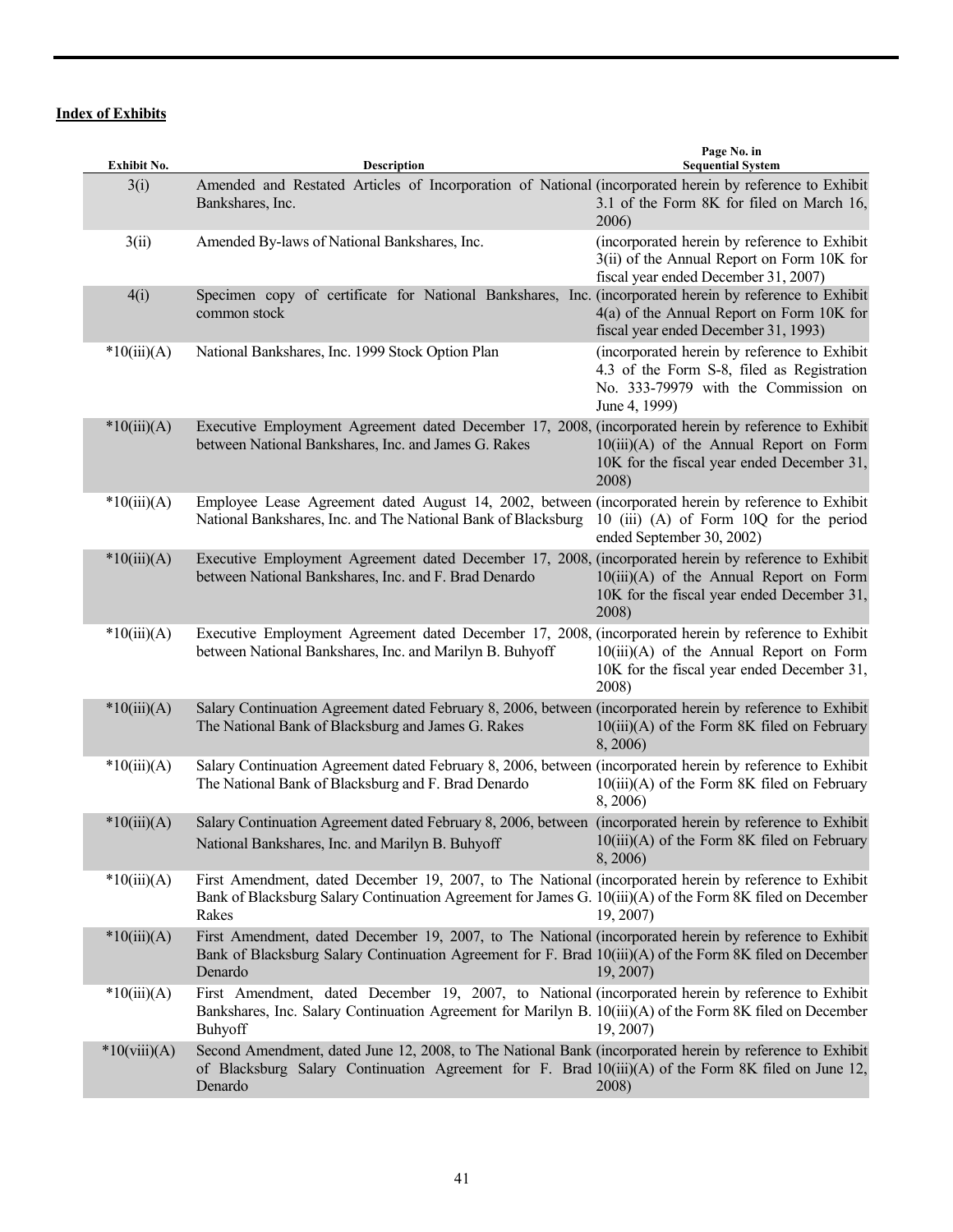# **Index of Exhibits**

| Exhibit No.    | Description                                                                                                                                                                                                                   | Page No. in<br><b>Sequential System</b>                                                                                                             |
|----------------|-------------------------------------------------------------------------------------------------------------------------------------------------------------------------------------------------------------------------------|-----------------------------------------------------------------------------------------------------------------------------------------------------|
| 3(i)           | Amended and Restated Articles of Incorporation of National (incorporated herein by reference to Exhibit<br>Bankshares, Inc.                                                                                                   | 3.1 of the Form 8K for filed on March 16,<br>2006)                                                                                                  |
| 3(ii)          | Amended By-laws of National Bankshares, Inc.                                                                                                                                                                                  | (incorporated herein by reference to Exhibit<br>3(ii) of the Annual Report on Form 10K for<br>fiscal year ended December 31, 2007)                  |
| 4(i)           | Specimen copy of certificate for National Bankshares, Inc. (incorporated herein by reference to Exhibit<br>common stock                                                                                                       | 4(a) of the Annual Report on Form 10K for<br>fiscal year ended December 31, 1993)                                                                   |
| $*10(iii)(A)$  | National Bankshares, Inc. 1999 Stock Option Plan                                                                                                                                                                              | (incorporated herein by reference to Exhibit<br>4.3 of the Form S-8, filed as Registration<br>No. 333-79979 with the Commission on<br>June 4, 1999) |
| $*10(iii)(A)$  | Executive Employment Agreement dated December 17, 2008, (incorporated herein by reference to Exhibit<br>between National Bankshares, Inc. and James G. Rakes                                                                  | $10(iii)(A)$ of the Annual Report on Form<br>10K for the fiscal year ended December 31,<br>2008)                                                    |
| $*10(iii)(A)$  | Employee Lease Agreement dated August 14, 2002, between (incorporated herein by reference to Exhibit<br>National Bankshares, Inc. and The National Bank of Blacksburg                                                         | 10 (iii) (A) of Form 10Q for the period<br>ended September 30, 2002)                                                                                |
| $*10(iii)(A)$  | Executive Employment Agreement dated December 17, 2008, (incorporated herein by reference to Exhibit<br>between National Bankshares, Inc. and F. Brad Denardo                                                                 | $10(iii)(A)$ of the Annual Report on Form<br>10K for the fiscal year ended December 31,<br>2008)                                                    |
| $*10(iii)(A)$  | Executive Employment Agreement dated December 17, 2008, (incorporated herein by reference to Exhibit<br>between National Bankshares, Inc. and Marilyn B. Buhyoff                                                              | $10(iii)(A)$ of the Annual Report on Form<br>10K for the fiscal year ended December 31,<br>2008)                                                    |
| $*10(iii)(A)$  | Salary Continuation Agreement dated February 8, 2006, between (incorporated herein by reference to Exhibit<br>The National Bank of Blacksburg and James G. Rakes                                                              | $10(iii)(A)$ of the Form 8K filed on February<br>8,2006)                                                                                            |
| $*10(iii)(A)$  | Salary Continuation Agreement dated February 8, 2006, between (incorporated herein by reference to Exhibit<br>The National Bank of Blacksburg and F. Brad Denardo                                                             | $10(iii)(A)$ of the Form 8K filed on February<br>8, 2006)                                                                                           |
| $*10(iii)(A)$  | Salary Continuation Agreement dated February 8, 2006, between (incorporated herein by reference to Exhibit<br>National Bankshares, Inc. and Marilyn B. Buhyoff                                                                | $10(iii)(A)$ of the Form 8K filed on February<br>8, 2006)                                                                                           |
| $*10(iii)(A)$  | First Amendment, dated December 19, 2007, to The National (incorporated herein by reference to Exhibit<br>Bank of Blacksburg Salary Continuation Agreement for James G. 10(iii)(A) of the Form 8K filed on December<br>Rakes  | 19, 2007)                                                                                                                                           |
| $*10(iii)(A)$  | First Amendment, dated December 19, 2007, to The National (incorporated herein by reference to Exhibit<br>Bank of Blacksburg Salary Continuation Agreement for F. Brad 10(iii)(A) of the Form 8K filed on December<br>Denardo | 19, 2007)                                                                                                                                           |
| $*10(iii)(A)$  | First Amendment, dated December 19, 2007, to National (incorporated herein by reference to Exhibit<br>Bankshares, Inc. Salary Continuation Agreement for Marilyn B. 10(iii)(A) of the Form 8K filed on December<br>Buhyoff    | 19, 2007)                                                                                                                                           |
| $*10(viii)(A)$ | Second Amendment, dated June 12, 2008, to The National Bank (incorporated herein by reference to Exhibit<br>of Blacksburg Salary Continuation Agreement for F. Brad 10(iii)(A) of the Form 8K filed on June 12,<br>Denardo    | 2008)                                                                                                                                               |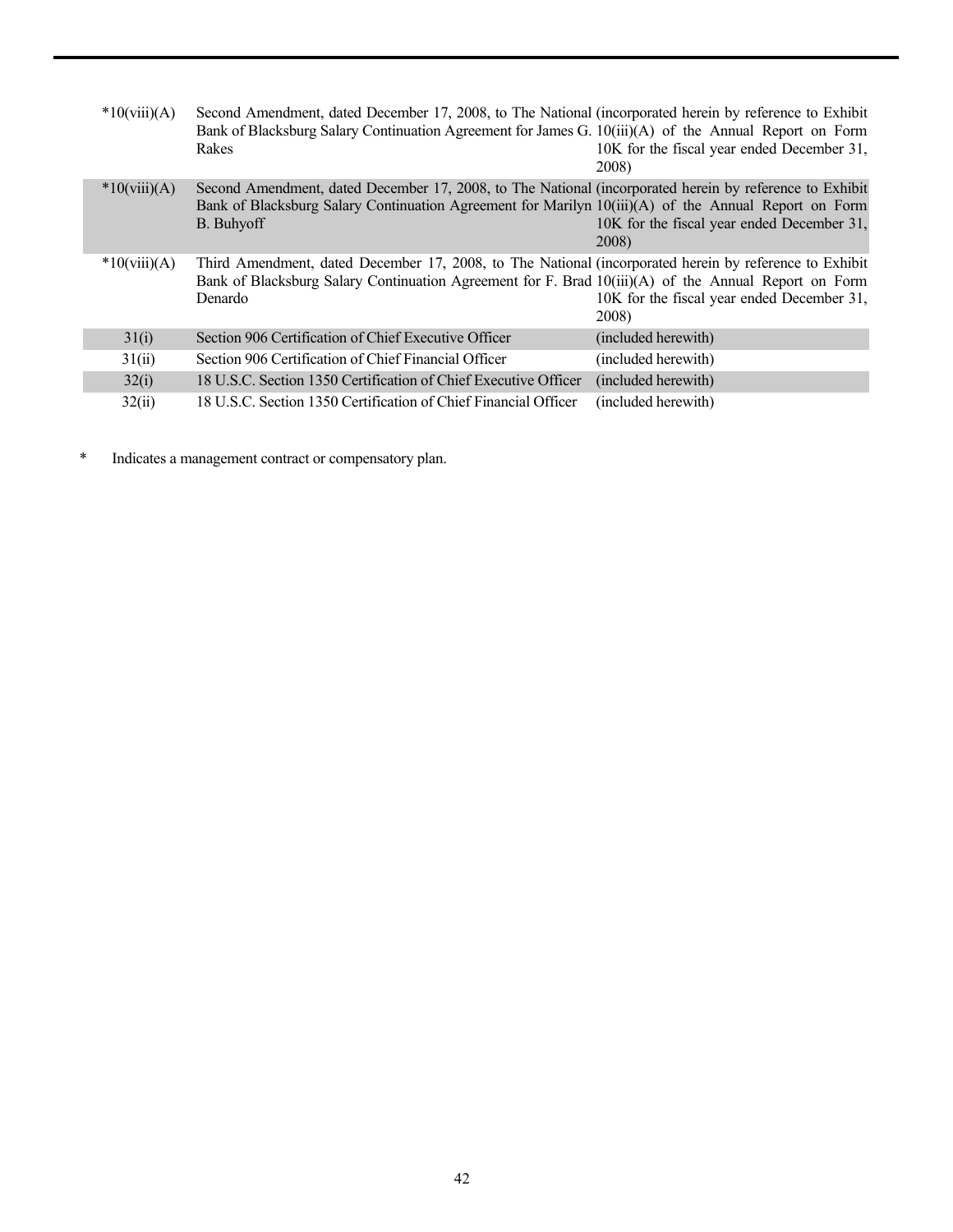| $*10(viii)(A)$ | Second Amendment, dated December 17, 2008, to The National (incorporated herein by reference to Exhibit<br>Bank of Blacksburg Salary Continuation Agreement for James G. 10(iii)(A) of the Annual Report on Form<br>Rakes     | 10K for the fiscal year ended December 31,<br>2008) |
|----------------|-------------------------------------------------------------------------------------------------------------------------------------------------------------------------------------------------------------------------------|-----------------------------------------------------|
| $*10(viii)(A)$ | Second Amendment, dated December 17, 2008, to The National (incorporated herein by reference to Exhibit<br>Bank of Blacksburg Salary Continuation Agreement for Marilyn 10(iii)(A) of the Annual Report on Form<br>B. Buhyoff | 10K for the fiscal year ended December 31,<br>2008) |
| $*10(viii)(A)$ | Third Amendment, dated December 17, 2008, to The National (incorporated herein by reference to Exhibit<br>Bank of Blacksburg Salary Continuation Agreement for F. Brad 10(iii)(A) of the Annual Report on Form<br>Denardo     | 10K for the fiscal year ended December 31,<br>2008) |
| 31(i)          | Section 906 Certification of Chief Executive Officer                                                                                                                                                                          | (included herewith)                                 |
| 31(ii)         | Section 906 Certification of Chief Financial Officer                                                                                                                                                                          | (included herewith)                                 |
| 32(i)          | 18 U.S.C. Section 1350 Certification of Chief Executive Officer                                                                                                                                                               | (included herewith)                                 |
| 32(ii)         | 18 U.S.C. Section 1350 Certification of Chief Financial Officer                                                                                                                                                               | (included herewith)                                 |

\* Indicates a management contract or compensatory plan.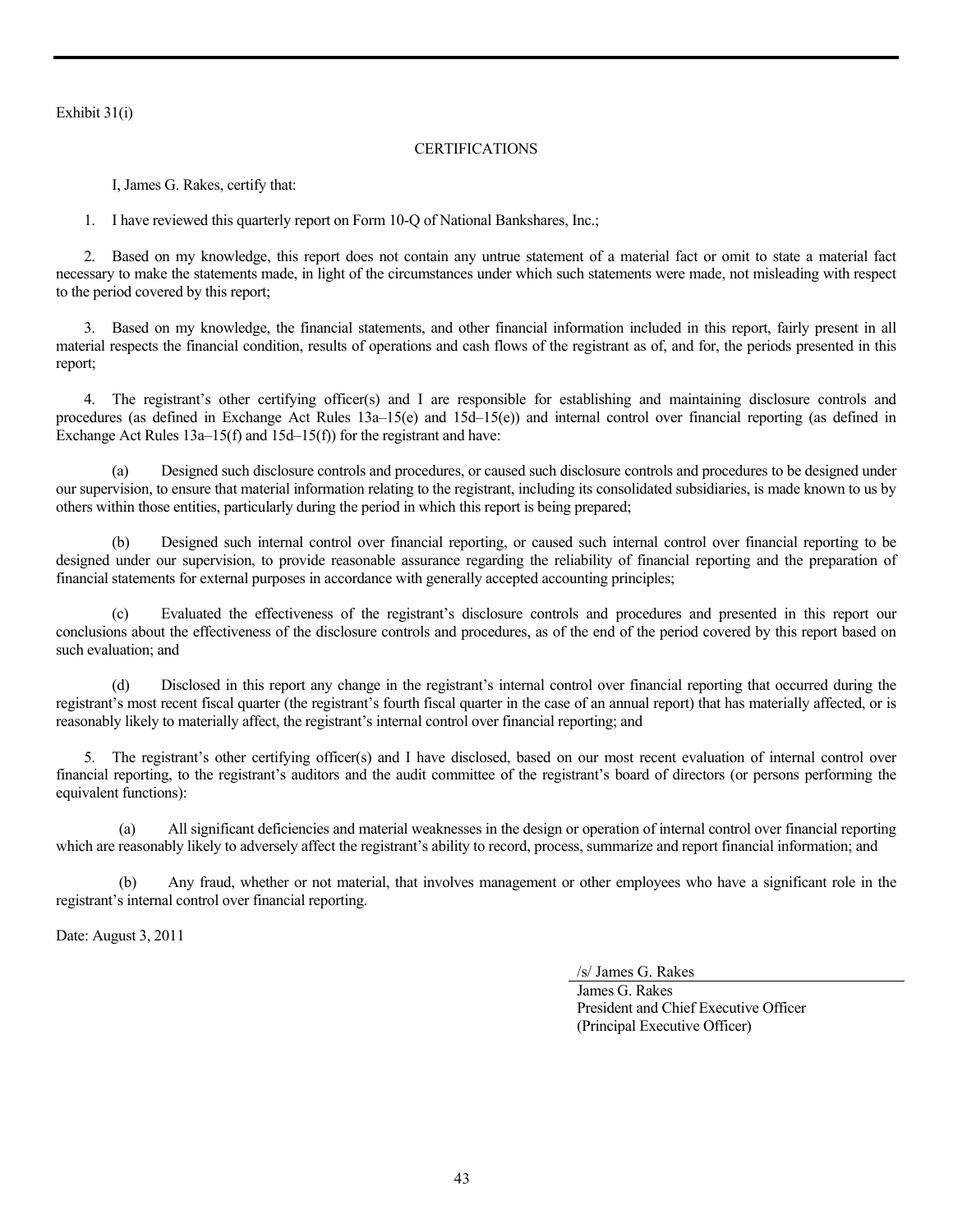Exhibit 31(i)

# CERTIFICATIONS

I, James G. Rakes, certify that:

1. I have reviewed this quarterly report on Form 10-Q of National Bankshares, Inc.;

2. Based on my knowledge, this report does not contain any untrue statement of a material fact or omit to state a material fact necessary to make the statements made, in light of the circumstances under which such statements were made, not misleading with respect to the period covered by this report;

3. Based on my knowledge, the financial statements, and other financial information included in this report, fairly present in all material respects the financial condition, results of operations and cash flows of the registrant as of, and for, the periods presented in this report;

4. The registrant's other certifying officer(s) and I are responsible for establishing and maintaining disclosure controls and procedures (as defined in Exchange Act Rules 13a–15(e) and 15d–15(e)) and internal control over financial reporting (as defined in Exchange Act Rules 13a–15(f) and 15d–15(f)) for the registrant and have:

(a) Designed such disclosure controls and procedures, or caused such disclosure controls and procedures to be designed under our supervision, to ensure that material information relating to the registrant, including its consolidated subsidiaries, is made known to us by others within those entities, particularly during the period in which this report is being prepared;

(b) Designed such internal control over financial reporting, or caused such internal control over financial reporting to be designed under our supervision, to provide reasonable assurance regarding the reliability of financial reporting and the preparation of financial statements for external purposes in accordance with generally accepted accounting principles;

(c) Evaluated the effectiveness of the registrant's disclosure controls and procedures and presented in this report our conclusions about the effectiveness of the disclosure controls and procedures, as of the end of the period covered by this report based on such evaluation; and

Disclosed in this report any change in the registrant's internal control over financial reporting that occurred during the registrant's most recent fiscal quarter (the registrant's fourth fiscal quarter in the case of an annual report) that has materially affected, or is reasonably likely to materially affect, the registrant's internal control over financial reporting; and

5. The registrant's other certifying officer(s) and I have disclosed, based on our most recent evaluation of internal control over financial reporting, to the registrant's auditors and the audit committee of the registrant's board of directors (or persons performing the equivalent functions):

(a) All significant deficiencies and material weaknesses in the design or operation of internal control over financial reporting which are reasonably likely to adversely affect the registrant's ability to record, process, summarize and report financial information; and

Any fraud, whether or not material, that involves management or other employees who have a significant role in the registrant's internal control over financial reporting.

Date: August 3, 2011

/s/ James G. Rakes

James G. Rakes President and Chief Executive Officer (Principal Executive Officer)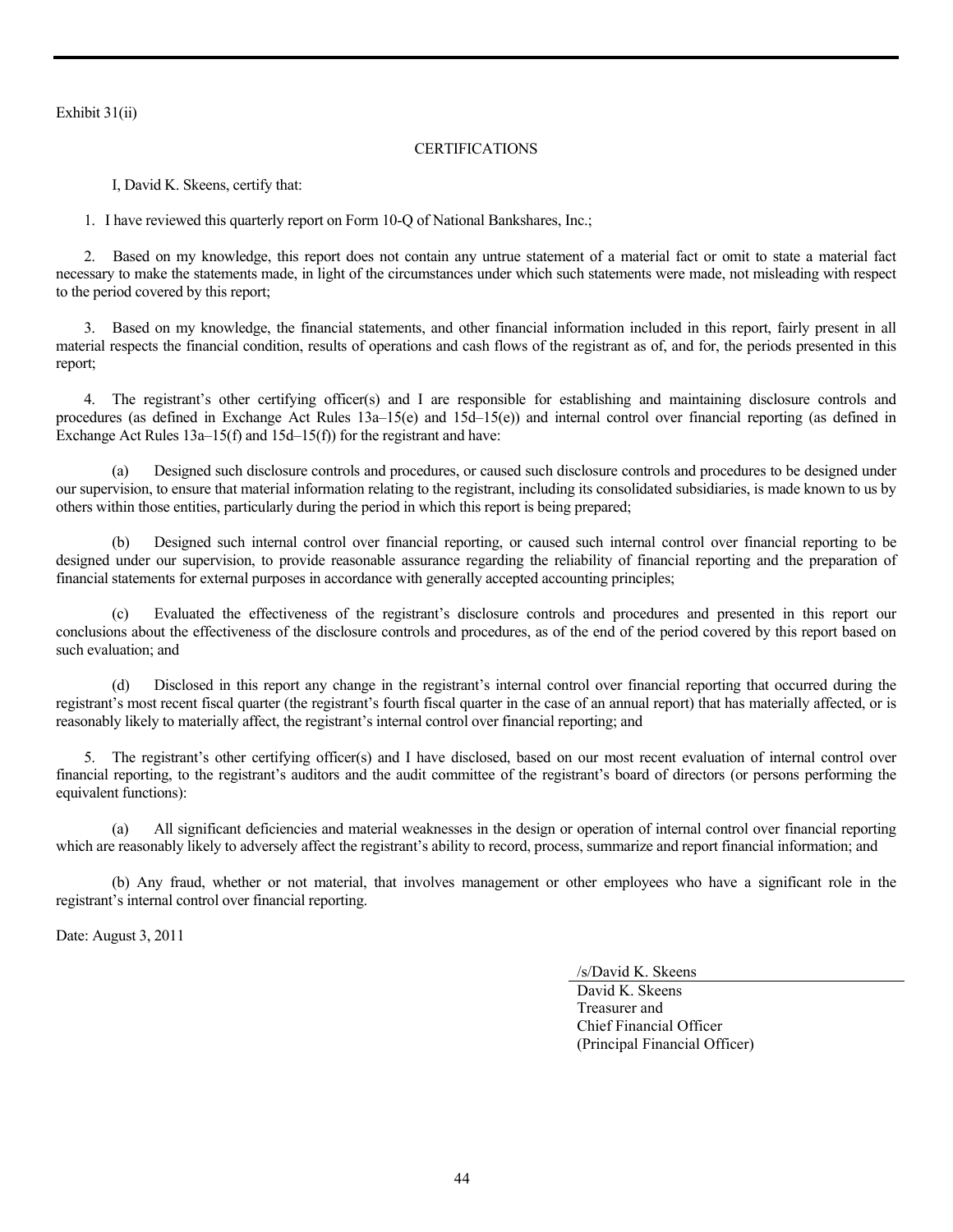Exhibit 31(ii)

# CERTIFICATIONS

I, David K. Skeens, certify that:

1. I have reviewed this quarterly report on Form 10-Q of National Bankshares, Inc.;

2. Based on my knowledge, this report does not contain any untrue statement of a material fact or omit to state a material fact necessary to make the statements made, in light of the circumstances under which such statements were made, not misleading with respect to the period covered by this report;

3. Based on my knowledge, the financial statements, and other financial information included in this report, fairly present in all material respects the financial condition, results of operations and cash flows of the registrant as of, and for, the periods presented in this report;

4. The registrant's other certifying officer(s) and I are responsible for establishing and maintaining disclosure controls and procedures (as defined in Exchange Act Rules 13a–15(e) and 15d–15(e)) and internal control over financial reporting (as defined in Exchange Act Rules 13a–15(f) and 15d–15(f)) for the registrant and have:

(a) Designed such disclosure controls and procedures, or caused such disclosure controls and procedures to be designed under our supervision, to ensure that material information relating to the registrant, including its consolidated subsidiaries, is made known to us by others within those entities, particularly during the period in which this report is being prepared;

(b) Designed such internal control over financial reporting, or caused such internal control over financial reporting to be designed under our supervision, to provide reasonable assurance regarding the reliability of financial reporting and the preparation of financial statements for external purposes in accordance with generally accepted accounting principles;

Evaluated the effectiveness of the registrant's disclosure controls and procedures and presented in this report our conclusions about the effectiveness of the disclosure controls and procedures, as of the end of the period covered by this report based on such evaluation; and

Disclosed in this report any change in the registrant's internal control over financial reporting that occurred during the registrant's most recent fiscal quarter (the registrant's fourth fiscal quarter in the case of an annual report) that has materially affected, or is reasonably likely to materially affect, the registrant's internal control over financial reporting; and

5. The registrant's other certifying officer(s) and I have disclosed, based on our most recent evaluation of internal control over financial reporting, to the registrant's auditors and the audit committee of the registrant's board of directors (or persons performing the equivalent functions):

 (a) All significant deficiencies and material weaknesses in the design or operation of internal control over financial reporting which are reasonably likely to adversely affect the registrant's ability to record, process, summarize and report financial information; and

 (b) Any fraud, whether or not material, that involves management or other employees who have a significant role in the registrant's internal control over financial reporting.

Date: August 3, 2011

/s/David K. Skeens

David K. Skeens Treasurer and Chief Financial Officer (Principal Financial Officer)